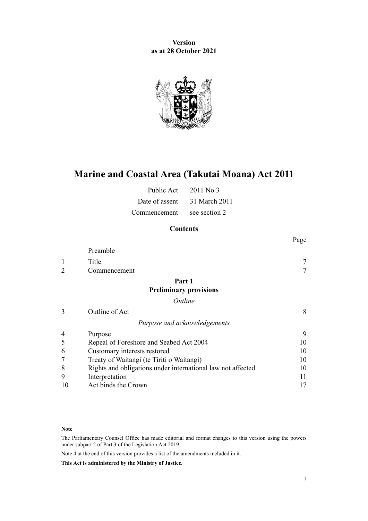**Version as at 28 October 2021**



# **Marine and Coastal Area (Takutai Moana) Act 2011**

| Public Act                 | 2011 No 3                    |
|----------------------------|------------------------------|
|                            | Date of assent 31 March 2011 |
| Commencement see section 2 |                              |

# **Contents**

|                |                                                             | Page |
|----------------|-------------------------------------------------------------|------|
|                | Preamble                                                    |      |
| 1              | Title                                                       |      |
| $\overline{2}$ | Commencement                                                |      |
|                | Part 1                                                      |      |
|                | <b>Preliminary provisions</b>                               |      |
|                | Outline                                                     |      |
| 3              | Outline of Act                                              | 8    |
|                | Purpose and acknowledgements                                |      |
| 4              | Purpose                                                     | 9    |
| 5              | Repeal of Foreshore and Seabed Act 2004                     | 10   |
| 6              | Customary interests restored                                | 10   |
|                | Treaty of Waitangi (te Tiriti o Waitangi)                   | 10   |
| 8              | Rights and obligations under international law not affected | 10   |
| 9              | Interpretation                                              | 11   |
| 10             | Act binds the Crown                                         | 17   |

Note 4 at the end of this version provides a list of the amendments included in it.

**This Act is administered by the Ministry of Justice.**

**Note**

The Parliamentary Counsel Office has made editorial and format changes to this version using the powers under [subpart 2](http://legislation.govt.nz/pdflink.aspx?id=DLM7298371) of Part 3 of the Legislation Act 2019.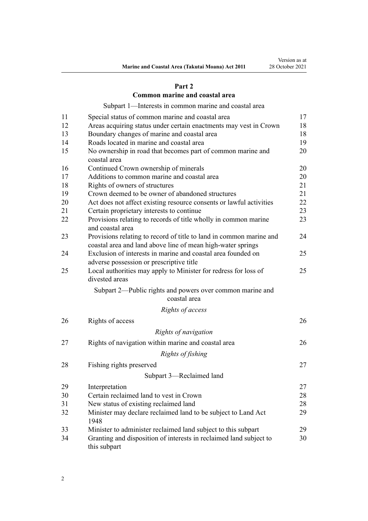# **[Part 2](#page-16-0)**

# **[Common marine and coastal area](#page-16-0)**

[Subpart 1—Interests in common marine and coastal area](#page-16-0)

| 11 | Special status of common marine and coastal area                                                                                   | 17 |
|----|------------------------------------------------------------------------------------------------------------------------------------|----|
| 12 | Areas acquiring status under certain enactments may vest in Crown                                                                  | 18 |
| 13 | Boundary changes of marine and coastal area                                                                                        | 18 |
| 14 | Roads located in marine and coastal area                                                                                           | 19 |
| 15 | No ownership in road that becomes part of common marine and<br>coastal area                                                        | 20 |
| 16 | Continued Crown ownership of minerals                                                                                              | 20 |
| 17 | Additions to common marine and coastal area                                                                                        | 20 |
| 18 | Rights of owners of structures                                                                                                     | 21 |
| 19 | Crown deemed to be owner of abandoned structures                                                                                   | 21 |
| 20 | Act does not affect existing resource consents or lawful activities                                                                | 22 |
| 21 | Certain proprietary interests to continue                                                                                          | 23 |
| 22 | Provisions relating to records of title wholly in common marine<br>and coastal area                                                | 23 |
| 23 | Provisions relating to record of title to land in common marine and<br>coastal area and land above line of mean high-water springs | 24 |
| 24 | Exclusion of interests in marine and coastal area founded on<br>adverse possession or prescriptive title                           | 25 |
| 25 | Local authorities may apply to Minister for redress for loss of<br>divested areas                                                  | 25 |
|    | Subpart 2—Public rights and powers over common marine and<br>coastal area                                                          |    |
|    | Rights of access                                                                                                                   |    |
| 26 | Rights of access                                                                                                                   | 26 |
|    | Rights of navigation                                                                                                               |    |
| 27 | Rights of navigation within marine and coastal area                                                                                | 26 |
|    | Rights of fishing                                                                                                                  |    |
| 28 | Fishing rights preserved                                                                                                           | 27 |
|    | Subpart 3-Reclaimed land                                                                                                           |    |
| 29 | Interpretation                                                                                                                     | 27 |
| 30 | Certain reclaimed land to vest in Crown                                                                                            | 28 |
| 31 | New status of existing reclaimed land                                                                                              | 28 |
| 32 | Minister may declare reclaimed land to be subject to Land Act<br>1948                                                              | 29 |
| 33 | Minister to administer reclaimed land subject to this subpart                                                                      | 29 |
| 34 | Granting and disposition of interests in reclaimed land subject to<br>this subpart                                                 | 30 |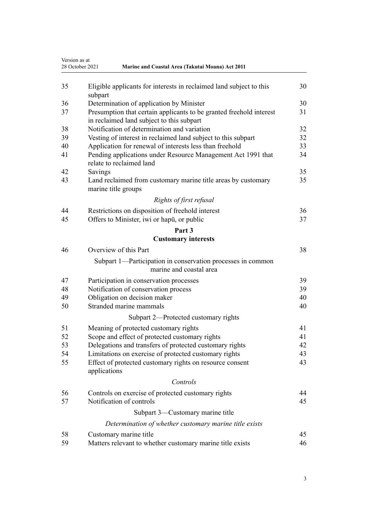|    | Version as at<br>28 October 2021<br>Marine and Coastal Area (Takutai Moana) Act 2011                             |    |
|----|------------------------------------------------------------------------------------------------------------------|----|
| 35 | Eligible applicants for interests in reclaimed land subject to this<br>subpart                                   | 30 |
| 36 | Determination of application by Minister                                                                         | 30 |
| 37 | Presumption that certain applicants to be granted freehold interest<br>in reclaimed land subject to this subpart | 31 |
| 38 | Notification of determination and variation                                                                      | 32 |
| 39 | Vesting of interest in reclaimed land subject to this subpart                                                    | 32 |
| 40 | Application for renewal of interests less than freehold                                                          | 33 |
| 41 | Pending applications under Resource Management Act 1991 that<br>relate to reclaimed land                         | 34 |
| 42 | Savings                                                                                                          | 35 |
| 43 | Land reclaimed from customary marine title areas by customary<br>marine title groups                             | 35 |
|    | Rights of first refusal                                                                                          |    |
| 44 | Restrictions on disposition of freehold interest                                                                 | 36 |
| 45 | Offers to Minister, iwi or hapū, or public                                                                       | 37 |
|    | Part 3                                                                                                           |    |
|    | <b>Customary interests</b>                                                                                       |    |
| 46 | Overview of this Part                                                                                            | 38 |
|    | Subpart 1—Participation in conservation processes in common                                                      |    |
|    | marine and coastal area                                                                                          |    |
| 47 | Participation in conservation processes                                                                          | 39 |
| 48 | Notification of conservation process                                                                             | 39 |
| 49 | Obligation on decision maker                                                                                     | 40 |
| 50 | Stranded marine mammals                                                                                          | 40 |
|    | Subpart 2—Protected customary rights                                                                             |    |
| 51 | Meaning of protected customary rights                                                                            | 41 |
| 52 | Scope and effect of protected customary rights                                                                   | 41 |
| 53 | Delegations and transfers of protected customary rights                                                          | 42 |
| 54 | Limitations on exercise of protected customary rights                                                            | 43 |
| 55 | Effect of protected customary rights on resource consent<br>applications                                         | 43 |
|    | Controls                                                                                                         |    |
| 56 | Controls on exercise of protected customary rights                                                               | 44 |
| 57 | Notification of controls                                                                                         | 45 |
|    | Subpart 3—Customary marine title                                                                                 |    |
|    | Determination of whether customary marine title exists                                                           |    |
| 58 | Customary marine title                                                                                           | 45 |
| 59 | Matters relevant to whether customary marine title exists                                                        | 46 |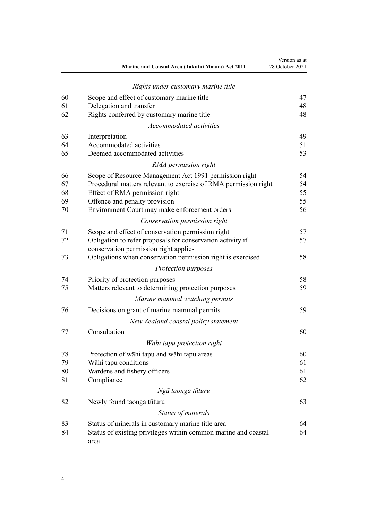|    | Marine and Coastal Area (Takutai Moana) Act 2011                                                    | Version as at<br>28 October 2021 |
|----|-----------------------------------------------------------------------------------------------------|----------------------------------|
|    | Rights under customary marine title                                                                 |                                  |
| 60 | Scope and effect of customary marine title                                                          | 47                               |
| 61 | Delegation and transfer                                                                             | 48                               |
| 62 | Rights conferred by customary marine title                                                          | 48                               |
|    | Accommodated activities                                                                             |                                  |
| 63 | Interpretation                                                                                      | 49                               |
| 64 | Accommodated activities                                                                             | 51                               |
| 65 | Deemed accommodated activities                                                                      | 53                               |
|    | RMA permission right                                                                                |                                  |
| 66 | Scope of Resource Management Act 1991 permission right                                              | 54                               |
| 67 | Procedural matters relevant to exercise of RMA permission right                                     | 54                               |
| 68 | Effect of RMA permission right                                                                      | 55                               |
| 69 | Offence and penalty provision                                                                       | 55                               |
| 70 | Environment Court may make enforcement orders                                                       | 56                               |
|    | Conservation permission right                                                                       |                                  |
| 71 | Scope and effect of conservation permission right                                                   | 57                               |
| 72 | Obligation to refer proposals for conservation activity if<br>conservation permission right applies | 57                               |
| 73 | Obligations when conservation permission right is exercised                                         | 58                               |
|    | Protection purposes                                                                                 |                                  |
| 74 | Priority of protection purposes                                                                     | 58                               |
| 75 | Matters relevant to determining protection purposes                                                 | 59                               |
|    | Marine mammal watching permits                                                                      |                                  |
| 76 | Decisions on grant of marine mammal permits                                                         | 59                               |
|    | New Zealand coastal policy statement                                                                |                                  |
| 77 | Consultation                                                                                        | 60                               |
|    | Wāhi tapu protection right                                                                          |                                  |
| 78 | Protection of wahi tapu and wahi tapu areas                                                         | 60                               |
| 79 | Wāhi tapu conditions                                                                                | 61                               |
| 80 | Wardens and fishery officers                                                                        | 61                               |
| 81 | Compliance                                                                                          | 62                               |
|    | Ngā taonga tūturu                                                                                   |                                  |
| 82 | Newly found taonga tūturu                                                                           | 63                               |
|    | Status of minerals                                                                                  |                                  |
| 83 | Status of minerals in customary marine title area                                                   | 64                               |
| 84 | Status of existing privileges within common marine and coastal<br>area                              | 64                               |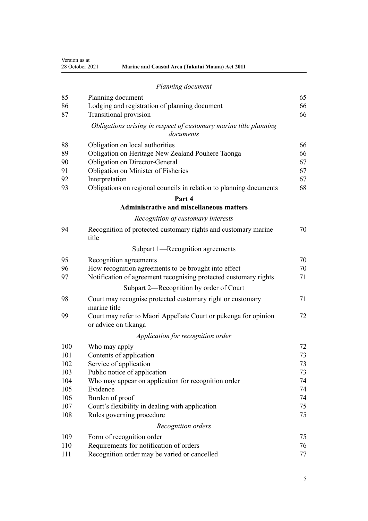Version as at

| 28 October 2021 | <b>Marine and Coastal Area (Takutai Moana) Act 2011</b> |
|-----------------|---------------------------------------------------------|
|                 |                                                         |

| 85  | Planning document                                                                       | 65 |
|-----|-----------------------------------------------------------------------------------------|----|
| 86  | Lodging and registration of planning document                                           | 66 |
| 87  | Transitional provision                                                                  | 66 |
|     | Obligations arising in respect of customary marine title planning<br>documents          |    |
| 88  | Obligation on local authorities                                                         | 66 |
| 89  | Obligation on Heritage New Zealand Pouhere Taonga                                       | 66 |
| 90  | Obligation on Director-General                                                          | 67 |
| 91  | Obligation on Minister of Fisheries                                                     | 67 |
| 92  | Interpretation                                                                          | 67 |
| 93  | Obligations on regional councils in relation to planning documents                      | 68 |
|     | Part 4                                                                                  |    |
|     | <b>Administrative and miscellaneous matters</b>                                         |    |
|     | Recognition of customary interests                                                      |    |
| 94  | Recognition of protected customary rights and customary marine<br>title                 | 70 |
|     | Subpart 1—Recognition agreements                                                        |    |
| 95  | Recognition agreements                                                                  | 70 |
| 96  | How recognition agreements to be brought into effect                                    | 70 |
| 97  | Notification of agreement recognising protected customary rights                        | 71 |
|     | Subpart 2—Recognition by order of Court                                                 |    |
| 98  | Court may recognise protected customary right or customary<br>marine title              | 71 |
| 99  | Court may refer to Māori Appellate Court or pūkenga for opinion<br>or advice on tikanga | 72 |
|     | Application for recognition order                                                       |    |
| 100 | Who may apply                                                                           | 72 |
| 101 | Contents of application                                                                 | 73 |
| 102 | Service of application                                                                  | 73 |
| 103 | Public notice of application                                                            | 73 |
| 104 | Who may appear on application for recognition order                                     | 74 |
| 105 | Evidence                                                                                | 74 |
| 106 | Burden of proof                                                                         | 74 |
| 107 | Court's flexibility in dealing with application                                         | 75 |
| 108 | Rules governing procedure                                                               | 75 |
|     | Recognition orders                                                                      |    |
| 109 | Form of recognition order                                                               | 75 |
| 110 | Requirements for notification of orders                                                 | 76 |
| 111 | Recognition order may be varied or cancelled                                            | 77 |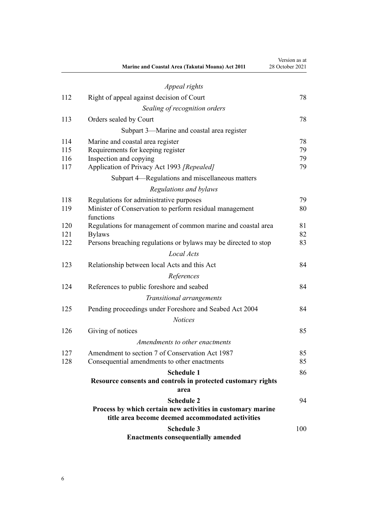|     | Marine and Coastal Area (Takutai Moana) Act 2011                     | Version as at<br>28 October 2021 |
|-----|----------------------------------------------------------------------|----------------------------------|
|     | Appeal rights                                                        |                                  |
| 112 | Right of appeal against decision of Court                            | 78                               |
|     | Sealing of recognition orders                                        |                                  |
| 113 | Orders sealed by Court                                               | 78                               |
|     | Subpart 3—Marine and coastal area register                           |                                  |
| 114 | Marine and coastal area register                                     | 78                               |
| 115 | Requirements for keeping register                                    | 79                               |
| 116 | Inspection and copying                                               | 79                               |
| 117 | Application of Privacy Act 1993 [Repealed]                           | 79                               |
|     | Subpart 4—Regulations and miscellaneous matters                      |                                  |
|     | Regulations and bylaws                                               |                                  |
| 118 | Regulations for administrative purposes                              | 79                               |
| 119 | Minister of Conservation to perform residual management<br>functions | 80                               |
| 120 | Regulations for management of common marine and coastal area         | 81                               |
| 121 | <b>Bylaws</b>                                                        | 82                               |
| 122 | Persons breaching regulations or bylaws may be directed to stop      | 83                               |
|     | Local Acts                                                           |                                  |
| 123 | Relationship between local Acts and this Act                         | 84                               |
|     | References                                                           |                                  |
| 124 | References to public foreshore and seabed                            | 84                               |
|     | Transitional arrangements                                            |                                  |
| 125 | Pending proceedings under Foreshore and Seabed Act 2004              | 84                               |
|     | <b>Notices</b>                                                       |                                  |
| 126 | Giving of notices                                                    | 85                               |
|     | Amendments to other enactments                                       |                                  |
| 127 | Amendment to section 7 of Conservation Act 1987                      | 85                               |
| 128 | Consequential amendments to other enactments                         | 85                               |
|     | <b>Schedule 1</b>                                                    | 86                               |
|     | Resource consents and controls in protected customary rights         |                                  |
|     | area                                                                 |                                  |
|     | <b>Schedule 2</b>                                                    | 94                               |
|     | Process by which certain new activities in customary marine          |                                  |
|     | title area become deemed accommodated activities                     |                                  |
|     | <b>Schedule 3</b>                                                    | 100                              |
|     | <b>Enactments consequentially amended</b>                            |                                  |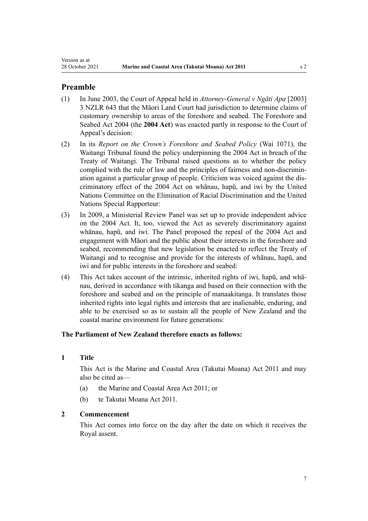# <span id="page-6-0"></span>**Preamble**

- (1) In June 2003, the Court of Appeal held in *Attorney-General v Ngāti Apa* [2003] 3 NZLR 643 that the Māori Land Court had jurisdiction to determine claims of customary ownership to areas of the foreshore and seabed. The [Foreshore and](http://legislation.govt.nz/pdflink.aspx?id=DLM319838) [Seabed Act 2004](http://legislation.govt.nz/pdflink.aspx?id=DLM319838) (the **2004 Act**) was enacted partly in response to the Court of Appeal's decision:
- (2) In its *Report on the Crown's Foreshore and Seabed Policy* (Wai 1071), the Waitangi Tribunal found the policy underpinning the 2004 Act in breach of the Treaty of Waitangi. The Tribunal raised questions as to whether the policy complied with the rule of law and the principles of fairness and non-discrimination against a particular group of people. Criticism was voiced against the dis‐ criminatory effect of the 2004 Act on whānau, hapū, and iwi by the United Nations Committee on the Elimination of Racial Discrimination and the United Nations Special Rapporteur:
- (3) In 2009, a Ministerial Review Panel was set up to provide independent advice on the 2004 Act. It, too, viewed the Act as severely discriminatory against whānau, hapū, and iwi. The Panel proposed the repeal of the 2004 Act and engagement with Māori and the public about their interests in the foreshore and seabed, recommending that new legislation be enacted to reflect the Treaty of Waitangi and to recognise and provide for the interests of whānau, hapū, and iwi and for public interests in the foreshore and seabed:
- (4) This Act takes account of the intrinsic, inherited rights of iwi, hapū, and whā‐ nau, derived in accordance with tikanga and based on their connection with the foreshore and seabed and on the principle of manaakitanga. It translates those inherited rights into legal rights and interests that are inalienable, enduring, and able to be exercised so as to sustain all the people of New Zealand and the coastal marine environment for future generations:

# **The Parliament of New Zealand therefore enacts as follows:**

# **1 Title**

This Act is the Marine and Coastal Area (Takutai Moana) Act 2011 and may also be cited as—

- (a) the Marine and Coastal Area Act 2011; or
- (b) te Takutai Moana Act 2011.

# **2 Commencement**

This Act comes into force on the day after the date on which it receives the Royal assent.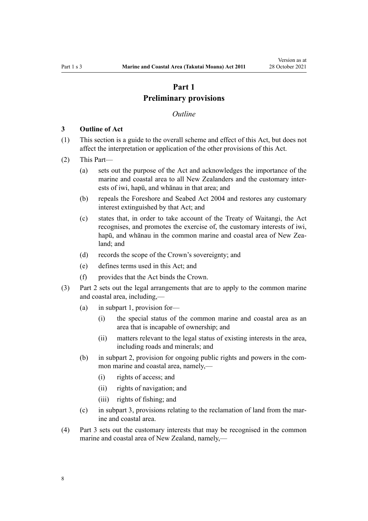# **Part 1 Preliminary provisions**

#### *Outline*

#### <span id="page-7-0"></span>**3 Outline of Act**

- (1) This section is a guide to the overall scheme and effect of this Act, but does not affect the interpretation or application of the other provisions of this Act.
- (2) This Part—
	- (a) sets out the purpose of the Act and acknowledges the importance of the marine and coastal area to all New Zealanders and the customary inter‐ ests of iwi, hapū, and whānau in that area; and
	- (b) repeals the [Foreshore and Seabed Act 2004](http://legislation.govt.nz/pdflink.aspx?id=DLM319838) and restores any customary interest extinguished by that Act; and
	- (c) states that, in order to take account of the Treaty of Waitangi, the Act recognises, and promotes the exercise of, the customary interests of iwi, hapū, and whānau in the common marine and coastal area of New Zealand; and
	- (d) records the scope of the Crown's sovereignty; and
	- (e) defines terms used in this Act; and
	- (f) provides that the Act binds the Crown.
- (3) [Part 2](#page-16-0) sets out the legal arrangements that are to apply to the common marine and coastal area, including,—
	- (a) in [subpart 1,](#page-16-0) provision for—
		- (i) the special status of the common marine and coastal area as an area that is incapable of ownership; and
		- (ii) matters relevant to the legal status of existing interests in the area, including roads and minerals; and
	- (b) in [subpart 2](#page-25-0), provision for ongoing public rights and powers in the com‐ mon marine and coastal area, namely,—
		- (i) rights of access; and
		- (ii) rights of navigation; and
		- (iii) rights of fishing; and
	- $(c)$  in [subpart 3](#page-26-0), provisions relating to the reclamation of land from the marine and coastal area.
- (4) [Part 3](#page-37-0) sets out the customary interests that may be recognised in the common marine and coastal area of New Zealand, namely,—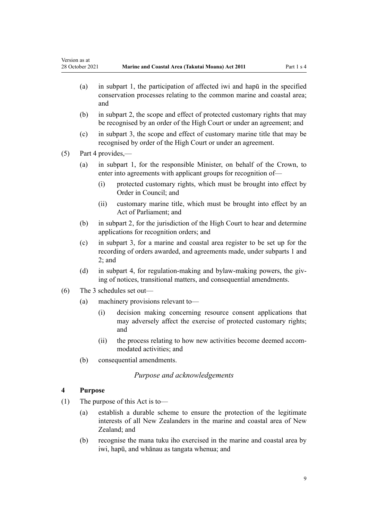- <span id="page-8-0"></span>(a) in [subpart 1,](#page-38-0) the participation of affected iwi and hapū in the specified conservation processes relating to the common marine and coastal area; and
- (b) in [subpart 2](#page-40-0), the scope and effect of protected customary rights that may be recognised by an order of the High Court or under an agreement; and
- (c) in [subpart 3](#page-44-0), the scope and effect of customary marine title that may be recognised by order of the High Court or under an agreement.

(5) [Part 4](#page-69-0) provides,—

- (a) in [subpart 1](#page-69-0), for the responsible Minister, on behalf of the Crown, to enter into agreements with applicant groups for recognition of—
	- (i) protected customary rights, which must be brought into effect by Order in Council; and
	- (ii) customary marine title, which must be brought into effect by an Act of Parliament; and
- (b) in [subpart 2](#page-70-0), for the jurisdiction of the High Court to hear and determine applications for recognition orders; and
- (c) in [subpart 3,](#page-77-0) for a marine and coastal area register to be set up for the recording of orders awarded, and agreements made, under [subparts 1](#page-69-0) and [2;](#page-70-0) and
- (d) in [subpart 4,](#page-78-0) for regulation-making and bylaw-making powers, the giving of notices, transitional matters, and consequential amendments.
- (6) The 3 schedules set out—
	- (a) machinery provisions relevant to—
		- (i) decision making concerning resource consent applications that may adversely affect the exercise of protected customary rights; and
		- (ii) the process relating to how new activities become deemed accommodated activities; and
	- (b) consequential amendments.

# *Purpose and acknowledgements*

# **4 Purpose**

- (1) The purpose of this Act is to—
	- (a) establish a durable scheme to ensure the protection of the legitimate interests of all New Zealanders in the marine and coastal area of New Zealand; and
	- (b) recognise the mana tuku iho exercised in the marine and coastal area by iwi, hapū, and whānau as tangata whenua; and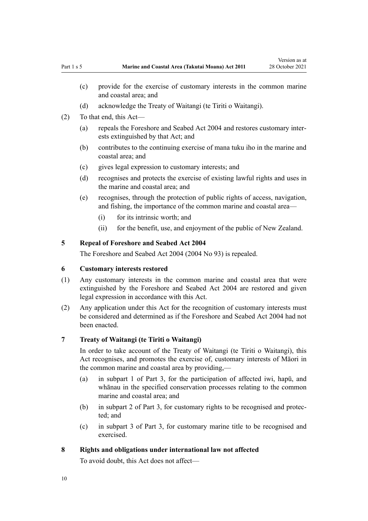- <span id="page-9-0"></span>(c) provide for the exercise of customary interests in the common marine and coastal area; and
- (d) acknowledge the Treaty of Waitangi (te Tiriti o Waitangi).
- (2) To that end, this Act—
	- (a) repeals the [Foreshore and Seabed Act 2004](http://legislation.govt.nz/pdflink.aspx?id=DLM319838) and restores customary inter‐ ests extinguished by that Act; and
	- (b) contributes to the continuing exercise of mana tuku iho in the marine and coastal area; and
	- (c) gives legal expression to customary interests; and
	- (d) recognises and protects the exercise of existing lawful rights and uses in the marine and coastal area; and
	- (e) recognises, through the protection of public rights of access, navigation, and fishing, the importance of the common marine and coastal area—
		- (i) for its intrinsic worth; and
		- (ii) for the benefit, use, and enjoyment of the public of New Zealand.

# **5 Repeal of Foreshore and Seabed Act 2004**

The [Foreshore and Seabed Act 2004](http://legislation.govt.nz/pdflink.aspx?id=DLM319838) (2004 No 93) is repealed.

#### **6 Customary interests restored**

- (1) Any customary interests in the common marine and coastal area that were extinguished by the [Foreshore and Seabed Act 2004](http://legislation.govt.nz/pdflink.aspx?id=DLM319838) are restored and given legal expression in accordance with this Act.
- (2) Any application under this Act for the recognition of customary interests must be considered and determined as if the [Foreshore and Seabed Act 2004](http://legislation.govt.nz/pdflink.aspx?id=DLM319838) had not been enacted.

#### **7 Treaty of Waitangi (te Tiriti o Waitangi)**

In order to take account of the Treaty of Waitangi (te Tiriti o Waitangi), this Act recognises, and promotes the exercise of, customary interests of Māori in the common marine and coastal area by providing,—

- (a) in [subpart 1 of Part 3,](#page-38-0) for the participation of affected iwi, hapū, and whānau in the specified conservation processes relating to the common marine and coastal area; and
- (b) in [subpart 2 of Part 3](#page-40-0), for customary rights to be recognised and protec‐ ted; and
- (c) in [subpart 3 of Part 3](#page-44-0), for customary marine title to be recognised and exercised.

### **8 Rights and obligations under international law not affected**

To avoid doubt, this Act does not affect—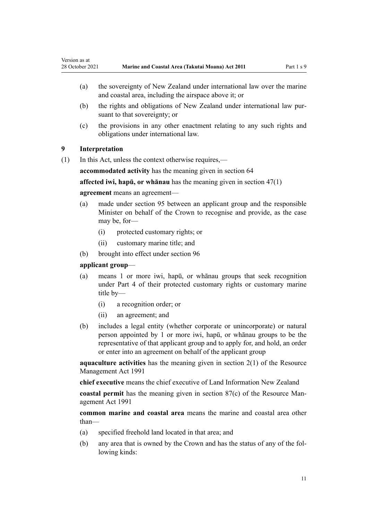- (a) the sovereignty of New Zealand under international law over the marine and coastal area, including the airspace above it; or
- (b) the rights and obligations of New Zealand under international law pur‐ suant to that sovereignty; or
- (c) the provisions in any other enactment relating to any such rights and obligations under international law.

# **9 Interpretation**

<span id="page-10-0"></span>Version as at

(1) In this Act, unless the context otherwise requires,—

**accommodated activity** has the meaning given in [section 64](#page-50-0)

**affected iwi, hapū, or whānau** has the meaning given in [section 47\(1\)](#page-38-0)

#### **agreement** means an agreement—

- (a) made under [section 95](#page-69-0) between an applicant group and the responsible Minister on behalf of the Crown to recognise and provide, as the case may be, for-
	- (i) protected customary rights; or
	- (ii) customary marine title; and
- (b) brought into effect under [section 96](#page-69-0)

#### **applicant group**—

- (a) means 1 or more iwi, hapū, or whānau groups that seek recognition under [Part 4](#page-69-0) of their protected customary rights or customary marine title by—
	- (i) a recognition order; or
	- (ii) an agreement; and
- (b) includes a legal entity (whether corporate or unincorporate) or natural person appointed by 1 or more iwi, hapū, or whānau groups to be the representative of that applicant group and to apply for, and hold, an order or enter into an agreement on behalf of the applicant group

**aquaculture activities** has the meaning given in [section 2\(1\)](http://legislation.govt.nz/pdflink.aspx?id=DLM230272) of the Resource Management Act 1991

**chief executive** means the chief executive of Land Information New Zealand

**coastal permit** has the meaning given in [section 87\(c\)](http://legislation.govt.nz/pdflink.aspx?id=DLM233848) of the Resource Management Act 1991

**common marine and coastal area** means the marine and coastal area other than—

- (a) specified freehold land located in that area; and
- (b) any area that is owned by the Crown and has the status of any of the fol‐ lowing kinds: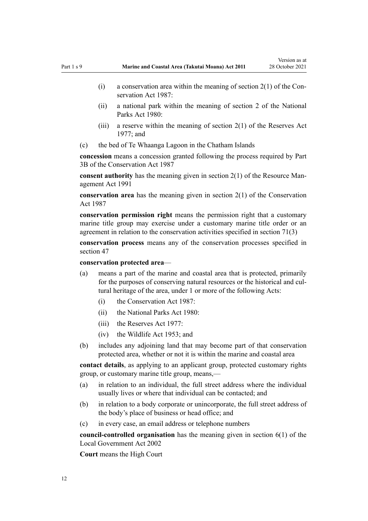- (i) a conservation area within the meaning of section  $2(1)$  of the Conservation Act 1987:
- (ii) a national park within the meaning of [section 2](http://legislation.govt.nz/pdflink.aspx?id=DLM36968) of the National Parks Act 1980:
- (iii) a reserve within the meaning of [section 2\(1\)](http://legislation.govt.nz/pdflink.aspx?id=DLM444310) of the Reserves Act 1977; and
- (c) the bed of Te Whaanga Lagoon in the Chatham Islands

**concession** means a concession granted following the process required by [Part](http://legislation.govt.nz/pdflink.aspx?id=DLM104633) [3B](http://legislation.govt.nz/pdflink.aspx?id=DLM104633) of the Conservation Act 1987

**consent authority** has the meaning given in [section 2\(1\)](http://legislation.govt.nz/pdflink.aspx?id=DLM230272) of the Resource Management Act 1991

**conservation area** has the meaning given in [section 2\(1\)](http://legislation.govt.nz/pdflink.aspx?id=DLM103616) of the Conservation Act 1987

**conservation permission right** means the permission right that a customary marine title group may exercise under a customary marine title order or an agreement in relation to the conservation activities specified in [section 71\(3\)](#page-56-0)

**conservation process** means any of the conservation processes specified in [section 47](#page-38-0)

**conservation protected area**—

- (a) means a part of the marine and coastal area that is protected, primarily for the purposes of conserving natural resources or the historical and cultural heritage of the area, under 1 or more of the following Acts:
	- (i) the [Conservation Act 1987:](http://legislation.govt.nz/pdflink.aspx?id=DLM103609)
	- (ii) the [National Parks Act 1980:](http://legislation.govt.nz/pdflink.aspx?id=DLM36962)
	- (iii) the [Reserves Act 1977](http://legislation.govt.nz/pdflink.aspx?id=DLM444304):
	- (iv) the [Wildlife Act 1953](http://legislation.govt.nz/pdflink.aspx?id=DLM276813); and
- (b) includes any adjoining land that may become part of that conservation protected area, whether or not it is within the marine and coastal area

**contact details**, as applying to an applicant group, protected customary rights group, or customary marine title group, means,—

- (a) in relation to an individual, the full street address where the individual usually lives or where that individual can be contacted; and
- (b) in relation to a body corporate or unincorporate, the full street address of the body's place of business or head office; and
- (c) in every case, an email address or telephone numbers

**council-controlled organisation** has the meaning given in [section 6\(1\)](http://legislation.govt.nz/pdflink.aspx?id=DLM171482) of the Local Government Act 2002

**Court** means the High Court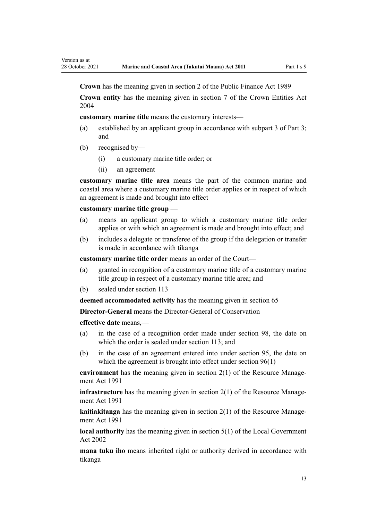**Crown** has the meaning given in [section 2](http://legislation.govt.nz/pdflink.aspx?id=DLM160819) of the Public Finance Act 1989

**Crown entity** has the meaning given in [section 7](http://legislation.govt.nz/pdflink.aspx?id=DLM329641) of the Crown Entities Act 2004

**customary marine title** means the customary interests—

- (a) established by an applicant group in accordance with [subpart 3 of Part 3;](#page-44-0) and
- (b) recognised by—

Version as at

- (i) a customary marine title order; or
- (ii) an agreement

**customary marine title area** means the part of the common marine and coastal area where a customary marine title order applies or in respect of which an agreement is made and brought into effect

#### **customary marine title group** —

- (a) means an applicant group to which a customary marine title order applies or with which an agreement is made and brought into effect; and
- (b) includes a delegate or transferee of the group if the delegation or transfer is made in accordance with tikanga

**customary marine title order** means an order of the Court—

- (a) granted in recognition of a customary marine title of a customary marine title group in respect of a customary marine title area; and
- (b) sealed under [section 113](#page-77-0)

**deemed accommodated activity** has the meaning given in [section 65](#page-52-0)

**Director-General** means the Director-General of Conservation

**effective date** means,—

- (a) in the case of a recognition order made under [section 98,](#page-70-0) the date on which the order is sealed under [section 113;](#page-77-0) and
- (b) in the case of an agreement entered into under [section 95,](#page-69-0) the date on which the agreement is brought into effect under [section 96\(1\)](#page-69-0)

**environment** has the meaning given in [section 2\(1\)](http://legislation.govt.nz/pdflink.aspx?id=DLM230272) of the Resource Management Act 1991

**infrastructure** has the meaning given in [section 2\(1\)](http://legislation.govt.nz/pdflink.aspx?id=DLM230272) of the Resource Management Act 1991

**kaitiakitanga** has the meaning given in [section 2\(1\)](http://legislation.govt.nz/pdflink.aspx?id=DLM230272) of the Resource Management Act 1991

**local authority** has the meaning given in [section 5\(1\)](http://legislation.govt.nz/pdflink.aspx?id=DLM170881) of the Local Government Act 2002

**mana tuku iho** means inherited right or authority derived in accordance with tikanga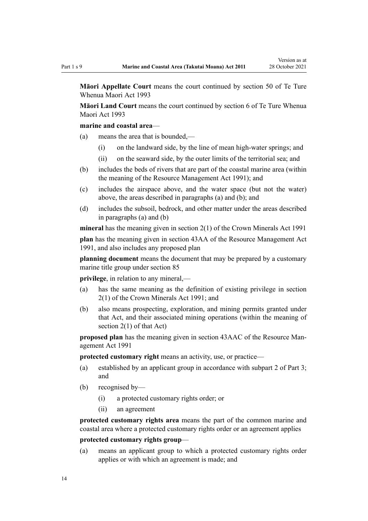**Māori Appellate Court** means the court continued by [section 50](http://legislation.govt.nz/pdflink.aspx?id=DLM290929) of Te Ture Whenua Maori Act 1993

**Māori Land Court** means the court continued by [section 6](http://legislation.govt.nz/pdflink.aspx?id=DLM290517) of Te Ture Whenua Maori Act 1993

#### **marine and coastal area**—

- (a) means the area that is bounded,—
	- (i) on the landward side, by the line of mean high-water springs; and
	- (ii) on the seaward side, by the outer limits of the territorial sea; and
- (b) includes the beds of rivers that are part of the coastal marine area (within the meaning of the [Resource Management Act 1991](http://legislation.govt.nz/pdflink.aspx?id=DLM230264)); and
- (c) includes the airspace above, and the water space (but not the water) above, the areas described in paragraphs (a) and (b); and
- (d) includes the subsoil, bedrock, and other matter under the areas described in paragraphs (a) and (b)

**mineral** has the meaning given in [section 2\(1\)](http://legislation.govt.nz/pdflink.aspx?id=DLM242543) of the Crown Minerals Act 1991

**plan** has the meaning given in [section 43AA](http://legislation.govt.nz/pdflink.aspx?id=DLM2412743) of the Resource Management Act 1991, and also includes any proposed plan

**planning document** means the document that may be prepared by a customary marine title group under [section 85](#page-64-0)

**privilege**, in relation to any mineral,—

- (a) has the same meaning as the definition of existing privilege in [section](http://legislation.govt.nz/pdflink.aspx?id=DLM242543) [2\(1\)](http://legislation.govt.nz/pdflink.aspx?id=DLM242543) of the Crown Minerals Act 1991; and
- (b) also means prospecting, exploration, and mining permits granted under that Act, and their associated mining operations (within the meaning of [section 2\(1\)](http://legislation.govt.nz/pdflink.aspx?id=DLM242543) of that Act)

**proposed plan** has the meaning given in [section 43AAC](http://legislation.govt.nz/pdflink.aspx?id=DLM2412769) of the Resource Man‐ agement Act 1991

**protected customary right** means an activity, use, or practice—

- (a) established by an applicant group in accordance with [subpart 2 of Part 3;](#page-40-0) and
- (b) recognised by—
	- (i) a protected customary rights order; or
	- (ii) an agreement

**protected customary rights area** means the part of the common marine and coastal area where a protected customary rights order or an agreement applies

# **protected customary rights group**—

(a) means an applicant group to which a protected customary rights order applies or with which an agreement is made; and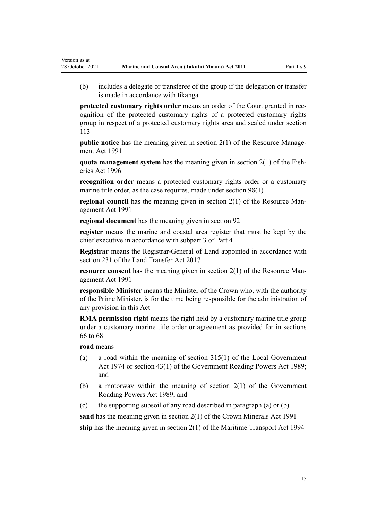(b) includes a delegate or transferee of the group if the delegation or transfer is made in accordance with tikanga

**protected customary rights order** means an order of the Court granted in recognition of the protected customary rights of a protected customary rights group in respect of a protected customary rights area and sealed under [section](#page-77-0) [113](#page-77-0)

**public notice** has the meaning given in [section 2\(1\)](http://legislation.govt.nz/pdflink.aspx?id=DLM230272) of the Resource Management Act 1991

**quota management system** has the meaning given in [section 2\(1\)](http://legislation.govt.nz/pdflink.aspx?id=DLM394199) of the Fish‐ eries Act 1996

**recognition order** means a protected customary rights order or a customary marine title order, as the case requires, made under [section 98\(1\)](#page-70-0)

**regional council** has the meaning given in [section 2\(1\)](http://legislation.govt.nz/pdflink.aspx?id=DLM230272) of the Resource Management Act 1991

**regional document** has the meaning given in [section 92](#page-66-0)

**register** means the marine and coastal area register that must be kept by the chief executive in accordance with [subpart 3 of Part 4](#page-77-0)

**Registrar** means the Registrar-General of Land appointed in accordance with [section 231](http://legislation.govt.nz/pdflink.aspx?id=DLM6731451) of the Land Transfer Act 2017

**resource consent** has the meaning given in [section 2\(1\)](http://legislation.govt.nz/pdflink.aspx?id=DLM230272) of the Resource Management Act 1991

**responsible Minister** means the Minister of the Crown who, with the authority of the Prime Minister, is for the time being responsible for the administration of any provision in this Act

**RMA permission right** means the right held by a customary marine title group under a customary marine title order or agreement as provided for in [sections](#page-53-0) [66 to 68](#page-53-0)

**road** means—

Version as at

- (a) a road within the meaning of [section 315\(1\)](http://legislation.govt.nz/pdflink.aspx?id=DLM420326) of the Local Government Act 1974 or [section 43\(1\)](http://legislation.govt.nz/pdflink.aspx?id=DLM175232) of the Government Roading Powers Act 1989; and
- (b) a motorway within the meaning of [section 2\(1\)](http://legislation.govt.nz/pdflink.aspx?id=DLM173374) of the Government Roading Powers Act 1989; and
- (c) the supporting subsoil of any road described in paragraph (a) or (b)

**sand** has the meaning given in [section 2\(1\)](http://legislation.govt.nz/pdflink.aspx?id=DLM242543) of the Crown Minerals Act 1991 **ship** has the meaning given in [section 2\(1\)](http://legislation.govt.nz/pdflink.aspx?id=DLM334667) of the Maritime Transport Act 1994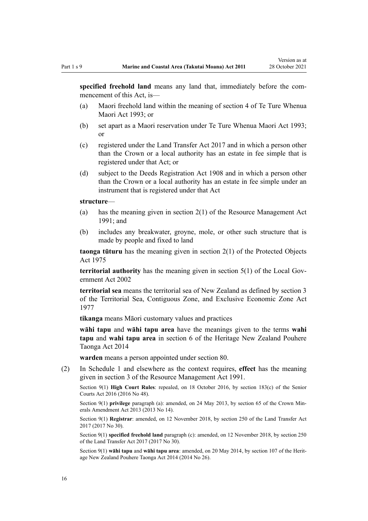**specified freehold land** means any land that, immediately before the commencement of this Act, is—

- (a) Maori freehold land within the meaning of [section 4](http://legislation.govt.nz/pdflink.aspx?id=DLM289897) of Te Ture Whenua Maori Act 1993; or
- (b) set apart as a Maori reservation under [Te Ture Whenua Maori Act 1993;](http://legislation.govt.nz/pdflink.aspx?id=DLM289881) or
- (c) registered under the [Land Transfer Act 2017](http://legislation.govt.nz/pdflink.aspx?id=DLM6731002) and in which a person other than the Crown or a local authority has an estate in fee simple that is registered under that Act; or
- (d) subject to the [Deeds Registration Act 1908](http://legislation.govt.nz/pdflink.aspx?id=DLM141134) and in which a person other than the Crown or a local authority has an estate in fee simple under an instrument that is registered under that Act

#### **structure**—

- (a) has the meaning given in [section 2\(1\)](http://legislation.govt.nz/pdflink.aspx?id=DLM230272) of the Resource Management Act 1991; and
- (b) includes any breakwater, groyne, mole, or other such structure that is made by people and fixed to land

**taonga tūturu** has the meaning given in [section 2\(1\)](http://legislation.govt.nz/pdflink.aspx?id=DLM432125) of the Protected Objects Act 1975

**territorial authority** has the meaning given in [section 5\(1\)](http://legislation.govt.nz/pdflink.aspx?id=DLM170881) of the Local Government Act 2002

**territorial sea** means the territorial sea of New Zealand as defined by [section 3](http://legislation.govt.nz/pdflink.aspx?id=DLM442665) of the Territorial Sea, Contiguous Zone, and Exclusive Economic Zone Act 1977

**tikanga** means Māori customary values and practices

**wāhi tapu** and **wāhi tapu area** have the meanings given to the terms **wahi tapu** and **wahi tapu area** in [section 6](http://legislation.govt.nz/pdflink.aspx?id=DLM4005423) of the Heritage New Zealand Pouhere Taonga Act 2014

**warden** means a person appointed under [section 80](#page-60-0).

(2) In [Schedule 1](#page-85-0) and elsewhere as the context requires, **effect** has the meaning given in [section 3](http://legislation.govt.nz/pdflink.aspx?id=DLM231795) of the Resource Management Act 1991.

Section 9(1) **High Court Rules**: repealed, on 18 October 2016, by [section 183\(c\)](http://legislation.govt.nz/pdflink.aspx?id=DLM5759564) of the Senior Courts Act 2016 (2016 No 48).

Section 9(1) **privilege** paragraph (a): amended, on 24 May 2013, by [section 65](http://legislation.govt.nz/pdflink.aspx?id=DLM5081570) of the Crown Minerals Amendment Act 2013 (2013 No 14).

Section 9(1) **Registrar**: amended, on 12 November 2018, by [section 250](http://legislation.govt.nz/pdflink.aspx?id=DLM6731493) of the Land Transfer Act 2017 (2017 No 30).

Section 9(1) **specified freehold land** paragraph (c): amended, on 12 November 2018, by [section 250](http://legislation.govt.nz/pdflink.aspx?id=DLM6731493) of the Land Transfer Act 2017 (2017 No 30).

Section 9(1) **wāhi tapu** and **wāhi tapu area**: amended, on 20 May 2014, by [section 107](http://legislation.govt.nz/pdflink.aspx?id=DLM4005646) of the Herit‐ age New Zealand Pouhere Taonga Act 2014 (2014 No 26).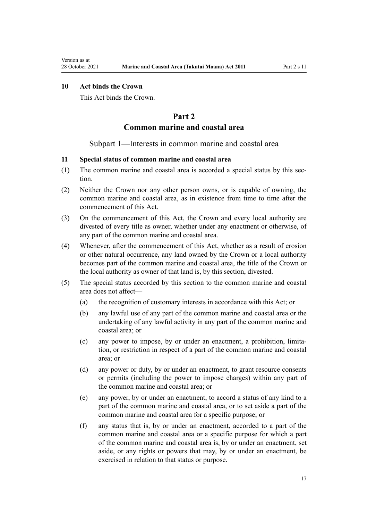# <span id="page-16-0"></span>**10 Act binds the Crown**

This Act binds the Crown.

# **Part 2**

# **Common marine and coastal area**

#### Subpart 1—Interests in common marine and coastal area

# **11 Special status of common marine and coastal area**

- (1) The common marine and coastal area is accorded a special status by this section.
- (2) Neither the Crown nor any other person owns, or is capable of owning, the common marine and coastal area, as in existence from time to time after the commencement of this Act.
- (3) On the commencement of this Act, the Crown and every local authority are divested of every title as owner, whether under any enactment or otherwise, of any part of the common marine and coastal area.
- (4) Whenever, after the commencement of this Act, whether as a result of erosion or other natural occurrence, any land owned by the Crown or a local authority becomes part of the common marine and coastal area, the title of the Crown or the local authority as owner of that land is, by this section, divested.
- (5) The special status accorded by this section to the common marine and coastal area does not affect—
	- (a) the recognition of customary interests in accordance with this Act; or
	- (b) any lawful use of any part of the common marine and coastal area or the undertaking of any lawful activity in any part of the common marine and coastal area; or
	- (c) any power to impose, by or under an enactment, a prohibition, limita‐ tion, or restriction in respect of a part of the common marine and coastal area; or
	- (d) any power or duty, by or under an enactment, to grant resource consents or permits (including the power to impose charges) within any part of the common marine and coastal area; or
	- (e) any power, by or under an enactment, to accord a status of any kind to a part of the common marine and coastal area, or to set aside a part of the common marine and coastal area for a specific purpose; or
	- (f) any status that is, by or under an enactment, accorded to a part of the common marine and coastal area or a specific purpose for which a part of the common marine and coastal area is, by or under an enactment, set aside, or any rights or powers that may, by or under an enactment, be exercised in relation to that status or purpose.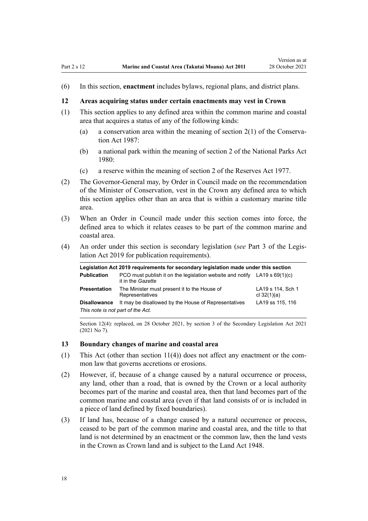<span id="page-17-0"></span>(6) In this section, **enactment** includes bylaws, regional plans, and district plans.

#### **12 Areas acquiring status under certain enactments may vest in Crown**

- (1) This section applies to any defined area within the common marine and coastal area that acquires a status of any of the following kinds:
	- (a) a conservation area within the meaning of section  $2(1)$  of the Conservation Act 1987:
	- (b) a national park within the meaning of [section 2](http://legislation.govt.nz/pdflink.aspx?id=DLM36968) of the National Parks Act 1980:
	- (c) a reserve within the meaning of [section 2](http://legislation.govt.nz/pdflink.aspx?id=DLM444310) of the Reserves Act 1977.
- (2) The Governor-General may, by Order in Council made on the recommendation of the Minister of Conservation, vest in the Crown any defined area to which this section applies other than an area that is within a customary marine title area.
- (3) When an Order in Council made under this section comes into force, the defined area to which it relates ceases to be part of the common marine and coastal area.
- (4) An order under this section is secondary legislation (*see* [Part 3](http://legislation.govt.nz/pdflink.aspx?id=DLM7298343) of the Legis‐ lation Act 2019 for publication requirements).

| Legislation Act 2019 requirements for secondary legislation made under this section |                                                                                                  |                                    |
|-------------------------------------------------------------------------------------|--------------------------------------------------------------------------------------------------|------------------------------------|
| <b>Publication</b>                                                                  | PCO must publish it on the legislation website and notify LA19 s $69(1)(c)$<br>it in the Gazette |                                    |
| <b>Presentation</b>                                                                 | The Minister must present it to the House of<br>Representatives                                  | LA19 s 114, Sch 1<br>cl $32(1)(a)$ |
| <b>Disallowance</b><br>This note is not part of the Act.                            | It may be disallowed by the House of Representatives                                             | LA19 ss 115, 116                   |

Section 12(4): replaced, on 28 October 2021, by [section 3](http://legislation.govt.nz/pdflink.aspx?id=LMS268932) of the Secondary Legislation Act 2021 (2021 No 7).

### **13 Boundary changes of marine and coastal area**

- (1) This Act (other than section  $11(4)$ ) does not affect any enactment or the common law that governs accretions or erosions.
- (2) However, if, because of a change caused by a natural occurrence or process, any land, other than a road, that is owned by the Crown or a local authority becomes part of the marine and coastal area, then that land becomes part of the common marine and coastal area (even if that land consists of or is included in a piece of land defined by fixed boundaries).
- (3) If land has, because of a change caused by a natural occurrence or process, ceased to be part of the common marine and coastal area, and the title to that land is not determined by an enactment or the common law, then the land vests in the Crown as Crown land and is subject to the [Land Act 1948.](http://legislation.govt.nz/pdflink.aspx?id=DLM250585)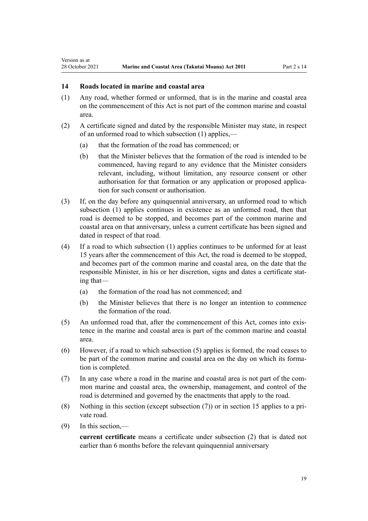# **14 Roads located in marine and coastal area**

<span id="page-18-0"></span>Version as at

- (1) Any road, whether formed or unformed, that is in the marine and coastal area on the commencement of this Act is not part of the common marine and coastal area.
- (2) A certificate signed and dated by the responsible Minister may state, in respect of an unformed road to which subsection (1) applies,—
	- (a) that the formation of the road has commenced; or
	- (b) that the Minister believes that the formation of the road is intended to be commenced, having regard to any evidence that the Minister considers relevant, including, without limitation, any resource consent or other authorisation for that formation or any application or proposed applica‐ tion for such consent or authorisation.
- (3) If, on the day before any quinquennial anniversary, an unformed road to which subsection (1) applies continues in existence as an unformed road, then that road is deemed to be stopped, and becomes part of the common marine and coastal area on that anniversary, unless a current certificate has been signed and dated in respect of that road.
- (4) If a road to which subsection (1) applies continues to be unformed for at least 15 years after the commencement of this Act, the road is deemed to be stopped, and becomes part of the common marine and coastal area, on the date that the responsible Minister, in his or her discretion, signs and dates a certificate stat‐ ing that—
	- (a) the formation of the road has not commenced; and
	- (b) the Minister believes that there is no longer an intention to commence the formation of the road.
- (5) An unformed road that, after the commencement of this Act, comes into exis‐ tence in the marine and coastal area is part of the common marine and coastal area.
- (6) However, if a road to which subsection (5) applies is formed, the road ceases to be part of the common marine and coastal area on the day on which its formation is completed.
- (7) In any case where a road in the marine and coastal area is not part of the com‐ mon marine and coastal area, the ownership, management, and control of the road is determined and governed by the enactments that apply to the road.
- (8) Nothing in this section (except subsection  $(7)$ ) or in [section 15](#page-19-0) applies to a private road.
- (9) In this section,—

**current certificate** means a certificate under subsection (2) that is dated not earlier than 6 months before the relevant quinquennial anniversary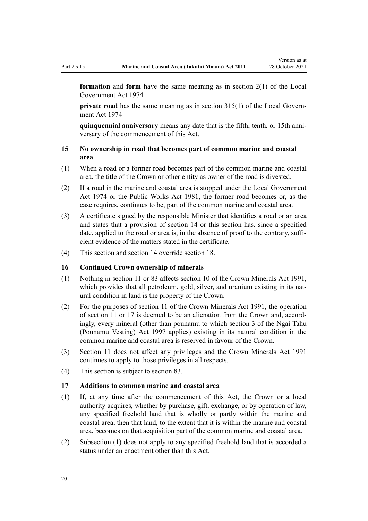<span id="page-19-0"></span>**formation** and **form** have the same meaning as in [section 2\(1\)](http://legislation.govt.nz/pdflink.aspx?id=DLM415539) of the Local Government Act 1974

**private road** has the same meaning as in [section 315\(1\)](http://legislation.govt.nz/pdflink.aspx?id=DLM420326) of the Local Government Act 1974

**quinquennial anniversary** means any date that is the fifth, tenth, or 15th anni‐ versary of the commencement of this Act.

# **15 No ownership in road that becomes part of common marine and coastal area**

- (1) When a road or a former road becomes part of the common marine and coastal area, the title of the Crown or other entity as owner of the road is divested.
- (2) If a road in the marine and coastal area is stopped under the [Local Government](http://legislation.govt.nz/pdflink.aspx?id=DLM415531) [Act 1974](http://legislation.govt.nz/pdflink.aspx?id=DLM415531) or the [Public Works Act 1981](http://legislation.govt.nz/pdflink.aspx?id=DLM45426), the former road becomes or, as the case requires, continues to be, part of the common marine and coastal area.
- (3) A certificate signed by the responsible Minister that identifies a road or an area and states that a provision of [section 14](#page-18-0) or this section has, since a specified date, applied to the road or area is, in the absence of proof to the contrary, sufficient evidence of the matters stated in the certificate.
- (4) This section and [section 14](#page-18-0) override [section 18](#page-20-0).

### **16 Continued Crown ownership of minerals**

- (1) Nothing in [section 11](#page-16-0) or [83](#page-63-0) affects [section 10](http://legislation.govt.nz/pdflink.aspx?id=DLM246310) of the Crown Minerals Act 1991, which provides that all petroleum, gold, silver, and uranium existing in its natural condition in land is the property of the Crown.
- (2) For the purposes of [section 11](http://legislation.govt.nz/pdflink.aspx?id=DLM246311) of the Crown Minerals Act 1991, the operation of [section 11](#page-16-0) or 17 is deemed to be an alienation from the Crown and, accord‐ ingly, every mineral (other than pounamu to which [section 3](http://legislation.govt.nz/pdflink.aspx?id=DLM413605) of the Ngai Tahu (Pounamu Vesting) Act 1997 applies) existing in its natural condition in the common marine and coastal area is reserved in favour of the Crown.
- (3) [Section 11](#page-16-0) does not affect any privileges and the [Crown Minerals Act 1991](http://legislation.govt.nz/pdflink.aspx?id=DLM242535) continues to apply to those privileges in all respects.
- (4) This section is subject to [section 83.](#page-63-0)

### **17 Additions to common marine and coastal area**

- (1) If, at any time after the commencement of this Act, the Crown or a local authority acquires, whether by purchase, gift, exchange, or by operation of law, any specified freehold land that is wholly or partly within the marine and coastal area, then that land, to the extent that it is within the marine and coastal area, becomes on that acquisition part of the common marine and coastal area.
- (2) Subsection (1) does not apply to any specified freehold land that is accorded a status under an enactment other than this Act.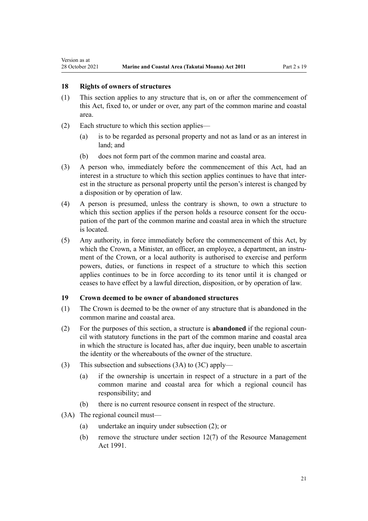#### **18 Rights of owners of structures**

<span id="page-20-0"></span>Version as at

- (1) This section applies to any structure that is, on or after the commencement of this Act, fixed to, or under or over, any part of the common marine and coastal area.
- (2) Each structure to which this section applies—
	- (a) is to be regarded as personal property and not as land or as an interest in land; and
	- (b) does not form part of the common marine and coastal area.
- (3) A person who, immediately before the commencement of this Act, had an interest in a structure to which this section applies continues to have that interest in the structure as personal property until the person's interest is changed by a disposition or by operation of law.
- (4) A person is presumed, unless the contrary is shown, to own a structure to which this section applies if the person holds a resource consent for the occupation of the part of the common marine and coastal area in which the structure is located.
- (5) Any authority, in force immediately before the commencement of this Act, by which the Crown, a Minister, an officer, an employee, a department, an instrument of the Crown, or a local authority is authorised to exercise and perform powers, duties, or functions in respect of a structure to which this section applies continues to be in force according to its tenor until it is changed or ceases to have effect by a lawful direction, disposition, or by operation of law.

#### **19 Crown deemed to be owner of abandoned structures**

- (1) The Crown is deemed to be the owner of any structure that is abandoned in the common marine and coastal area.
- (2) For the purposes of this section, a structure is **abandoned** if the regional coun‐ cil with statutory functions in the part of the common marine and coastal area in which the structure is located has, after due inquiry, been unable to ascertain the identity or the whereabouts of the owner of the structure.
- (3) This subsection and subsections (3A) to (3C) apply—
	- (a) if the ownership is uncertain in respect of a structure in a part of the common marine and coastal area for which a regional council has responsibility; and
	- (b) there is no current resource consent in respect of the structure.
- (3A) The regional council must—
	- (a) undertake an inquiry under subsection (2); or
	- (b) remove the structure under [section 12\(7\)](http://legislation.govt.nz/pdflink.aspx?id=DLM231949) of the Resource Management Act 1991.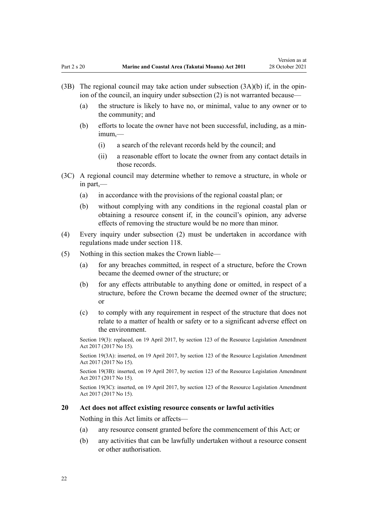- <span id="page-21-0"></span>(3B) The regional council may take action under subsection  $(3A)(b)$  if, in the opinion of the council, an inquiry under subsection (2) is not warranted because—
	- (a) the structure is likely to have no, or minimal, value to any owner or to the community; and
	- (b) efforts to locate the owner have not been successful, including, as a min‐ imum,—
		- (i) a search of the relevant records held by the council; and
		- (ii) a reasonable effort to locate the owner from any contact details in those records.
- (3C) A regional council may determine whether to remove a structure, in whole or in part,—
	- (a) in accordance with the provisions of the regional coastal plan; or
	- (b) without complying with any conditions in the regional coastal plan or obtaining a resource consent if, in the council's opinion, any adverse effects of removing the structure would be no more than minor.
- (4) Every inquiry under subsection (2) must be undertaken in accordance with regulations made under [section 118](#page-78-0).
- (5) Nothing in this section makes the Crown liable—
	- (a) for any breaches committed, in respect of a structure, before the Crown became the deemed owner of the structure; or
	- (b) for any effects attributable to anything done or omitted, in respect of a structure, before the Crown became the deemed owner of the structure; or
	- (c) to comply with any requirement in respect of the structure that does not relate to a matter of health or safety or to a significant adverse effect on the environment.

Section 19(3): replaced, on 19 April 2017, by [section 123](http://legislation.govt.nz/pdflink.aspx?id=DLM6669356) of the Resource Legislation Amendment Act 2017 (2017 No 15).

Section 19(3A): inserted, on 19 April 2017, by [section 123](http://legislation.govt.nz/pdflink.aspx?id=DLM6669356) of the Resource Legislation Amendment Act 2017 (2017 No 15).

Section 19(3B): inserted, on 19 April 2017, by [section 123](http://legislation.govt.nz/pdflink.aspx?id=DLM6669356) of the Resource Legislation Amendment Act 2017 (2017 No 15).

Section 19(3C): inserted, on 19 April 2017, by [section 123](http://legislation.govt.nz/pdflink.aspx?id=DLM6669356) of the Resource Legislation Amendment Act 2017 (2017 No 15).

#### **20 Act does not affect existing resource consents or lawful activities**

Nothing in this Act limits or affects—

- (a) any resource consent granted before the commencement of this Act; or
- (b) any activities that can be lawfully undertaken without a resource consent or other authorisation.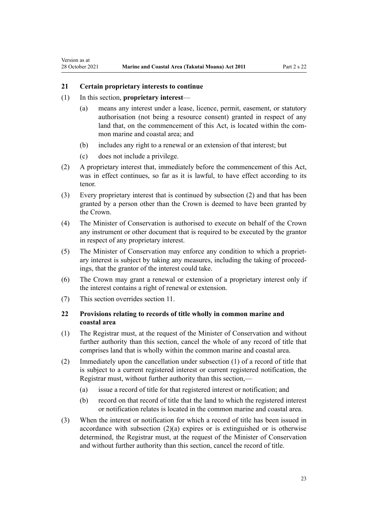#### **21 Certain proprietary interests to continue**

(1) In this section, **proprietary interest**—

<span id="page-22-0"></span>Version as at

- (a) means any interest under a lease, licence, permit, easement, or statutory authorisation (not being a resource consent) granted in respect of any land that, on the commencement of this Act, is located within the common marine and coastal area; and
- (b) includes any right to a renewal or an extension of that interest; but
- (c) does not include a privilege.
- (2) A proprietary interest that, immediately before the commencement of this Act, was in effect continues, so far as it is lawful, to have effect according to its tenor.
- (3) Every proprietary interest that is continued by subsection (2) and that has been granted by a person other than the Crown is deemed to have been granted by the Crown.
- (4) The Minister of Conservation is authorised to execute on behalf of the Crown any instrument or other document that is required to be executed by the grantor in respect of any proprietary interest.
- (5) The Minister of Conservation may enforce any condition to which a propriet‐ ary interest is subject by taking any measures, including the taking of proceed‐ ings, that the grantor of the interest could take.
- (6) The Crown may grant a renewal or extension of a proprietary interest only if the interest contains a right of renewal or extension.
- (7) This section overrides [section 11](#page-16-0).

# **22 Provisions relating to records of title wholly in common marine and coastal area**

- (1) The Registrar must, at the request of the Minister of Conservation and without further authority than this section, cancel the whole of any record of title that comprises land that is wholly within the common marine and coastal area.
- (2) Immediately upon the cancellation under subsection (1) of a record of title that is subject to a current registered interest or current registered notification, the Registrar must, without further authority than this section,—
	- (a) issue a record of title for that registered interest or notification; and
	- (b) record on that record of title that the land to which the registered interest or notification relates is located in the common marine and coastal area.
- (3) When the interest or notification for which a record of title has been issued in accordance with subsection  $(2)(a)$  expires or is extinguished or is otherwise determined, the Registrar must, at the request of the Minister of Conservation and without further authority than this section, cancel the record of title.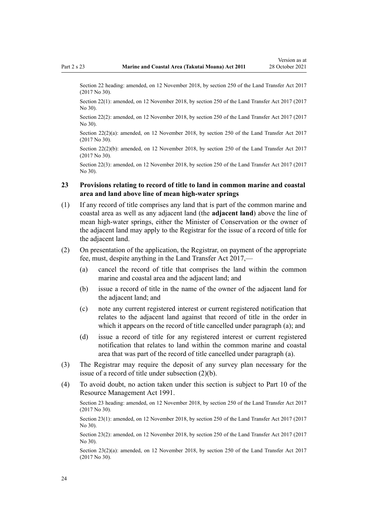<span id="page-23-0"></span>Section 22 heading: amended, on 12 November 2018, by [section 250](http://legislation.govt.nz/pdflink.aspx?id=DLM6731493) of the Land Transfer Act 2017 (2017 No 30).

Section 22(1): amended, on 12 November 2018, by [section 250](http://legislation.govt.nz/pdflink.aspx?id=DLM6731493) of the Land Transfer Act 2017 (2017 No 30).

Section 22(2): amended, on 12 November 2018, by [section 250](http://legislation.govt.nz/pdflink.aspx?id=DLM6731493) of the Land Transfer Act 2017 (2017 No 30).

Section 22(2)(a): amended, on 12 November 2018, by [section 250](http://legislation.govt.nz/pdflink.aspx?id=DLM6731493) of the Land Transfer Act 2017 (2017 No 30).

Section 22(2)(b): amended, on 12 November 2018, by [section 250](http://legislation.govt.nz/pdflink.aspx?id=DLM6731493) of the Land Transfer Act 2017 (2017 No 30).

Section 22(3): amended, on 12 November 2018, by [section 250](http://legislation.govt.nz/pdflink.aspx?id=DLM6731493) of the Land Transfer Act 2017 (2017 No 30).

#### **23 Provisions relating to record of title to land in common marine and coastal area and land above line of mean high-water springs**

- (1) If any record of title comprises any land that is part of the common marine and coastal area as well as any adjacent land (the **adjacent land**) above the line of mean high-water springs, either the Minister of Conservation or the owner of the adjacent land may apply to the Registrar for the issue of a record of title for the adjacent land.
- (2) On presentation of the application, the Registrar, on payment of the appropriate fee, must, despite anything in the [Land Transfer Act 2017,](http://legislation.govt.nz/pdflink.aspx?id=DLM6731002)—
	- (a) cancel the record of title that comprises the land within the common marine and coastal area and the adjacent land; and
	- (b) issue a record of title in the name of the owner of the adjacent land for the adjacent land; and
	- (c) note any current registered interest or current registered notification that relates to the adjacent land against that record of title in the order in which it appears on the record of title cancelled under paragraph (a); and
	- (d) issue a record of title for any registered interest or current registered notification that relates to land within the common marine and coastal area that was part of the record of title cancelled under paragraph (a).
- (3) The Registrar may require the deposit of any survey plan necessary for the issue of a record of title under subsection (2)(b).
- (4) To avoid doubt, no action taken under this section is subject to [Part 10](http://legislation.govt.nz/pdflink.aspx?id=DLM236786) of the Resource Management Act 1991.

Section 23 heading: amended, on 12 November 2018, by [section 250](http://legislation.govt.nz/pdflink.aspx?id=DLM6731493) of the Land Transfer Act 2017 (2017 No 30).

Section 23(1): amended, on 12 November 2018, by [section 250](http://legislation.govt.nz/pdflink.aspx?id=DLM6731493) of the Land Transfer Act 2017 (2017 No 30).

Section 23(2): amended, on 12 November 2018, by [section 250](http://legislation.govt.nz/pdflink.aspx?id=DLM6731493) of the Land Transfer Act 2017 (2017 No 30).

Section 23(2)(a): amended, on 12 November 2018, by [section 250](http://legislation.govt.nz/pdflink.aspx?id=DLM6731493) of the Land Transfer Act 2017 (2017 No 30).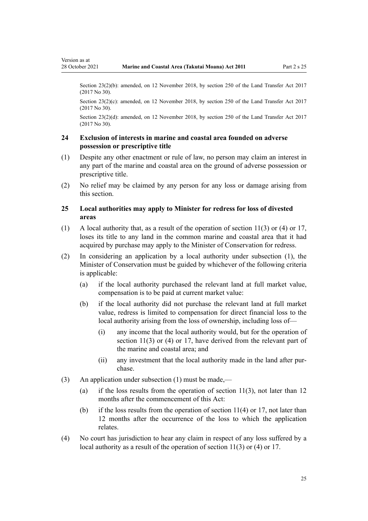<span id="page-24-0"></span>Version as at

Section 23(2)(b): amended, on 12 November 2018, by [section 250](http://legislation.govt.nz/pdflink.aspx?id=DLM6731493) of the Land Transfer Act 2017 (2017 No 30).

Section 23(2)(c): amended, on 12 November 2018, by [section 250](http://legislation.govt.nz/pdflink.aspx?id=DLM6731493) of the Land Transfer Act 2017 (2017 No 30).

Section 23(2)(d): amended, on 12 November 2018, by [section 250](http://legislation.govt.nz/pdflink.aspx?id=DLM6731493) of the Land Transfer Act 2017 (2017 No 30).

#### **24 Exclusion of interests in marine and coastal area founded on adverse possession or prescriptive title**

- (1) Despite any other enactment or rule of law, no person may claim an interest in any part of the marine and coastal area on the ground of adverse possession or prescriptive title.
- (2) No relief may be claimed by any person for any loss or damage arising from this section.

# **25 Local authorities may apply to Minister for redress for loss of divested areas**

- (1) A local authority that, as a result of the operation of [section 11\(3\) or \(4\)](#page-16-0) or [17](#page-19-0), loses its title to any land in the common marine and coastal area that it had acquired by purchase may apply to the Minister of Conservation for redress.
- (2) In considering an application by a local authority under subsection (1), the Minister of Conservation must be guided by whichever of the following criteria is applicable:
	- (a) if the local authority purchased the relevant land at full market value, compensation is to be paid at current market value:
	- (b) if the local authority did not purchase the relevant land at full market value, redress is limited to compensation for direct financial loss to the local authority arising from the loss of ownership, including loss of—
		- (i) any income that the local authority would, but for the operation of [section 11\(3\) or \(4\)](#page-16-0) or [17](#page-19-0), have derived from the relevant part of the marine and coastal area; and
		- (ii) any investment that the local authority made in the land after pur‐ chase.
- (3) An application under subsection (1) must be made,—
	- (a) if the loss results from the operation of section  $11(3)$ , not later than 12 months after the commencement of this Act:
	- (b) if the loss results from the operation of [section 11\(4\)](#page-16-0) or [17](#page-19-0), not later than 12 months after the occurrence of the loss to which the application relates.
- (4) No court has jurisdiction to hear any claim in respect of any loss suffered by a local authority as a result of the operation of [section 11\(3\) or \(4\)](#page-16-0) or [17](#page-19-0).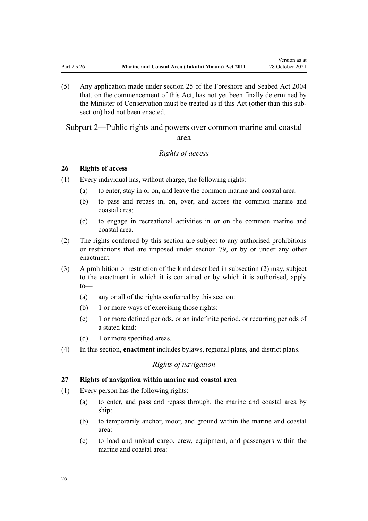<span id="page-25-0"></span>(5) Any application made under [section 25](http://legislation.govt.nz/pdflink.aspx?id=DLM320246) of the Foreshore and Seabed Act 2004 that, on the commencement of this Act, has not yet been finally determined by the Minister of Conservation must be treated as if this Act (other than this sub‐ section) had not been enacted.

Subpart 2—Public rights and powers over common marine and coastal area

# *Rights of access*

#### **26 Rights of access**

- (1) Every individual has, without charge, the following rights:
	- (a) to enter, stay in or on, and leave the common marine and coastal area:
	- (b) to pass and repass in, on, over, and across the common marine and coastal area:
	- (c) to engage in recreational activities in or on the common marine and coastal area.
- (2) The rights conferred by this section are subject to any authorised prohibitions or restrictions that are imposed under [section 79,](#page-60-0) or by or under any other enactment.
- (3) A prohibition or restriction of the kind described in subsection (2) may, subject to the enactment in which it is contained or by which it is authorised, apply to—
	- (a) any or all of the rights conferred by this section:
	- (b) 1 or more ways of exercising those rights:
	- (c) 1 or more defined periods, or an indefinite period, or recurring periods of a stated kind:
	- (d) 1 or more specified areas.
- (4) In this section, **enactment** includes bylaws, regional plans, and district plans.

# *Rights of navigation*

#### **27 Rights of navigation within marine and coastal area**

- (1) Every person has the following rights:
	- (a) to enter, and pass and repass through, the marine and coastal area by ship:
	- (b) to temporarily anchor, moor, and ground within the marine and coastal area:
	- (c) to load and unload cargo, crew, equipment, and passengers within the marine and coastal area: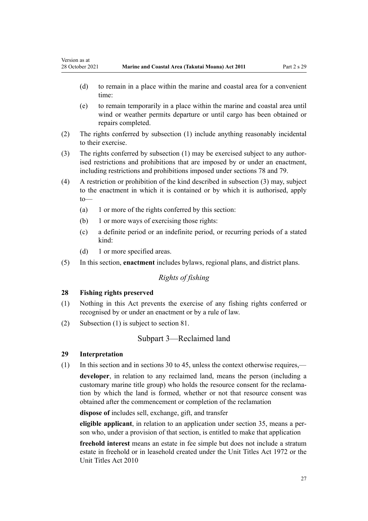- (d) to remain in a place within the marine and coastal area for a convenient time:
- (e) to remain temporarily in a place within the marine and coastal area until wind or weather permits departure or until cargo has been obtained or repairs completed.
- (2) The rights conferred by subsection (1) include anything reasonably incidental to their exercise.
- (3) The rights conferred by subsection (1) may be exercised subject to any authorised restrictions and prohibitions that are imposed by or under an enactment, including restrictions and prohibitions imposed under [sections 78](#page-59-0) and [79.](#page-60-0)
- (4) A restriction or prohibition of the kind described in subsection (3) may, subject to the enactment in which it is contained or by which it is authorised, apply to—
	- (a) 1 or more of the rights conferred by this section:
	- (b) 1 or more ways of exercising those rights:
	- (c) a definite period or an indefinite period, or recurring periods of a stated kind:
	- (d) 1 or more specified areas.
- (5) In this section, **enactment** includes bylaws, regional plans, and district plans.

# *Rights of fishing*

# **28 Fishing rights preserved**

- (1) Nothing in this Act prevents the exercise of any fishing rights conferred or recognised by or under an enactment or by a rule of law.
- (2) Subsection (1) is subject to [section 81.](#page-61-0)

# Subpart 3—Reclaimed land

#### **29 Interpretation**

<span id="page-26-0"></span>Version as at

(1) In this section and in [sections 30 to 45,](#page-27-0) unless the context otherwise requires,—

**developer**, in relation to any reclaimed land, means the person (including a customary marine title group) who holds the resource consent for the reclamation by which the land is formed, whether or not that resource consent was obtained after the commencement or completion of the reclamation

**dispose of** includes sell, exchange, gift, and transfer

**eligible applicant**, in relation to an application under [section 35,](#page-29-0) means a per‐ son who, under a provision of that section, is entitled to make that application

**freehold interest** means an estate in fee simple but does not include a stratum estate in freehold or in leasehold created under the [Unit Titles Act 1972](http://legislation.govt.nz/pdflink.aspx?id=DLM405590) or the [Unit Titles Act 2010](http://legislation.govt.nz/pdflink.aspx?id=DLM1160400)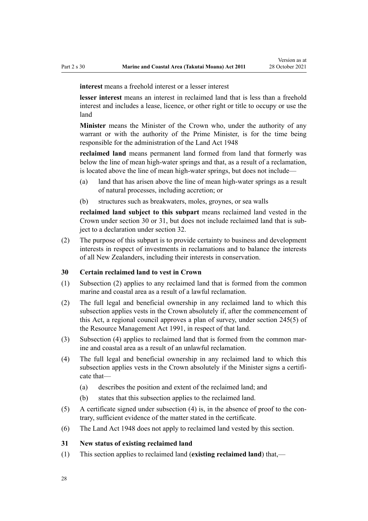<span id="page-27-0"></span>**interest** means a freehold interest or a lesser interest

**lesser interest** means an interest in reclaimed land that is less than a freehold interest and includes a lease, licence, or other right or title to occupy or use the land

**Minister** means the Minister of the Crown who, under the authority of any warrant or with the authority of the Prime Minister, is for the time being responsible for the administration of the [Land Act 1948](http://legislation.govt.nz/pdflink.aspx?id=DLM250585)

**reclaimed land** means permanent land formed from land that formerly was below the line of mean high-water springs and that, as a result of a reclamation, is located above the line of mean high-water springs, but does not include—

- (a) land that has arisen above the line of mean high-water springs as a result of natural processes, including accretion; or
- (b) structures such as breakwaters, moles, groynes, or sea walls

**reclaimed land subject to this subpart** means reclaimed land vested in the Crown under section 30 or 31, but does not include reclaimed land that is sub‐ ject to a declaration under [section 32](#page-28-0).

(2) The purpose of this subpart is to provide certainty to business and development interests in respect of investments in reclamations and to balance the interests of all New Zealanders, including their interests in conservation.

#### **30 Certain reclaimed land to vest in Crown**

- (1) Subsection (2) applies to any reclaimed land that is formed from the common marine and coastal area as a result of a lawful reclamation.
- (2) The full legal and beneficial ownership in any reclaimed land to which this subsection applies vests in the Crown absolutely if, after the commencement of this Act, a regional council approves a plan of survey, under [section 245\(5\)](http://legislation.govt.nz/pdflink.aspx?id=DLM237630) of the Resource Management Act 1991, in respect of that land.
- (3) Subsection (4) applies to reclaimed land that is formed from the common mar‐ ine and coastal area as a result of an unlawful reclamation.
- (4) The full legal and beneficial ownership in any reclaimed land to which this subsection applies vests in the Crown absolutely if the Minister signs a certificate that—
	- (a) describes the position and extent of the reclaimed land; and
	- (b) states that this subsection applies to the reclaimed land.
- $(5)$  A certificate signed under subsection  $(4)$  is, in the absence of proof to the contrary, sufficient evidence of the matter stated in the certificate.
- (6) The [Land Act 1948](http://legislation.govt.nz/pdflink.aspx?id=DLM250585) does not apply to reclaimed land vested by this section.

#### **31 New status of existing reclaimed land**

(1) This section applies to reclaimed land (**existing reclaimed land**) that,—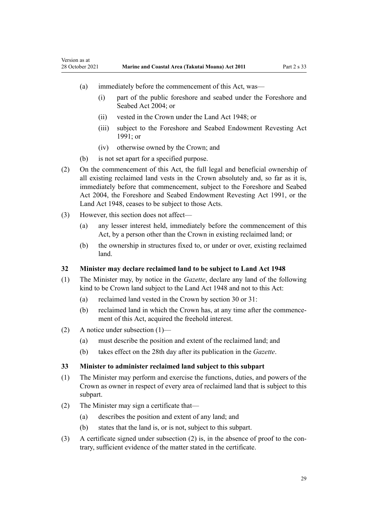- (a) immediately before the commencement of this Act, was—
	- (i) part of the public foreshore and seabed under the [Foreshore and](http://legislation.govt.nz/pdflink.aspx?id=DLM319838) [Seabed Act 2004;](http://legislation.govt.nz/pdflink.aspx?id=DLM319838) or
	- (ii) vested in the Crown under the [Land Act 1948](http://legislation.govt.nz/pdflink.aspx?id=DLM250585); or
	- (iii) subject to the Foreshore and Seabed Endowment Revesting Act 1991; or
	- (iv) otherwise owned by the Crown; and
- (b) is not set apart for a specified purpose.
- (2) On the commencement of this Act, the full legal and beneficial ownership of all existing reclaimed land vests in the Crown absolutely and, so far as it is, immediately before that commencement, subject to the [Foreshore and Seabed](http://legislation.govt.nz/pdflink.aspx?id=DLM319838) [Act 2004](http://legislation.govt.nz/pdflink.aspx?id=DLM319838), the Foreshore and Seabed Endowment Revesting Act 1991, or the [Land Act 1948](http://legislation.govt.nz/pdflink.aspx?id=DLM250585), ceases to be subject to those Acts.
- (3) However, this section does not affect—

<span id="page-28-0"></span>Version as at

- (a) any lesser interest held, immediately before the commencement of this Act, by a person other than the Crown in existing reclaimed land; or
- (b) the ownership in structures fixed to, or under or over, existing reclaimed land.

#### **32 Minister may declare reclaimed land to be subject to Land Act 1948**

- (1) The Minister may, by notice in the *Gazette*, declare any land of the following kind to be Crown land subject to the [Land Act 1948](http://legislation.govt.nz/pdflink.aspx?id=DLM250585) and not to this Act:
	- (a) reclaimed land vested in the Crown by [section 30](#page-27-0) or [31](#page-27-0):
	- (b) reclaimed land in which the Crown has, at any time after the commencement of this Act, acquired the freehold interest.
- (2) A notice under subsection (1)—
	- (a) must describe the position and extent of the reclaimed land; and
	- (b) takes effect on the 28th day after its publication in the *Gazette*.

#### **33 Minister to administer reclaimed land subject to this subpart**

- (1) The Minister may perform and exercise the functions, duties, and powers of the Crown as owner in respect of every area of reclaimed land that is subject to this subpart.
- (2) The Minister may sign a certificate that—
	- (a) describes the position and extent of any land; and
	- (b) states that the land is, or is not, subject to this subpart.
- (3) A certificate signed under subsection  $(2)$  is, in the absence of proof to the contrary, sufficient evidence of the matter stated in the certificate.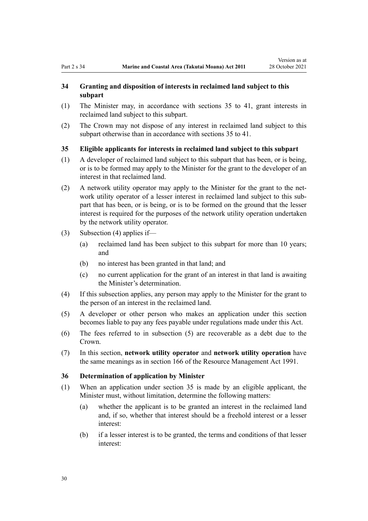# <span id="page-29-0"></span>**34 Granting and disposition of interests in reclaimed land subject to this subpart**

- (1) The Minister may, in accordance with sections 35 to 41, grant interests in reclaimed land subject to this subpart.
- (2) The Crown may not dispose of any interest in reclaimed land subject to this subpart otherwise than in accordance with sections 35 to 41.

# **35 Eligible applicants for interests in reclaimed land subject to this subpart**

- (1) A developer of reclaimed land subject to this subpart that has been, or is being, or is to be formed may apply to the Minister for the grant to the developer of an interest in that reclaimed land.
- (2) A network utility operator may apply to the Minister for the grant to the net‐ work utility operator of a lesser interest in reclaimed land subject to this subpart that has been, or is being, or is to be formed on the ground that the lesser interest is required for the purposes of the network utility operation undertaken by the network utility operator.
- (3) Subsection (4) applies if—
	- (a) reclaimed land has been subject to this subpart for more than 10 years; and
	- (b) no interest has been granted in that land; and
	- (c) no current application for the grant of an interest in that land is awaiting the Minister's determination.
- (4) If this subsection applies, any person may apply to the Minister for the grant to the person of an interest in the reclaimed land.
- (5) A developer or other person who makes an application under this section becomes liable to pay any fees payable under regulations made under this Act.
- (6) The fees referred to in subsection (5) are recoverable as a debt due to the Crown.
- (7) In this section, **network utility operator** and **network utility operation** have the same meanings as in [section 166](http://legislation.govt.nz/pdflink.aspx?id=DLM236206) of the Resource Management Act 1991.

#### **36 Determination of application by Minister**

- (1) When an application under section 35 is made by an eligible applicant, the Minister must, without limitation, determine the following matters:
	- (a) whether the applicant is to be granted an interest in the reclaimed land and, if so, whether that interest should be a freehold interest or a lesser interest:
	- (b) if a lesser interest is to be granted, the terms and conditions of that lesser interest: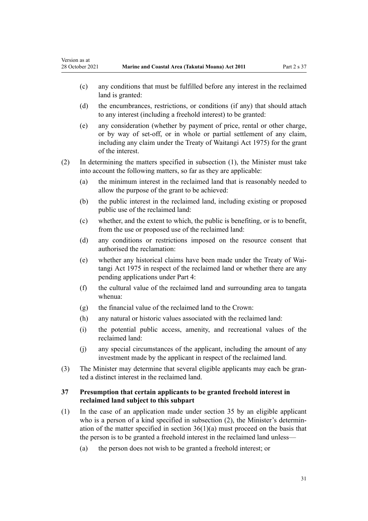<span id="page-30-0"></span>Version as at

- (c) any conditions that must be fulfilled before any interest in the reclaimed land is granted:
- (d) the encumbrances, restrictions, or conditions (if any) that should attach to any interest (including a freehold interest) to be granted:
- (e) any consideration (whether by payment of price, rental or other charge, or by way of set-off, or in whole or partial settlement of any claim, including any claim under the [Treaty of Waitangi Act 1975](http://legislation.govt.nz/pdflink.aspx?id=DLM435367)) for the grant of the interest.
- (2) In determining the matters specified in subsection (1), the Minister must take into account the following matters, so far as they are applicable:
	- (a) the minimum interest in the reclaimed land that is reasonably needed to allow the purpose of the grant to be achieved:
	- (b) the public interest in the reclaimed land, including existing or proposed public use of the reclaimed land:
	- (c) whether, and the extent to which, the public is benefiting, or is to benefit, from the use or proposed use of the reclaimed land:
	- (d) any conditions or restrictions imposed on the resource consent that authorised the reclamation:
	- (e) whether any historical claims have been made under the [Treaty of Wai‐](http://legislation.govt.nz/pdflink.aspx?id=DLM435367) [tangi Act 1975](http://legislation.govt.nz/pdflink.aspx?id=DLM435367) in respect of the reclaimed land or whether there are any pending applications under [Part 4:](#page-69-0)
	- (f) the cultural value of the reclaimed land and surrounding area to tangata whenua:
	- (g) the financial value of the reclaimed land to the Crown:
	- (h) any natural or historic values associated with the reclaimed land:
	- (i) the potential public access, amenity, and recreational values of the reclaimed land:
	- (j) any special circumstances of the applicant, including the amount of any investment made by the applicant in respect of the reclaimed land.
- (3) The Minister may determine that several eligible applicants may each be granted a distinct interest in the reclaimed land.

# **37 Presumption that certain applicants to be granted freehold interest in reclaimed land subject to this subpart**

- (1) In the case of an application made under [section 35](#page-29-0) by an eligible applicant who is a person of a kind specified in subsection (2), the Minister's determination of the matter specified in section  $36(1)(a)$  must proceed on the basis that the person is to be granted a freehold interest in the reclaimed land unless—
	- (a) the person does not wish to be granted a freehold interest; or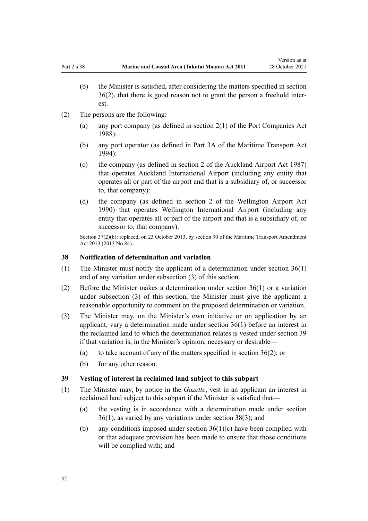- <span id="page-31-0"></span>(b) the Minister is satisfied, after considering the matters specified in [section](#page-29-0) [36\(2\)](#page-29-0), that there is good reason not to grant the person a freehold inter‐ est.
- (2) The persons are the following:
	- (a) any port company (as defined in [section 2\(1\)](http://legislation.govt.nz/pdflink.aspx?id=DLM131688) of the Port Companies Act 1988):
	- (b) any port operator (as defined in [Part 3A](http://legislation.govt.nz/pdflink.aspx?id=DLM5689750) of the Maritime Transport Act 1994):
	- (c) the company (as defined in [section 2](http://legislation.govt.nz/pdflink.aspx?id=DLM125376) of the Auckland Airport Act 1987) that operates Auckland International Airport (including any entity that operates all or part of the airport and that is a subsidiary of, or successor to, that company):
	- (d) the company (as defined in [section 2](http://legislation.govt.nz/pdflink.aspx?id=DLM211896) of the Wellington Airport Act 1990) that operates Wellington International Airport (including any entity that operates all or part of the airport and that is a subsidiary of, or successor to, that company).

Section 37(2)(b): replaced, on 23 October 2013, by [section 90](http://legislation.govt.nz/pdflink.aspx?id=DLM4698973) of the Maritime Transport Amendment Act 2013 (2013 No 84).

### **38 Notification of determination and variation**

- (1) The Minister must notify the applicant of a determination under [section 36\(1\)](#page-29-0) and of any variation under subsection (3) of this section.
- (2) Before the Minister makes a determination under [section 36\(1\)](#page-29-0) or a variation under subsection (3) of this section, the Minister must give the applicant a reasonable opportunity to comment on the proposed determination or variation.
- (3) The Minister may, on the Minister's own initiative or on application by an applicant, vary a determination made under [section 36\(1\)](#page-29-0) before an interest in the reclaimed land to which the determination relates is vested under section 39 if that variation is, in the Minister's opinion, necessary or desirable—
	- (a) to take account of any of the matters specified in section  $36(2)$ ; or
	- (b) for any other reason.

#### **39 Vesting of interest in reclaimed land subject to this subpart**

- (1) The Minister may, by notice in the *Gazette*, vest in an applicant an interest in reclaimed land subject to this subpart if the Minister is satisfied that—
	- (a) the vesting is in accordance with a determination made under [section](#page-29-0) [36\(1\)](#page-29-0), as varied by any variations under section 38(3); and
	- (b) any conditions imposed under section  $36(1)(c)$  have been complied with or that adequate provision has been made to ensure that those conditions will be complied with; and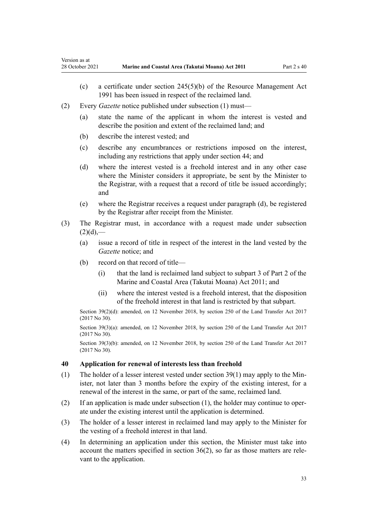- (c) a certificate under [section 245\(5\)\(b\)](http://legislation.govt.nz/pdflink.aspx?id=DLM237630) of the Resource Management Act 1991 has been issued in respect of the reclaimed land.
- (2) Every *Gazette* notice published under subsection (1) must—
	- (a) state the name of the applicant in whom the interest is vested and describe the position and extent of the reclaimed land; and
	- (b) describe the interest vested; and

<span id="page-32-0"></span>Version as at

- (c) describe any encumbrances or restrictions imposed on the interest, including any restrictions that apply under [section 44;](#page-35-0) and
- (d) where the interest vested is a freehold interest and in any other case where the Minister considers it appropriate, be sent by the Minister to the Registrar, with a request that a record of title be issued accordingly; and
- (e) where the Registrar receives a request under paragraph (d), be registered by the Registrar after receipt from the Minister.
- (3) The Registrar must, in accordance with a request made under subsection  $(2)(d)$ ,—
	- (a) issue a record of title in respect of the interest in the land vested by the *Gazette* notice; and
	- (b) record on that record of title—
		- (i) that the land is reclaimed land subject to [subpart 3 of Part 2](#page-26-0) of the Marine and Coastal Area (Takutai Moana) Act 2011; and
		- (ii) where the interest vested is a freehold interest, that the disposition of the freehold interest in that land is restricted by that subpart.

Section 39(2)(d): amended, on 12 November 2018, by [section 250](http://legislation.govt.nz/pdflink.aspx?id=DLM6731493) of the Land Transfer Act 2017 (2017 No 30).

Section 39(3)(a): amended, on 12 November 2018, by [section 250](http://legislation.govt.nz/pdflink.aspx?id=DLM6731493) of the Land Transfer Act 2017 (2017 No 30).

Section 39(3)(b): amended, on 12 November 2018, by [section 250](http://legislation.govt.nz/pdflink.aspx?id=DLM6731493) of the Land Transfer Act 2017 (2017 No 30).

# **40 Application for renewal of interests less than freehold**

- (1) The holder of a lesser interest vested under section  $39(1)$  may apply to the Minister, not later than 3 months before the expiry of the existing interest, for a renewal of the interest in the same, or part of the same, reclaimed land.
- (2) If an application is made under subsection  $(1)$ , the holder may continue to operate under the existing interest until the application is determined.
- (3) The holder of a lesser interest in reclaimed land may apply to the Minister for the vesting of a freehold interest in that land.
- (4) In determining an application under this section, the Minister must take into account the matters specified in section  $36(2)$ , so far as those matters are relevant to the application.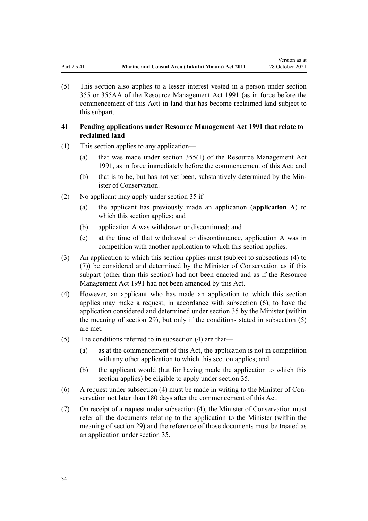<span id="page-33-0"></span>(5) This section also applies to a lesser interest vested in a person under [section](http://legislation.govt.nz/pdflink.aspx?id=DLM239322) [355](http://legislation.govt.nz/pdflink.aspx?id=DLM239322) or [355AA](http://legislation.govt.nz/pdflink.aspx?id=DLM239326) of the Resource Management Act 1991 (as in force before the commencement of this Act) in land that has become reclaimed land subject to this subpart.

# **41 Pending applications under Resource Management Act 1991 that relate to reclaimed land**

- (1) This section applies to any application—
	- (a) that was made under [section 355\(1\)](http://legislation.govt.nz/pdflink.aspx?id=DLM239322) of the Resource Management Act 1991, as in force immediately before the commencement of this Act; and
	- (b) that is to be, but has not yet been, substantively determined by the Minister of Conservation.
- (2) No applicant may apply under [section 35](#page-29-0) if—
	- (a) the applicant has previously made an application (**application A**) to which this section applies; and
	- (b) application A was withdrawn or discontinued; and
	- (c) at the time of that withdrawal or discontinuance, application A was in competition with another application to which this section applies.
- (3) An application to which this section applies must (subject to subsections (4) to (7)) be considered and determined by the Minister of Conservation as if this subpart (other than this section) had not been enacted and as if the [Resource](http://legislation.govt.nz/pdflink.aspx?id=DLM230264) [Management Act 1991](http://legislation.govt.nz/pdflink.aspx?id=DLM230264) had not been amended by this Act.
- (4) However, an applicant who has made an application to which this section applies may make a request, in accordance with subsection (6), to have the application considered and determined under [section 35](#page-29-0) by the Minister (within the meaning of [section 29](#page-26-0)), but only if the conditions stated in subsection (5) are met.
- (5) The conditions referred to in subsection (4) are that—
	- (a) as at the commencement of this Act, the application is not in competition with any other application to which this section applies; and
	- (b) the applicant would (but for having made the application to which this section applies) be eligible to apply under [section 35](#page-29-0).
- (6) A request under subsection  $(4)$  must be made in writing to the Minister of Conservation not later than 180 days after the commencement of this Act.
- (7) On receipt of a request under subsection (4), the Minister of Conservation must refer all the documents relating to the application to the Minister (within the meaning of [section 29](#page-26-0)) and the reference of those documents must be treated as an application under [section 35.](#page-29-0)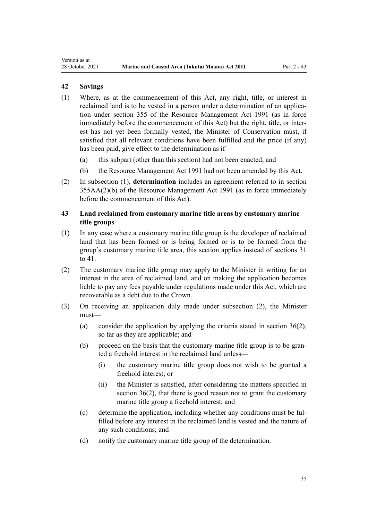# **42 Savings**

<span id="page-34-0"></span>Version as at

- (1) Where, as at the commencement of this Act, any right, title, or interest in reclaimed land is to be vested in a person under a determination of an application under [section 355](http://legislation.govt.nz/pdflink.aspx?id=DLM239322) of the Resource Management Act 1991 (as in force immediately before the commencement of this Act) but the right, title, or interest has not yet been formally vested, the Minister of Conservation must, if satisfied that all relevant conditions have been fulfilled and the price (if any) has been paid, give effect to the determination as if—
	- (a) this subpart (other than this section) had not been enacted; and
	- (b) the [Resource Management Act 1991](http://legislation.govt.nz/pdflink.aspx?id=DLM230264) had not been amended by this Act.
- (2) In subsection (1), **determination** includes an agreement referred to in [section](http://legislation.govt.nz/pdflink.aspx?id=DLM239326) [355AA\(2\)\(b\)](http://legislation.govt.nz/pdflink.aspx?id=DLM239326) of the Resource Management Act 1991 (as in force immediately before the commencement of this Act).

# **43 Land reclaimed from customary marine title areas by customary marine title groups**

- (1) In any case where a customary marine title group is the developer of reclaimed land that has been formed or is being formed or is to be formed from the group's customary marine title area, this section applies instead of [sections 31](#page-27-0) [to 41.](#page-27-0)
- (2) The customary marine title group may apply to the Minister in writing for an interest in the area of reclaimed land, and on making the application becomes liable to pay any fees payable under regulations made under this Act, which are recoverable as a debt due to the Crown.
- (3) On receiving an application duly made under subsection (2), the Minister must—
	- (a) consider the application by applying the criteria stated in [section 36\(2\)](#page-29-0), so far as they are applicable; and
	- (b) proceed on the basis that the customary marine title group is to be granted a freehold interest in the reclaimed land unless—
		- (i) the customary marine title group does not wish to be granted a freehold interest; or
		- (ii) the Minister is satisfied, after considering the matters specified in [section 36\(2\)](#page-29-0), that there is good reason not to grant the customary marine title group a freehold interest; and
	- (c) determine the application, including whether any conditions must be ful‐ filled before any interest in the reclaimed land is vested and the nature of any such conditions; and
	- (d) notify the customary marine title group of the determination.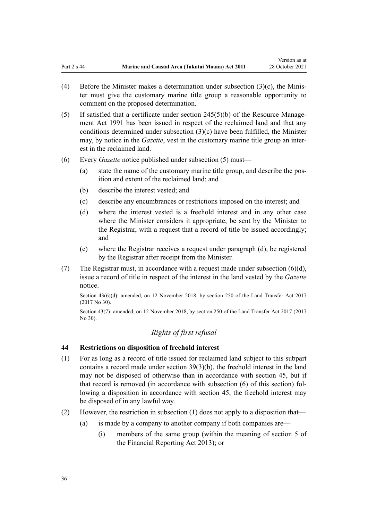- <span id="page-35-0"></span>(4) Before the Minister makes a determination under subsection  $(3)(c)$ , the Minister must give the customary marine title group a reasonable opportunity to comment on the proposed determination.
- (5) If satisfied that a certificate under section  $245(5)(b)$  of the Resource Management Act 1991 has been issued in respect of the reclaimed land and that any conditions determined under subsection (3)(c) have been fulfilled, the Minister may, by notice in the *Gazette*, vest in the customary marine title group an interest in the reclaimed land.
- (6) Every *Gazette* notice published under subsection (5) must—
	- (a) state the name of the customary marine title group, and describe the pos‐ ition and extent of the reclaimed land; and
	- (b) describe the interest vested; and
	- (c) describe any encumbrances or restrictions imposed on the interest; and
	- (d) where the interest vested is a freehold interest and in any other case where the Minister considers it appropriate, be sent by the Minister to the Registrar, with a request that a record of title be issued accordingly; and
	- (e) where the Registrar receives a request under paragraph (d), be registered by the Registrar after receipt from the Minister.
- (7) The Registrar must, in accordance with a request made under subsection  $(6)(d)$ , issue a record of title in respect of the interest in the land vested by the *Gazette* notice.

Section 43(6)(d): amended, on 12 November 2018, by [section 250](http://legislation.govt.nz/pdflink.aspx?id=DLM6731493) of the Land Transfer Act 2017 (2017 No 30).

Section 43(7): amended, on 12 November 2018, by [section 250](http://legislation.govt.nz/pdflink.aspx?id=DLM6731493) of the Land Transfer Act 2017 (2017 No 30).

# *Rights of first refusal*

#### **44 Restrictions on disposition of freehold interest**

- (1) For as long as a record of title issued for reclaimed land subject to this subpart contains a record made under [section 39\(3\)\(b\)](#page-31-0), the freehold interest in the land may not be disposed of otherwise than in accordance with [section 45,](#page-36-0) but if that record is removed (in accordance with subsection (6) of this section) fol‐ lowing a disposition in accordance with section 45, the freehold interest may be disposed of in any lawful way.
- (2) However, the restriction in subsection (1) does not apply to a disposition that—
	- (a) is made by a company to another company if both companies are—
		- (i) members of the same group (within the meaning of [section 5](http://legislation.govt.nz/pdflink.aspx?id=DLM4632837) of the Financial Reporting Act 2013); or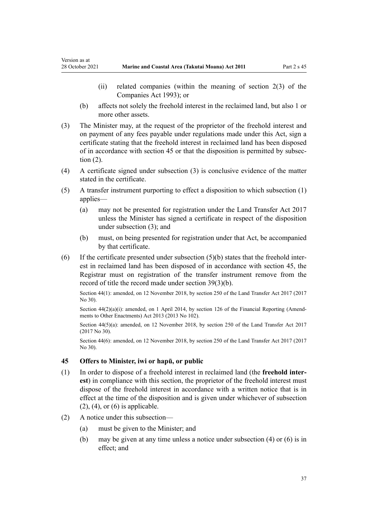Version as at

- (ii) related companies (within the meaning of [section 2\(3\)](http://legislation.govt.nz/pdflink.aspx?id=DLM319576) of the Companies Act 1993); or
- (b) affects not solely the freehold interest in the reclaimed land, but also 1 or more other assets.
- (3) The Minister may, at the request of the proprietor of the freehold interest and on payment of any fees payable under regulations made under this Act, sign a certificate stating that the freehold interest in reclaimed land has been disposed of in accordance with section 45 or that the disposition is permitted by subsec‐ tion (2).
- (4) A certificate signed under subsection (3) is conclusive evidence of the matter stated in the certificate.
- (5) A transfer instrument purporting to effect a disposition to which subsection (1) applies—
	- (a) may not be presented for registration under the [Land Transfer Act 2017](http://legislation.govt.nz/pdflink.aspx?id=DLM6731002) unless the Minister has signed a certificate in respect of the disposition under subsection (3); and
	- (b) must, on being presented for registration under that Act, be accompanied by that certificate.
- (6) If the certificate presented under subsection  $(5)(b)$  states that the freehold interest in reclaimed land has been disposed of in accordance with section 45, the Registrar must on registration of the transfer instrument remove from the record of title the record made under [section 39\(3\)\(b\)](#page-31-0).

Section 44(1): amended, on 12 November 2018, by [section 250](http://legislation.govt.nz/pdflink.aspx?id=DLM6731493) of the Land Transfer Act 2017 (2017 No 30).

Section  $44(2)(a)(i)$ : amended, on 1 April 2014, by [section 126](http://legislation.govt.nz/pdflink.aspx?id=DLM5740665) of the Financial Reporting (Amendments to Other Enactments) Act 2013 (2013 No 102).

Section 44(5)(a): amended, on 12 November 2018, by [section 250](http://legislation.govt.nz/pdflink.aspx?id=DLM6731493) of the Land Transfer Act 2017 (2017 No 30).

Section 44(6): amended, on 12 November 2018, by [section 250](http://legislation.govt.nz/pdflink.aspx?id=DLM6731493) of the Land Transfer Act 2017 (2017 No 30).

# **45 Offers to Minister, iwi or hapū, or public**

- (1) In order to dispose of a freehold interest in reclaimed land (the **freehold inter‐ est**) in compliance with this section, the proprietor of the freehold interest must dispose of the freehold interest in accordance with a written notice that is in effect at the time of the disposition and is given under whichever of subsection  $(2)$ ,  $(4)$ , or  $(6)$  is applicable.
- (2) A notice under this subsection—
	- (a) must be given to the Minister; and
	- (b) may be given at any time unless a notice under subsection (4) or (6) is in effect; and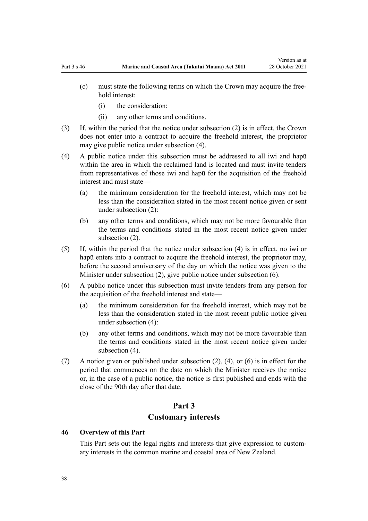- (c) must state the following terms on which the Crown may acquire the free‐ hold interest:
	- (i) the consideration:
	- (ii) any other terms and conditions.
- (3) If, within the period that the notice under subsection (2) is in effect, the Crown does not enter into a contract to acquire the freehold interest, the proprietor may give public notice under subsection (4).
- (4) A public notice under this subsection must be addressed to all iwi and hapū within the area in which the reclaimed land is located and must invite tenders from representatives of those iwi and hapū for the acquisition of the freehold interest and must state—
	- (a) the minimum consideration for the freehold interest, which may not be less than the consideration stated in the most recent notice given or sent under subsection (2):
	- (b) any other terms and conditions, which may not be more favourable than the terms and conditions stated in the most recent notice given under subsection (2).
- (5) If, within the period that the notice under subsection (4) is in effect, no iwi or hapū enters into a contract to acquire the freehold interest, the proprietor may, before the second anniversary of the day on which the notice was given to the Minister under subsection (2), give public notice under subsection (6).
- (6) A public notice under this subsection must invite tenders from any person for the acquisition of the freehold interest and state—
	- (a) the minimum consideration for the freehold interest, which may not be less than the consideration stated in the most recent public notice given under subsection (4):
	- (b) any other terms and conditions, which may not be more favourable than the terms and conditions stated in the most recent notice given under subsection (4).
- (7) A notice given or published under subsection (2), (4), or (6) is in effect for the period that commences on the date on which the Minister receives the notice or, in the case of a public notice, the notice is first published and ends with the close of the 90th day after that date.

# **Part 3 Customary interests**

### **46 Overview of this Part**

This Part sets out the legal rights and interests that give expression to customary interests in the common marine and coastal area of New Zealand.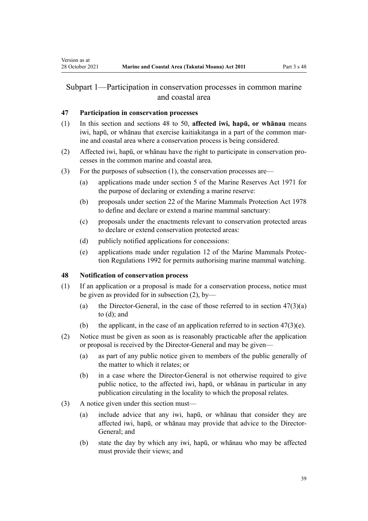# <span id="page-38-0"></span>Subpart 1—Participation in conservation processes in common marine and coastal area

# **47 Participation in conservation processes**

- (1) In this section and sections 48 to 50, **affected iwi, hapū, or whānau** means iwi, hapū, or whānau that exercise kaitiakitanga in a part of the common mar‐ ine and coastal area where a conservation process is being considered.
- (2) Affected iwi, hapū, or whānau have the right to participate in conservation pro‐ cesses in the common marine and coastal area.
- (3) For the purposes of subsection (1), the conservation processes are—
	- (a) applications made under [section 5](http://legislation.govt.nz/pdflink.aspx?id=DLM398113) of the Marine Reserves Act 1971 for the purpose of declaring or extending a marine reserve:
	- (b) proposals under [section 22](http://legislation.govt.nz/pdflink.aspx?id=DLM25372) of the Marine Mammals Protection Act 1978 to define and declare or extend a marine mammal sanctuary:
	- (c) proposals under the enactments relevant to conservation protected areas to declare or extend conservation protected areas:
	- (d) publicly notified applications for concessions:
	- (e) applications made under [regulation 12](http://legislation.govt.nz/pdflink.aspx?id=DLM168830) of the Marine Mammals Protec‐ tion Regulations 1992 for permits authorising marine mammal watching.

# **48 Notification of conservation process**

- (1) If an application or a proposal is made for a conservation process, notice must be given as provided for in subsection (2), by—
	- (a) the Director-General, in the case of those referred to in section  $47(3)(a)$ to (d); and
	- (b) the applicant, in the case of an application referred to in section  $47(3)(e)$ .
- (2) Notice must be given as soon as is reasonably practicable after the application or proposal is received by the Director-General and may be given—
	- (a) as part of any public notice given to members of the public generally of the matter to which it relates; or
	- (b) in a case where the Director-General is not otherwise required to give public notice, to the affected iwi, hapū, or whānau in particular in any publication circulating in the locality to which the proposal relates.
- (3) A notice given under this section must—
	- (a) include advice that any iwi, hapū, or whānau that consider they are affected iwi, hapū, or whānau may provide that advice to the Director-General; and
	- (b) state the day by which any iwi, hapū, or whānau who may be affected must provide their views; and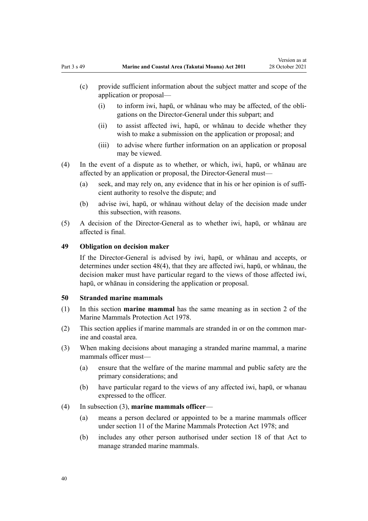- (c) provide sufficient information about the subject matter and scope of the application or proposal—
	- (i) to inform iwi, hapū, or whānau who may be affected, of the obli‐ gations on the Director-General under this subpart; and
	- (ii) to assist affected iwi, hapū, or whānau to decide whether they wish to make a submission on the application or proposal; and
	- (iii) to advise where further information on an application or proposal may be viewed.
- (4) In the event of a dispute as to whether, or which, iwi, hapū, or whānau are affected by an application or proposal, the Director-General must—
	- (a) seek, and may rely on, any evidence that in his or her opinion is of sufficient authority to resolve the dispute; and
	- (b) advise iwi, hapū, or whānau without delay of the decision made under this subsection, with reasons.
- (5) A decision of the Director-General as to whether iwi, hapū, or whānau are affected is final.

### **49 Obligation on decision maker**

If the Director-General is advised by iwi, hapū, or whānau and accepts, or determines under [section 48\(4\),](#page-38-0) that they are affected iwi, hapū, or whānau, the decision maker must have particular regard to the views of those affected iwi, hapū, or whānau in considering the application or proposal.

#### **50 Stranded marine mammals**

- (1) In this section **marine mammal** has the same meaning as in [section 2](http://legislation.govt.nz/pdflink.aspx?id=DLM25116) of the Marine Mammals Protection Act 1978.
- (2) This section applies if marine mammals are stranded in or on the common mar‐ ine and coastal area.
- (3) When making decisions about managing a stranded marine mammal, a marine mammals officer must—
	- (a) ensure that the welfare of the marine mammal and public safety are the primary considerations; and
	- (b) have particular regard to the views of any affected iwi, hapū, or whanau expressed to the officer.

### (4) In subsection (3), **marine mammals officer**—

- (a) means a person declared or appointed to be a marine mammals officer under [section 11](http://legislation.govt.nz/pdflink.aspx?id=DLM25336) of the Marine Mammals Protection Act 1978; and
- (b) includes any other person authorised under [section 18](http://legislation.govt.nz/pdflink.aspx?id=DLM25362) of that Act to manage stranded marine mammals.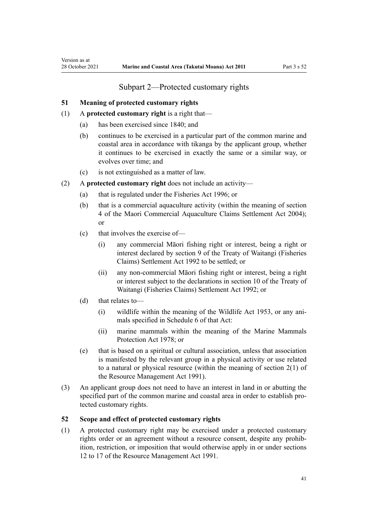# <span id="page-40-0"></span>**51 Meaning of protected customary rights**

- (1) A **protected customary right** is a right that—
	- (a) has been exercised since 1840; and
	- (b) continues to be exercised in a particular part of the common marine and coastal area in accordance with tikanga by the applicant group, whether it continues to be exercised in exactly the same or a similar way, or evolves over time; and
	- (c) is not extinguished as a matter of law.
- (2) A **protected customary right** does not include an activity—
	- (a) that is regulated under the [Fisheries Act 1996](http://legislation.govt.nz/pdflink.aspx?id=DLM394191); or
	- (b) that is a commercial aquaculture activity (within the meaning of [section](http://legislation.govt.nz/pdflink.aspx?id=DLM324356) [4](http://legislation.govt.nz/pdflink.aspx?id=DLM324356) of the Maori Commercial Aquaculture Claims Settlement Act 2004); or
	- (c) that involves the exercise of—
		- (i) any commercial Māori fishing right or interest, being a right or interest declared by [section 9](http://legislation.govt.nz/pdflink.aspx?id=DLM281460) of the Treaty of Waitangi (Fisheries Claims) Settlement Act 1992 to be settled; or
		- (ii) any non-commercial Māori fishing right or interest, being a right or interest subject to the declarations in [section 10](http://legislation.govt.nz/pdflink.aspx?id=DLM281461) of the Treaty of Waitangi (Fisheries Claims) Settlement Act 1992; or
	- (d) that relates to—
		- (i) wildlife within the meaning of the [Wildlife Act 1953](http://legislation.govt.nz/pdflink.aspx?id=DLM276813), or any ani‐ mals specified in [Schedule 6](http://legislation.govt.nz/pdflink.aspx?id=DLM278592) of that Act:
		- (ii) marine mammals within the meaning of the [Marine Mammals](http://legislation.govt.nz/pdflink.aspx?id=DLM25110) [Protection Act 1978;](http://legislation.govt.nz/pdflink.aspx?id=DLM25110) or
	- (e) that is based on a spiritual or cultural association, unless that association is manifested by the relevant group in a physical activity or use related to a natural or physical resource (within the meaning of [section 2\(1\)](http://legislation.govt.nz/pdflink.aspx?id=DLM230272) of the Resource Management Act 1991).
- (3) An applicant group does not need to have an interest in land in or abutting the specified part of the common marine and coastal area in order to establish protected customary rights.

# **52 Scope and effect of protected customary rights**

(1) A protected customary right may be exercised under a protected customary rights order or an agreement without a resource consent, despite any prohibition, restriction, or imposition that would otherwise apply in or under [sections](http://legislation.govt.nz/pdflink.aspx?id=DLM231949) [12 to 17](http://legislation.govt.nz/pdflink.aspx?id=DLM231949) of the Resource Management Act 1991.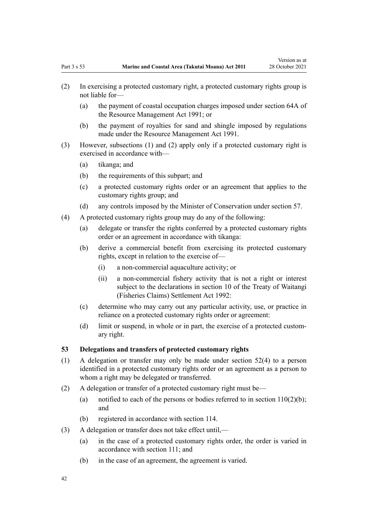- (a) the payment of coastal occupation charges imposed under [section 64A](http://legislation.govt.nz/pdflink.aspx?id=DLM233610) of the Resource Management Act 1991; or
- (b) the payment of royalties for sand and shingle imposed by regulations made under the [Resource Management Act 1991](http://legislation.govt.nz/pdflink.aspx?id=DLM230264).
- (3) However, subsections (1) and (2) apply only if a protected customary right is exercised in accordance with—
	- (a) tikanga; and
	- (b) the requirements of this subpart; and
	- (c) a protected customary rights order or an agreement that applies to the customary rights group; and
	- (d) any controls imposed by the Minister of Conservation under [section 57](#page-44-0).
- (4) A protected customary rights group may do any of the following:
	- (a) delegate or transfer the rights conferred by a protected customary rights order or an agreement in accordance with tikanga:
	- (b) derive a commercial benefit from exercising its protected customary rights, except in relation to the exercise of—
		- (i) a non-commercial aquaculture activity; or
		- (ii) a non-commercial fishery activity that is not a right or interest subject to the declarations in [section 10](http://legislation.govt.nz/pdflink.aspx?id=DLM281461) of the Treaty of Waitangi (Fisheries Claims) Settlement Act 1992:
	- (c) determine who may carry out any particular activity, use, or practice in reliance on a protected customary rights order or agreement:
	- (d) limit or suspend, in whole or in part, the exercise of a protected custom‐ ary right.

#### **53 Delegations and transfers of protected customary rights**

- (1) A delegation or transfer may only be made under [section 52\(4\)](#page-40-0) to a person identified in a protected customary rights order or an agreement as a person to whom a right may be delegated or transferred.
- (2) A delegation or transfer of a protected customary right must be—
	- (a) notified to each of the persons or bodies referred to in section  $110(2)(b)$ ; and
	- (b) registered in accordance with [section 114](#page-77-0).
- (3) A delegation or transfer does not take effect until,—
	- (a) in the case of a protected customary rights order, the order is varied in accordance with [section 111;](#page-76-0) and
	- (b) in the case of an agreement, the agreement is varied.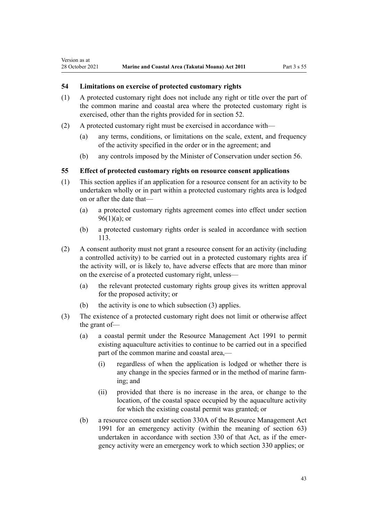### **54 Limitations on exercise of protected customary rights**

Version as at

- (1) A protected customary right does not include any right or title over the part of the common marine and coastal area where the protected customary right is exercised, other than the rights provided for in [section 52](#page-40-0).
- (2) A protected customary right must be exercised in accordance with—
	- (a) any terms, conditions, or limitations on the scale, extent, and frequency of the activity specified in the order or in the agreement; and
	- (b) any controls imposed by the Minister of Conservation under [section 56](#page-43-0).

#### **55 Effect of protected customary rights on resource consent applications**

- (1) This section applies if an application for a resource consent for an activity to be undertaken wholly or in part within a protected customary rights area is lodged on or after the date that—
	- (a) a protected customary rights agreement comes into effect under [section](#page-69-0)  $96(1)(a)$ ; or
	- (b) a protected customary rights order is sealed in accordance with [section](#page-77-0) [113](#page-77-0).
- (2) A consent authority must not grant a resource consent for an activity (including a controlled activity) to be carried out in a protected customary rights area if the activity will, or is likely to, have adverse effects that are more than minor on the exercise of a protected customary right, unless—
	- (a) the relevant protected customary rights group gives its written approval for the proposed activity; or
	- (b) the activity is one to which subsection (3) applies.
- (3) The existence of a protected customary right does not limit or otherwise affect the grant of—
	- (a) a coastal permit under the [Resource Management Act 1991](http://legislation.govt.nz/pdflink.aspx?id=DLM230264) to permit existing aquaculture activities to continue to be carried out in a specified part of the common marine and coastal area,-
		- (i) regardless of when the application is lodged or whether there is any change in the species farmed or in the method of marine farming; and
		- (ii) provided that there is no increase in the area, or change to the location, of the coastal space occupied by the aquaculture activity for which the existing coastal permit was granted; or
	- (b) a resource consent under [section 330A](http://legislation.govt.nz/pdflink.aspx?id=DLM239008) of the Resource Management Act 1991 for an emergency activity (within the meaning of [section 63](#page-48-0)) undertaken in accordance with [section 330](http://legislation.govt.nz/pdflink.aspx?id=DLM239003) of that Act, as if the emergency activity were an emergency work to which section 330 applies; or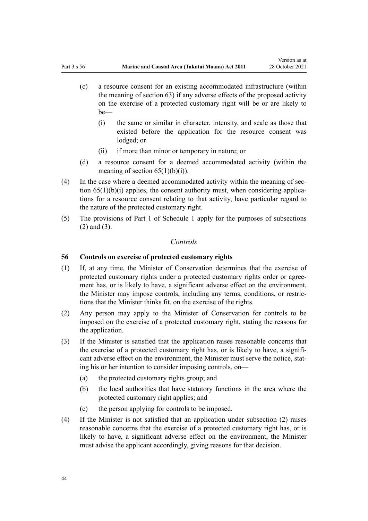- <span id="page-43-0"></span>(c) a resource consent for an existing accommodated infrastructure (within the meaning of [section 63\)](#page-48-0) if any adverse effects of the proposed activity on the exercise of a protected customary right will be or are likely to be—
	- (i) the same or similar in character, intensity, and scale as those that existed before the application for the resource consent was lodged; or
	- (ii) if more than minor or temporary in nature; or
- (d) a resource consent for a deemed accommodated activity (within the meaning of section  $65(1)(b)(i)$ .
- (4) In the case where a deemed accommodated activity within the meaning of [sec‐](#page-52-0) tion  $65(1)(b)(i)$  applies, the consent authority must, when considering applications for a resource consent relating to that activity, have particular regard to the nature of the protected customary right.
- (5) The provisions of [Part 1](#page-85-0) of Schedule 1 apply for the purposes of subsections (2) and (3).

### *Controls*

#### **56 Controls on exercise of protected customary rights**

- (1) If, at any time, the Minister of Conservation determines that the exercise of protected customary rights under a protected customary rights order or agree‐ ment has, or is likely to have, a significant adverse effect on the environment, the Minister may impose controls, including any terms, conditions, or restric‐ tions that the Minister thinks fit, on the exercise of the rights.
- (2) Any person may apply to the Minister of Conservation for controls to be imposed on the exercise of a protected customary right, stating the reasons for the application.
- (3) If the Minister is satisfied that the application raises reasonable concerns that the exercise of a protected customary right has, or is likely to have, a significant adverse effect on the environment, the Minister must serve the notice, stating his or her intention to consider imposing controls, on—
	- (a) the protected customary rights group; and
	- (b) the local authorities that have statutory functions in the area where the protected customary right applies; and
	- (c) the person applying for controls to be imposed.
- (4) If the Minister is not satisfied that an application under subsection (2) raises reasonable concerns that the exercise of a protected customary right has, or is likely to have, a significant adverse effect on the environment, the Minister must advise the applicant accordingly, giving reasons for that decision.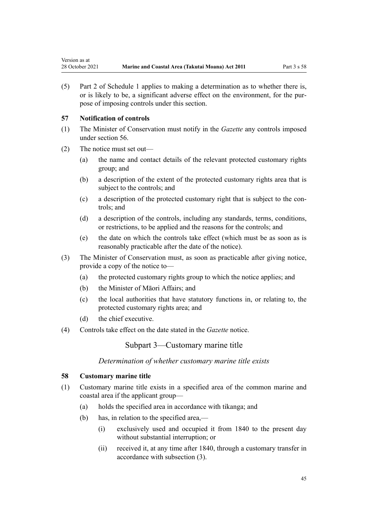<span id="page-44-0"></span>(5) [Part 2](#page-87-0) of Schedule 1 applies to making a determination as to whether there is, or is likely to be, a significant adverse effect on the environment, for the pur‐ pose of imposing controls under this section.

# **57 Notification of controls**

- (1) The Minister of Conservation must notify in the *Gazette* any controls imposed under [section 56](#page-43-0).
- (2) The notice must set out—
	- (a) the name and contact details of the relevant protected customary rights group; and
	- (b) a description of the extent of the protected customary rights area that is subject to the controls; and
	- (c) a description of the protected customary right that is subject to the con‐ trols; and
	- (d) a description of the controls, including any standards, terms, conditions, or restrictions, to be applied and the reasons for the controls; and
	- (e) the date on which the controls take effect (which must be as soon as is reasonably practicable after the date of the notice).
- (3) The Minister of Conservation must, as soon as practicable after giving notice, provide a copy of the notice to—
	- (a) the protected customary rights group to which the notice applies; and
	- (b) the Minister of Māori Affairs; and
	- (c) the local authorities that have statutory functions in, or relating to, the protected customary rights area; and
	- (d) the chief executive.
- (4) Controls take effect on the date stated in the *Gazette* notice.

Subpart 3—Customary marine title

*Determination of whether customary marine title exists*

### **58 Customary marine title**

- (1) Customary marine title exists in a specified area of the common marine and coastal area if the applicant group—
	- (a) holds the specified area in accordance with tikanga; and
	- (b) has, in relation to the specified area,—
		- (i) exclusively used and occupied it from 1840 to the present day without substantial interruption; or
		- (ii) received it, at any time after 1840, through a customary transfer in accordance with subsection (3).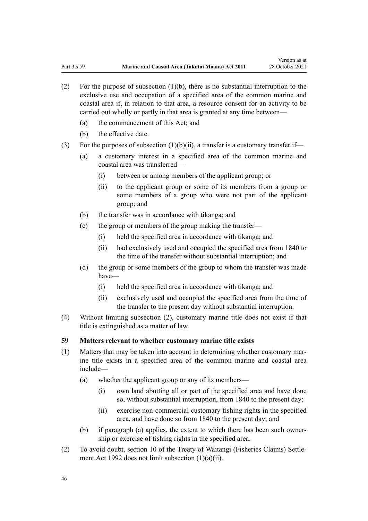- (2) For the purpose of subsection (1)(b), there is no substantial interruption to the exclusive use and occupation of a specified area of the common marine and coastal area if, in relation to that area, a resource consent for an activity to be carried out wholly or partly in that area is granted at any time between—
	- (a) the commencement of this Act; and
	- (b) the effective date.
- (3) For the purposes of subsection  $(1)(b)(ii)$ , a transfer is a customary transfer if-
	- (a) a customary interest in a specified area of the common marine and coastal area was transferred—
		- (i) between or among members of the applicant group; or
		- (ii) to the applicant group or some of its members from a group or some members of a group who were not part of the applicant group; and
	- (b) the transfer was in accordance with tikanga; and
	- (c) the group or members of the group making the transfer—
		- (i) held the specified area in accordance with tikanga; and
		- (ii) had exclusively used and occupied the specified area from 1840 to the time of the transfer without substantial interruption; and
	- (d) the group or some members of the group to whom the transfer was made have—
		- (i) held the specified area in accordance with tikanga; and
		- (ii) exclusively used and occupied the specified area from the time of the transfer to the present day without substantial interruption.
- (4) Without limiting subsection (2), customary marine title does not exist if that title is extinguished as a matter of law.

#### **59 Matters relevant to whether customary marine title exists**

- $(1)$  Matters that may be taken into account in determining whether customary marine title exists in a specified area of the common marine and coastal area include—
	- (a) whether the applicant group or any of its members—
		- (i) own land abutting all or part of the specified area and have done so, without substantial interruption, from 1840 to the present day:
		- (ii) exercise non-commercial customary fishing rights in the specified area, and have done so from 1840 to the present day; and
	- (b) if paragraph (a) applies, the extent to which there has been such ownership or exercise of fishing rights in the specified area.
- (2) To avoid doubt, [section 10](http://legislation.govt.nz/pdflink.aspx?id=DLM281461) of the Treaty of Waitangi (Fisheries Claims) Settle‐ ment Act 1992 does not limit subsection (1)(a)(ii).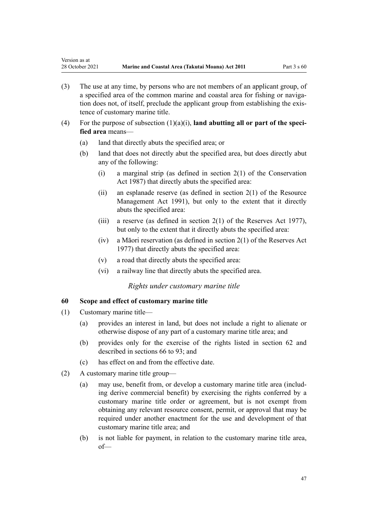- (3) The use at any time, by persons who are not members of an applicant group, of a specified area of the common marine and coastal area for fishing or navigation does not, of itself, preclude the applicant group from establishing the exis‐ tence of customary marine title.
- (4) For the purpose of subsection  $(1)(a)(i)$ , **land abutting all or part of the specified area** means—
	- (a) land that directly abuts the specified area; or
	- (b) land that does not directly abut the specified area, but does directly abut any of the following:
		- (i) a marginal strip (as defined in [section 2\(1\)](http://legislation.govt.nz/pdflink.aspx?id=DLM103616) of the Conservation Act 1987) that directly abuts the specified area:
		- (ii) an esplanade reserve (as defined in section  $2(1)$  of the Resource Management Act 1991), but only to the extent that it directly abuts the specified area:
		- (iii) a reserve (as defined in [section 2\(1\)](http://legislation.govt.nz/pdflink.aspx?id=DLM444310) of the Reserves Act 1977), but only to the extent that it directly abuts the specified area:
		- (iv) a Māori reservation (as defined in [section 2\(1\)](http://legislation.govt.nz/pdflink.aspx?id=DLM444310) of the Reserves Act 1977) that directly abuts the specified area:
		- (v) a road that directly abuts the specified area:
		- (vi) a railway line that directly abuts the specified area.

#### *Rights under customary marine title*

### **60 Scope and effect of customary marine title**

(1) Customary marine title—

<span id="page-46-0"></span>Version as at

- (a) provides an interest in land, but does not include a right to alienate or otherwise dispose of any part of a customary marine title area; and
- (b) provides only for the exercise of the rights listed in [section 62](#page-47-0) and described in [sections 66 to 93;](#page-53-0) and
- (c) has effect on and from the effective date.
- (2) A customary marine title group—
	- (a) may use, benefit from, or develop a customary marine title area (including derive commercial benefit) by exercising the rights conferred by a customary marine title order or agreement, but is not exempt from obtaining any relevant resource consent, permit, or approval that may be required under another enactment for the use and development of that customary marine title area; and
	- (b) is not liable for payment, in relation to the customary marine title area, of—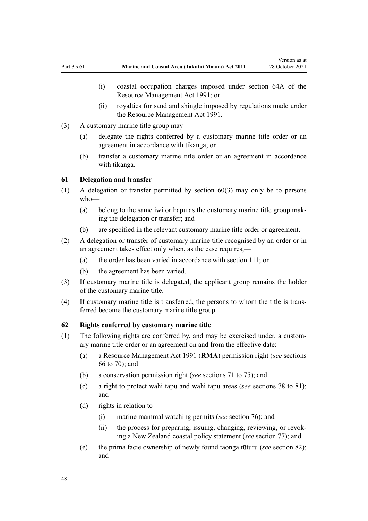- <span id="page-47-0"></span>(i) coastal occupation charges imposed under [section 64A](http://legislation.govt.nz/pdflink.aspx?id=DLM233610) of the Resource Management Act 1991; or
- (ii) royalties for sand and shingle imposed by regulations made under the [Resource Management Act 1991](http://legislation.govt.nz/pdflink.aspx?id=DLM230264).
- (3) A customary marine title group may—
	- (a) delegate the rights conferred by a customary marine title order or an agreement in accordance with tikanga; or
	- (b) transfer a customary marine title order or an agreement in accordance with tikanga.

### **61 Delegation and transfer**

- (1) A delegation or transfer permitted by [section 60\(3\)](#page-46-0) may only be to persons who—
	- (a) belong to the same iwi or hapū as the customary marine title group mak‐ ing the delegation or transfer; and
	- (b) are specified in the relevant customary marine title order or agreement.
- (2) A delegation or transfer of customary marine title recognised by an order or in an agreement takes effect only when, as the case requires,—
	- (a) the order has been varied in accordance with [section 111](#page-76-0); or
	- (b) the agreement has been varied.
- (3) If customary marine title is delegated, the applicant group remains the holder of the customary marine title.
- (4) If customary marine title is transferred, the persons to whom the title is trans‐ ferred become the customary marine title group.

# **62 Rights conferred by customary marine title**

- (1) The following rights are conferred by, and may be exercised under, a custom‐ ary marine title order or an agreement on and from the effective date:
	- (a) a [Resource Management Act 1991](http://legislation.govt.nz/pdflink.aspx?id=DLM230264) (**RMA**) permission right (*see* [sections](#page-53-0) [66 to 70\)](#page-53-0); and
	- (b) a conservation permission right (*see* [sections 71 to 75\)](#page-56-0); and
	- (c) a right to protect wāhi tapu and wāhi tapu areas (*see* [sections 78 to 81](#page-59-0)); and
	- (d) rights in relation to—
		- (i) marine mammal watching permits (*see* [section 76\)](#page-58-0); and
		- (ii) the process for preparing, issuing, changing, reviewing, or revok‐ ing a New Zealand coastal policy statement (*see* [section 77\)](#page-59-0); and
	- (e) the prima facie ownership of newly found taonga tūturu (*see* [section 82](#page-62-0)); and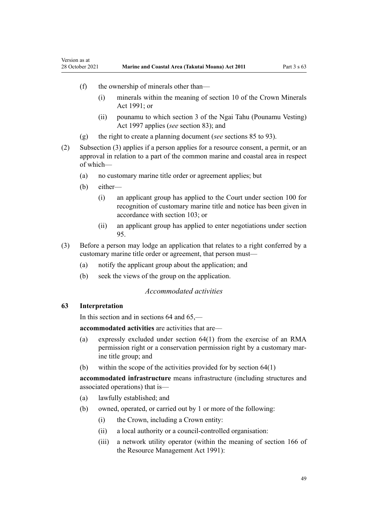- (f) the ownership of minerals other than—
	- (i) minerals within the meaning of [section 10](http://legislation.govt.nz/pdflink.aspx?id=DLM246310) of the Crown Minerals Act 1991; or
	- (ii) pounamu to which [section 3](http://legislation.govt.nz/pdflink.aspx?id=DLM413605) of the Ngai Tahu (Pounamu Vesting) Act 1997 applies (*see* [section 83](#page-63-0)); and
- (g) the right to create a planning document (*see* [sections 85 to 93](#page-64-0)).
- (2) Subsection (3) applies if a person applies for a resource consent, a permit, or an approval in relation to a part of the common marine and coastal area in respect of which—
	- (a) no customary marine title order or agreement applies; but
	- (b) either—

<span id="page-48-0"></span>Version as at

- (i) an applicant group has applied to the Court under [section 100](#page-71-0) for recognition of customary marine title and notice has been given in accordance with [section 103;](#page-72-0) or
- (ii) an applicant group has applied to enter negotiations under [section](#page-69-0) [95.](#page-69-0)
- (3) Before a person may lodge an application that relates to a right conferred by a customary marine title order or agreement, that person must—
	- (a) notify the applicant group about the application; and
	- (b) seek the views of the group on the application.

### *Accommodated activities*

# **63 Interpretation**

In this section and in [sections 64](#page-50-0) and [65](#page-52-0),—

**accommodated activities** are activities that are—

- (a) expressly excluded under [section 64\(1\)](#page-50-0) from the exercise of an RMA permission right or a conservation permission right by a customary marine title group; and
- (b) within the scope of the activities provided for by [section 64\(1\)](#page-50-0)

**accommodated infrastructure** means infrastructure (including structures and associated operations) that is—

- (a) lawfully established; and
- (b) owned, operated, or carried out by 1 or more of the following:
	- (i) the Crown, including a Crown entity:
	- (ii) a local authority or a council-controlled organisation:
	- (iii) a network utility operator (within the meaning of [section 166](http://legislation.govt.nz/pdflink.aspx?id=DLM236206) of the Resource Management Act 1991):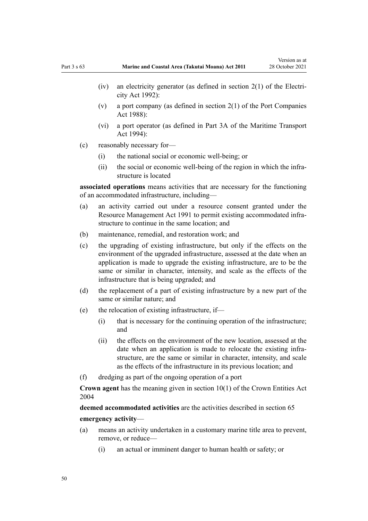- $(iv)$  an electricity generator (as defined in [section 2\(1\)](http://legislation.govt.nz/pdflink.aspx?id=DLM281866) of the Electricity Act 1992):
- (v) a port company (as defined in [section 2\(1\)](http://legislation.govt.nz/pdflink.aspx?id=DLM131688) of the Port Companies Act 1988):
- (vi) a port operator (as defined in [Part 3A](http://legislation.govt.nz/pdflink.aspx?id=DLM5689750) of the Maritime Transport Act 1994):
- (c) reasonably necessary for—
	- (i) the national social or economic well-being; or
	- (ii) the social or economic well-being of the region in which the infrastructure is located

**associated operations** means activities that are necessary for the functioning of an accommodated infrastructure, including—

- (a) an activity carried out under a resource consent granted under the [Resource Management Act 1991](http://legislation.govt.nz/pdflink.aspx?id=DLM230264) to permit existing accommodated infrastructure to continue in the same location; and
- (b) maintenance, remedial, and restoration work; and
- (c) the upgrading of existing infrastructure, but only if the effects on the environment of the upgraded infrastructure, assessed at the date when an application is made to upgrade the existing infrastructure, are to be the same or similar in character, intensity, and scale as the effects of the infrastructure that is being upgraded; and
- (d) the replacement of a part of existing infrastructure by a new part of the same or similar nature; and
- (e) the relocation of existing infrastructure, if—
	- (i) that is necessary for the continuing operation of the infrastructure; and
	- (ii) the effects on the environment of the new location, assessed at the date when an application is made to relocate the existing infrastructure, are the same or similar in character, intensity, and scale as the effects of the infrastructure in its previous location; and
- (f) dredging as part of the ongoing operation of a port

**Crown agent** has the meaning given in [section 10\(1\)](http://legislation.govt.nz/pdflink.aspx?id=DLM329649) of the Crown Entities Act 2004

**deemed accommodated activities** are the activities described in [section 65](#page-52-0) **emergency activity**—

- (a) means an activity undertaken in a customary marine title area to prevent, remove, or reduce—
	- (i) an actual or imminent danger to human health or safety; or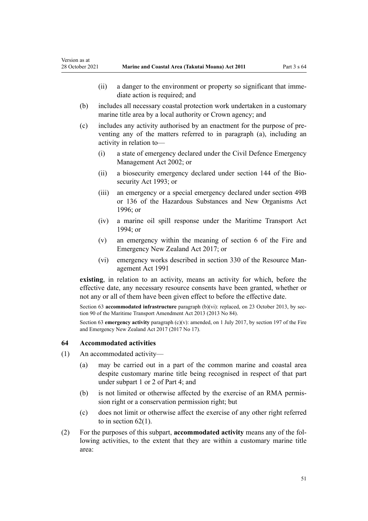- <span id="page-50-0"></span>(ii) a danger to the environment or property so significant that immediate action is required; and
- (b) includes all necessary coastal protection work undertaken in a customary marine title area by a local authority or Crown agency; and
- (c) includes any activity authorised by an enactment for the purpose of pre‐ venting any of the matters referred to in paragraph (a), including an activity in relation to—
	- (i) a state of emergency declared under the [Civil Defence Emergency](http://legislation.govt.nz/pdflink.aspx?id=DLM149788) [Management Act 2002;](http://legislation.govt.nz/pdflink.aspx?id=DLM149788) or
	- (ii) a biosecurity emergency declared under [section 144](http://legislation.govt.nz/pdflink.aspx?id=DLM316395) of the Biosecurity Act 1993; or
	- (iii) an emergency or a special emergency declared under [section 49B](http://legislation.govt.nz/pdflink.aspx?id=DLM384019) or [136](http://legislation.govt.nz/pdflink.aspx?id=DLM384998) of the Hazardous Substances and New Organisms Act 1996; or
	- (iv) a marine oil spill response under the [Maritime Transport Act](http://legislation.govt.nz/pdflink.aspx?id=DLM334659) [1994](http://legislation.govt.nz/pdflink.aspx?id=DLM334659); or
	- (v) an emergency within the meaning of [section 6](http://legislation.govt.nz/pdflink.aspx?id=DLM6678613) of the Fire and Emergency New Zealand Act 2017; or
	- (vi) emergency works described in [section 330](http://legislation.govt.nz/pdflink.aspx?id=DLM239003) of the Resource Man‐ agement Act 1991

**existing**, in relation to an activity, means an activity for which, before the effective date, any necessary resource consents have been granted, whether or not any or all of them have been given effect to before the effective date.

Section 63 **accommodated infrastructure** paragraph (b)(vi): replaced, on 23 October 2013, by sec[tion 90](http://legislation.govt.nz/pdflink.aspx?id=DLM4698973) of the Maritime Transport Amendment Act 2013 (2013 No 84).

Section 63 **emergency activity** paragraph (c)(v): amended, on 1 July 2017, by [section 197](http://legislation.govt.nz/pdflink.aspx?id=DLM6678752) of the Fire and Emergency New Zealand Act 2017 (2017 No 17).

### **64 Accommodated activities**

- (1) An accommodated activity—
	- (a) may be carried out in a part of the common marine and coastal area despite customary marine title being recognised in respect of that part under [subpart 1](#page-69-0) or [2](#page-70-0) of Part 4; and
	- (b) is not limited or otherwise affected by the exercise of an RMA permission right or a conservation permission right; but
	- (c) does not limit or otherwise affect the exercise of any other right referred to in section  $62(1)$ .
- (2) For the purposes of this subpart, **accommodated activity** means any of the fol‐ lowing activities, to the extent that they are within a customary marine title area: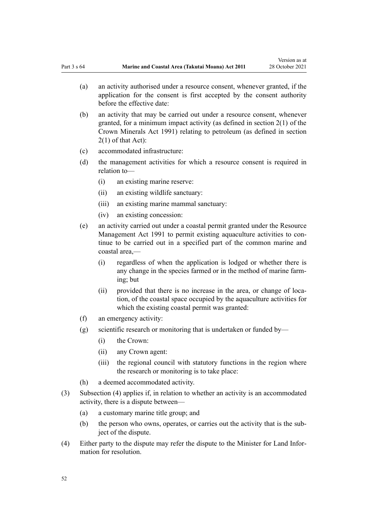- (a) an activity authorised under a resource consent, whenever granted, if the application for the consent is first accepted by the consent authority before the effective date:
- (b) an activity that may be carried out under a resource consent, whenever granted, for a minimum impact activity (as defined in [section 2\(1\)](http://legislation.govt.nz/pdflink.aspx?id=DLM242543) of the Crown Minerals Act 1991) relating to petroleum (as defined in section 2(1) of that Act):
- (c) accommodated infrastructure:
- (d) the management activities for which a resource consent is required in relation to—
	- (i) an existing marine reserve:
	- (ii) an existing wildlife sanctuary:
	- (iii) an existing marine mammal sanctuary:
	- (iv) an existing concession:
- (e) an activity carried out under a coastal permit granted under the [Resource](http://legislation.govt.nz/pdflink.aspx?id=DLM230264) [Management Act 1991](http://legislation.govt.nz/pdflink.aspx?id=DLM230264) to permit existing aquaculture activities to continue to be carried out in a specified part of the common marine and coastal area,—
	- (i) regardless of when the application is lodged or whether there is any change in the species farmed or in the method of marine farm‐ ing; but
	- (ii) provided that there is no increase in the area, or change of location, of the coastal space occupied by the aquaculture activities for which the existing coastal permit was granted:
- (f) an emergency activity:
- (g) scientific research or monitoring that is undertaken or funded by—
	- (i) the Crown:
	- (ii) any Crown agent:
	- (iii) the regional council with statutory functions in the region where the research or monitoring is to take place:
- (h) a deemed accommodated activity.
- (3) Subsection (4) applies if, in relation to whether an activity is an accommodated activity, there is a dispute between—
	- (a) a customary marine title group; and
	- (b) the person who owns, operates, or carries out the activity that is the subject of the dispute.
- (4) Either party to the dispute may refer the dispute to the Minister for Land Infor‐ mation for resolution.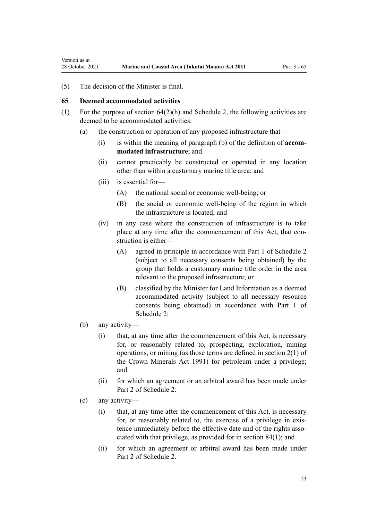<span id="page-52-0"></span>Version as at

(5) The decision of the Minister is final.

#### **65 Deemed accommodated activities**

- (1) For the purpose of section  $64(2)(h)$  and [Schedule 2](#page-93-0), the following activities are deemed to be accommodated activities:
	- (a) the construction or operation of any proposed infrastructure that—
		- (i) is within the meaning of paragraph (b) of the definition of **accom‐ modated infrastructure**; and
		- (ii) cannot practicably be constructed or operated in any location other than within a customary marine title area; and
		- (iii) is essential for—
			- (A) the national social or economic well-being; or
			- (B) the social or economic well-being of the region in which the infrastructure is located; and
		- (iv) in any case where the construction of infrastructure is to take place at any time after the commencement of this Act, that construction is either—
			- (A) agreed in principle in accordance with [Part 1](#page-93-0) of Schedule 2 (subject to all necessary consents being obtained) by the group that holds a customary marine title order in the area relevant to the proposed infrastructure; or
			- (B) classified by the Minister for Land Information as a deemed accommodated activity (subject to all necessary resource consents being obtained) in accordance with [Part 1](#page-93-0) of Schedule 2:
	- (b) any activity—
		- (i) that, at any time after the commencement of this Act, is necessary for, or reasonably related to, prospecting, exploration, mining operations, or mining (as those terms are defined in [section 2\(1\)](http://legislation.govt.nz/pdflink.aspx?id=DLM242543) of the Crown Minerals Act 1991) for petroleum under a privilege; and
		- (ii) for which an agreement or an arbitral award has been made under [Part 2](#page-96-0) of Schedule 2:
	- (c) any activity—
		- (i) that, at any time after the commencement of this Act, is necessary for, or reasonably related to, the exercise of a privilege in existence immediately before the effective date and of the rights associated with that privilege, as provided for in [section 84\(1\)](#page-63-0); and
		- (ii) for which an agreement or arbitral award has been made under [Part 2](#page-96-0) of Schedule 2.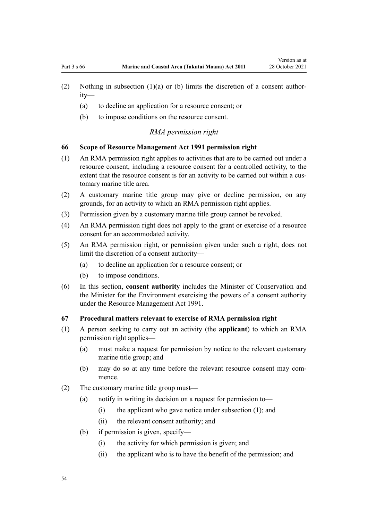- <span id="page-53-0"></span>(2) Nothing in subsection  $(1)(a)$  or (b) limits the discretion of a consent authority—
	- (a) to decline an application for a resource consent; or
	- (b) to impose conditions on the resource consent.

#### *RMA permission right*

#### **66 Scope of Resource Management Act 1991 permission right**

- (1) An RMA permission right applies to activities that are to be carried out under a resource consent, including a resource consent for a controlled activity, to the extent that the resource consent is for an activity to be carried out within a customary marine title area.
- (2) A customary marine title group may give or decline permission, on any grounds, for an activity to which an RMA permission right applies.
- (3) Permission given by a customary marine title group cannot be revoked.
- (4) An RMA permission right does not apply to the grant or exercise of a resource consent for an accommodated activity.
- (5) An RMA permission right, or permission given under such a right, does not limit the discretion of a consent authority—
	- (a) to decline an application for a resource consent; or
	- (b) to impose conditions.
- (6) In this section, **consent authority** includes the Minister of Conservation and the Minister for the Environment exercising the powers of a consent authority under the [Resource Management Act 1991](http://legislation.govt.nz/pdflink.aspx?id=DLM230264).

### **67 Procedural matters relevant to exercise of RMA permission right**

- (1) A person seeking to carry out an activity (the **applicant**) to which an RMA permission right applies—
	- (a) must make a request for permission by notice to the relevant customary marine title group; and
	- (b) may do so at any time before the relevant resource consent may commence.
- (2) The customary marine title group must—
	- (a) notify in writing its decision on a request for permission to—
		- $(i)$  the applicant who gave notice under subsection  $(1)$ ; and
		- (ii) the relevant consent authority; and
	- (b) if permission is given, specify—
		- (i) the activity for which permission is given; and
		- (ii) the applicant who is to have the benefit of the permission; and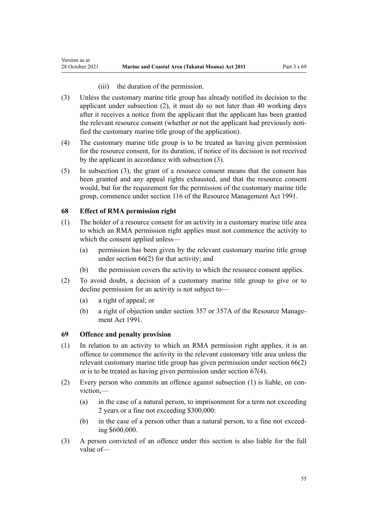(iii) the duration of the permission.

- (3) Unless the customary marine title group has already notified its decision to the applicant under subsection (2), it must do so not later than 40 working days after it receives a notice from the applicant that the applicant has been granted the relevant resource consent (whether or not the applicant had previously notified the customary marine title group of the application).
- (4) The customary marine title group is to be treated as having given permission for the resource consent, for its duration, if notice of its decision is not received by the applicant in accordance with subsection (3).
- (5) In subsection (3), the grant of a resource consent means that the consent has been granted and any appeal rights exhausted, and that the resource consent would, but for the requirement for the permission of the customary marine title group, commence under [section 116](http://legislation.govt.nz/pdflink.aspx?id=DLM234865) of the Resource Management Act 1991.

# **68 Effect of RMA permission right**

Version as at

- (1) The holder of a resource consent for an activity in a customary marine title area to which an RMA permission right applies must not commence the activity to which the consent applied unless—
	- (a) permission has been given by the relevant customary marine title group under [section 66\(2\)](#page-53-0) for that activity; and
	- (b) the permission covers the activity to which the resource consent applies.
- (2) To avoid doubt, a decision of a customary marine title group to give or to decline permission for an activity is not subject to—
	- (a) a right of appeal; or
	- (b) a right of objection under [section 357](http://legislation.govt.nz/pdflink.aspx?id=DLM239342) or [357A](http://legislation.govt.nz/pdflink.aspx?id=DLM239356) of the Resource Manage‐ ment Act 1991.

### **69 Offence and penalty provision**

- (1) In relation to an activity to which an RMA permission right applies, it is an offence to commence the activity in the relevant customary title area unless the relevant customary marine title group has given permission under [section 66\(2\)](#page-53-0) or is to be treated as having given permission under [section 67\(4\).](#page-53-0)
- (2) Every person who commits an offence against subsection (1) is liable, on con‐ viction,—
	- (a) in the case of a natural person, to imprisonment for a term not exceeding 2 years or a fine not exceeding \$300,000:
	- (b) in the case of a person other than a natural person, to a fine not exceeding \$600,000.
- (3) A person convicted of an offence under this section is also liable for the full value of—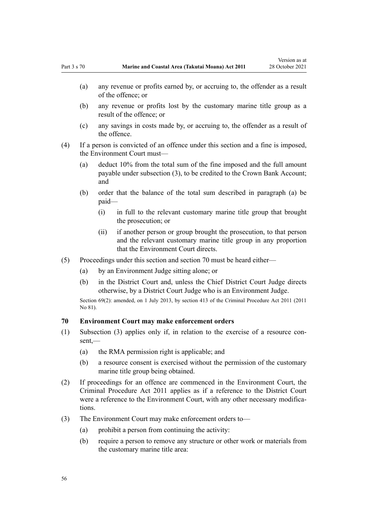- (a) any revenue or profits earned by, or accruing to, the offender as a result of the offence; or
- (b) any revenue or profits lost by the customary marine title group as a result of the offence; or
- (c) any savings in costs made by, or accruing to, the offender as a result of the offence.
- (4) If a person is convicted of an offence under this section and a fine is imposed, the Environment Court must—
	- (a) deduct 10% from the total sum of the fine imposed and the full amount payable under subsection (3), to be credited to the Crown Bank Account; and
	- (b) order that the balance of the total sum described in paragraph (a) be paid—
		- (i) in full to the relevant customary marine title group that brought the prosecution; or
		- (ii) if another person or group brought the prosecution, to that person and the relevant customary marine title group in any proportion that the Environment Court directs.
- (5) Proceedings under this section and section 70 must be heard either—
	- (a) by an Environment Judge sitting alone; or
	- (b) in the District Court and, unless the Chief District Court Judge directs otherwise, by a District Court Judge who is an Environment Judge.

Section 69(2): amended, on 1 July 2013, by [section 413](http://legislation.govt.nz/pdflink.aspx?id=DLM3360714) of the Criminal Procedure Act 2011 (2011 No 81).

### **70 Environment Court may make enforcement orders**

- (1) Subsection (3) applies only if, in relation to the exercise of a resource con‐ sent,—
	- (a) the RMA permission right is applicable; and
	- (b) a resource consent is exercised without the permission of the customary marine title group being obtained.
- (2) If proceedings for an offence are commenced in the Environment Court, the [Criminal Procedure Act 2011](http://legislation.govt.nz/pdflink.aspx?id=DLM3359902) applies as if a reference to the District Court were a reference to the Environment Court, with any other necessary modifications.
- (3) The Environment Court may make enforcement orders to—
	- (a) prohibit a person from continuing the activity:
	- (b) require a person to remove any structure or other work or materials from the customary marine title area: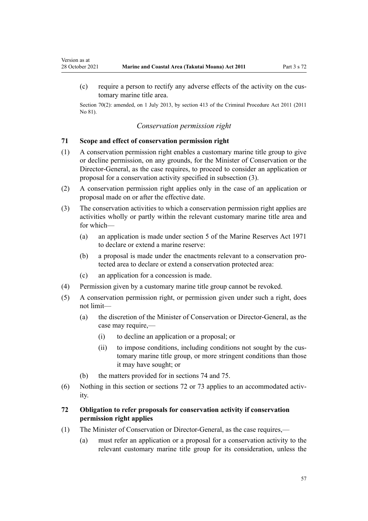(c) require a person to rectify any adverse effects of the activity on the cus‐ tomary marine title area.

Section 70(2): amended, on 1 July 2013, by [section 413](http://legislation.govt.nz/pdflink.aspx?id=DLM3360714) of the Criminal Procedure Act 2011 (2011 No 81).

#### *Conservation permission right*

#### **71 Scope and effect of conservation permission right**

<span id="page-56-0"></span>Version as at

- (1) A conservation permission right enables a customary marine title group to give or decline permission, on any grounds, for the Minister of Conservation or the Director-General, as the case requires, to proceed to consider an application or proposal for a conservation activity specified in subsection (3).
- (2) A conservation permission right applies only in the case of an application or proposal made on or after the effective date.
- (3) The conservation activities to which a conservation permission right applies are activities wholly or partly within the relevant customary marine title area and for which—
	- (a) an application is made under [section 5](http://legislation.govt.nz/pdflink.aspx?id=DLM398113) of the Marine Reserves Act 1971 to declare or extend a marine reserve:
	- (b) a proposal is made under the enactments relevant to a conservation pro‐ tected area to declare or extend a conservation protected area:
	- (c) an application for a concession is made.
- (4) Permission given by a customary marine title group cannot be revoked.
- (5) A conservation permission right, or permission given under such a right, does not limit—
	- (a) the discretion of the Minister of Conservation or Director-General, as the case may require,—
		- (i) to decline an application or a proposal; or
		- (ii) to impose conditions, including conditions not sought by the customary marine title group, or more stringent conditions than those it may have sought; or
	- (b) the matters provided for in [sections 74](#page-57-0) and [75](#page-58-0).
- (6) Nothing in this section or sections 72 or [73](#page-57-0) applies to an accommodated activity.

# **72 Obligation to refer proposals for conservation activity if conservation permission right applies**

- (1) The Minister of Conservation or Director-General, as the case requires,—
	- (a) must refer an application or a proposal for a conservation activity to the relevant customary marine title group for its consideration, unless the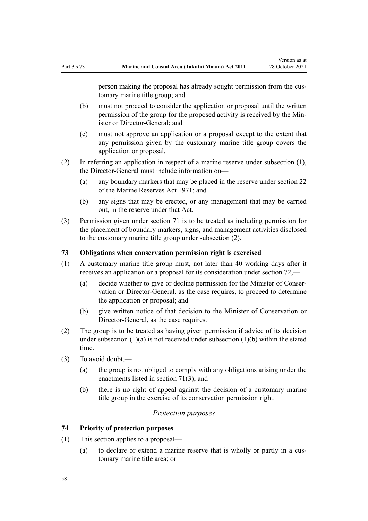<span id="page-57-0"></span>person making the proposal has already sought permission from the customary marine title group; and

- (b) must not proceed to consider the application or proposal until the written permission of the group for the proposed activity is received by the Min‐ ister or Director-General; and
- (c) must not approve an application or a proposal except to the extent that any permission given by the customary marine title group covers the application or proposal.
- (2) In referring an application in respect of a marine reserve under subsection (1), the Director-General must include information on—
	- (a) any boundary markers that may be placed in the reserve under [section 22](http://legislation.govt.nz/pdflink.aspx?id=DLM398410) of the Marine Reserves Act 1971; and
	- (b) any signs that may be erected, or any management that may be carried out, in the reserve under that Act.
- (3) Permission given under [section 71](#page-56-0) is to be treated as including permission for the placement of boundary markers, signs, and management activities disclosed to the customary marine title group under subsection (2).

#### **73 Obligations when conservation permission right is exercised**

- (1) A customary marine title group must, not later than 40 working days after it receives an application or a proposal for its consideration under [section 72](#page-56-0),—
	- (a) decide whether to give or decline permission for the Minister of Conser‐ vation or Director-General, as the case requires, to proceed to determine the application or proposal; and
	- (b) give written notice of that decision to the Minister of Conservation or Director-General, as the case requires.
- (2) The group is to be treated as having given permission if advice of its decision under subsection  $(1)(a)$  is not received under subsection  $(1)(b)$  within the stated time.
- (3) To avoid doubt,—
	- (a) the group is not obliged to comply with any obligations arising under the enactments listed in [section 71\(3\);](#page-56-0) and
	- (b) there is no right of appeal against the decision of a customary marine title group in the exercise of its conservation permission right.

### *Protection purposes*

### **74 Priority of protection purposes**

- (1) This section applies to a proposal—
	- (a) to declare or extend a marine reserve that is wholly or partly in a customary marine title area; or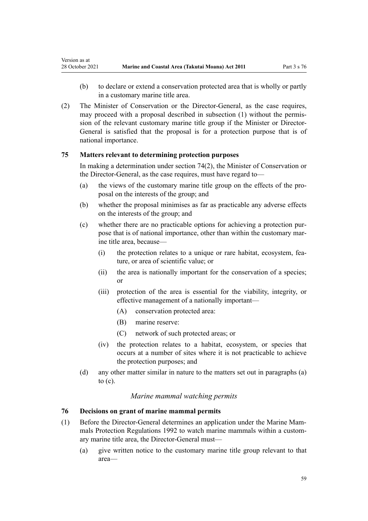<span id="page-58-0"></span>Version as at

- (b) to declare or extend a conservation protected area that is wholly or partly in a customary marine title area.
- (2) The Minister of Conservation or the Director-General, as the case requires, may proceed with a proposal described in subsection (1) without the permission of the relevant customary marine title group if the Minister or Director-General is satisfied that the proposal is for a protection purpose that is of national importance.

# **75 Matters relevant to determining protection purposes**

In making a determination under [section 74\(2\)](#page-57-0), the Minister of Conservation or the Director-General, as the case requires, must have regard to—

- (a) the views of the customary marine title group on the effects of the pro‐ posal on the interests of the group; and
- (b) whether the proposal minimises as far as practicable any adverse effects on the interests of the group; and
- (c) whether there are no practicable options for achieving a protection pur‐ pose that is of national importance, other than within the customary marine title area, because-
	- (i) the protection relates to a unique or rare habitat, ecosystem, fea‐ ture, or area of scientific value; or
	- (ii) the area is nationally important for the conservation of a species; or
	- (iii) protection of the area is essential for the viability, integrity, or effective management of a nationally important—
		- (A) conservation protected area:
		- (B) marine reserve:
		- (C) network of such protected areas; or
	- (iv) the protection relates to a habitat, ecosystem, or species that occurs at a number of sites where it is not practicable to achieve the protection purposes; and
- (d) any other matter similar in nature to the matters set out in paragraphs (a) to (c).

### *Marine mammal watching permits*

### **76 Decisions on grant of marine mammal permits**

- (1) Before the Director-General determines an application under the [Marine Mam‐](http://legislation.govt.nz/pdflink.aspx?id=DLM168285) [mals Protection Regulations 1992](http://legislation.govt.nz/pdflink.aspx?id=DLM168285) to watch marine mammals within a customary marine title area, the Director-General must—
	- (a) give written notice to the customary marine title group relevant to that area—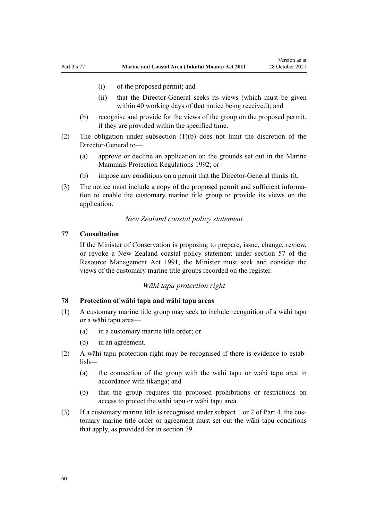- <span id="page-59-0"></span>(i) of the proposed permit; and
- (ii) that the Director-General seeks its views (which must be given within 40 working days of that notice being received); and
- (b) recognise and provide for the views of the group on the proposed permit, if they are provided within the specified time.
- (2) The obligation under subsection (1)(b) does not limit the discretion of the Director-General to—
	- (a) approve or decline an application on the grounds set out in the [Marine](http://legislation.govt.nz/pdflink.aspx?id=DLM168285) [Mammals Protection Regulations 1992](http://legislation.govt.nz/pdflink.aspx?id=DLM168285); or
	- (b) impose any conditions on a permit that the Director-General thinks fit.
- (3) The notice must include a copy of the proposed permit and sufficient informa‐ tion to enable the customary marine title group to provide its views on the application.

#### *New Zealand coastal policy statement*

#### **77 Consultation**

If the Minister of Conservation is proposing to prepare, issue, change, review, or revoke a New Zealand coastal policy statement under [section 57](http://legislation.govt.nz/pdflink.aspx?id=DLM233379) of the Resource Management Act 1991, the Minister must seek and consider the views of the customary marine title groups recorded on the register.

#### *Wāhi tapu protection right*

### **78 Protection of wāhi tapu and wāhi tapu areas**

- (1) A customary marine title group may seek to include recognition of a wāhi tapu or a wāhi tapu area—
	- (a) in a customary marine title order; or
	- (b) in an agreement.
- (2) A wāhi tapu protection right may be recognised if there is evidence to estab‐ lish—
	- (a) the connection of the group with the wāhi tapu or wāhi tapu area in accordance with tikanga; and
	- (b) that the group requires the proposed prohibitions or restrictions on access to protect the wāhi tapu or wāhi tapu area.
- (3) If a customary marine title is recognised under [subpart 1](#page-69-0) or [2](#page-70-0) of Part 4, the customary marine title order or agreement must set out the wāhi tapu conditions that apply, as provided for in [section 79](#page-60-0).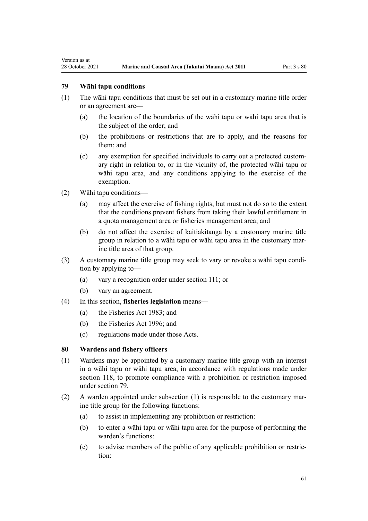### **79 Wāhi tapu conditions**

<span id="page-60-0"></span>Version as at

- (1) The wāhi tapu conditions that must be set out in a customary marine title order or an agreement are—
	- (a) the location of the boundaries of the wāhi tapu or wāhi tapu area that is the subject of the order; and
	- (b) the prohibitions or restrictions that are to apply, and the reasons for them; and
	- (c) any exemption for specified individuals to carry out a protected custom‐ ary right in relation to, or in the vicinity of, the protected wāhi tapu or wāhi tapu area, and any conditions applying to the exercise of the exemption.
- (2) Wāhi tapu conditions—
	- (a) may affect the exercise of fishing rights, but must not do so to the extent that the conditions prevent fishers from taking their lawful entitlement in a quota management area or fisheries management area; and
	- (b) do not affect the exercise of kaitiakitanga by a customary marine title group in relation to a wāhi tapu or wāhi tapu area in the customary mar‐ ine title area of that group.
- (3) A customary marine title group may seek to vary or revoke a wāhi tapu condi‐ tion by applying to—
	- (a) vary a recognition order under [section 111;](#page-76-0) or
	- (b) vary an agreement.
- (4) In this section, **fisheries legislation** means—
	- (a) the [Fisheries Act 1983](http://legislation.govt.nz/pdflink.aspx?id=DLM66581); and
	- (b) the [Fisheries Act 1996](http://legislation.govt.nz/pdflink.aspx?id=DLM394191); and
	- (c) regulations made under those Acts.

#### **80 Wardens and fishery officers**

- (1) Wardens may be appointed by a customary marine title group with an interest in a wāhi tapu or wāhi tapu area, in accordance with regulations made under [section 118,](#page-78-0) to promote compliance with a prohibition or restriction imposed under section 79.
- (2) A warden appointed under subsection  $(1)$  is responsible to the customary marine title group for the following functions:
	- (a) to assist in implementing any prohibition or restriction:
	- (b) to enter a wāhi tapu or wāhi tapu area for the purpose of performing the warden's functions:
	- (c) to advise members of the public of any applicable prohibition or restric‐ tion: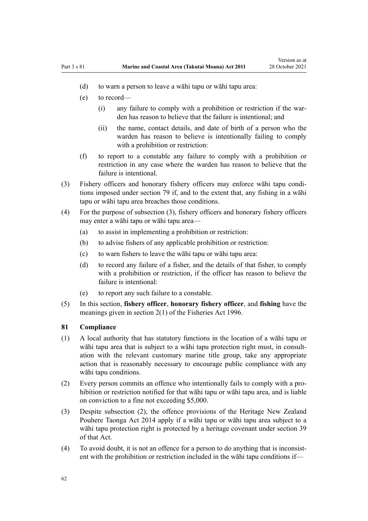- (d) to warn a person to leave a wāhi tapu or wāhi tapu area:
- (e) to record—
	- (i) any failure to comply with a prohibition or restriction if the war‐ den has reason to believe that the failure is intentional; and
	- (ii) the name, contact details, and date of birth of a person who the warden has reason to believe is intentionally failing to comply with a prohibition or restriction:
- (f) to report to a constable any failure to comply with a prohibition or restriction in any case where the warden has reason to believe that the failure is intentional.
- (3) Fishery officers and honorary fishery officers may enforce wāhi tapu condi‐ tions imposed under [section 79](#page-60-0) if, and to the extent that, any fishing in a wāhi tapu or wāhi tapu area breaches those conditions.
- (4) For the purpose of subsection (3), fishery officers and honorary fishery officers may enter a wāhi tapu or wāhi tapu area—
	- (a) to assist in implementing a prohibition or restriction:
	- (b) to advise fishers of any applicable prohibition or restriction:
	- (c) to warn fishers to leave the wāhi tapu or wāhi tapu area:
	- (d) to record any failure of a fisher, and the details of that fisher, to comply with a prohibition or restriction, if the officer has reason to believe the failure is intentional:
	- (e) to report any such failure to a constable.
- (5) In this section, **fishery officer**, **honorary fishery officer**, and **fishing** have the meanings given in [section 2\(1\)](http://legislation.govt.nz/pdflink.aspx?id=DLM394199) of the Fisheries Act 1996.

## **81 Compliance**

- (1) A local authority that has statutory functions in the location of a wāhi tapu or wāhi tapu area that is subject to a wāhi tapu protection right must, in consultation with the relevant customary marine title group, take any appropriate action that is reasonably necessary to encourage public compliance with any wāhi tapu conditions.
- (2) Every person commits an offence who intentionally fails to comply with a pro‐ hibition or restriction notified for that wāhi tapu or wāhi tapu area, and is liable on conviction to a fine not exceeding \$5,000.
- (3) Despite subsection (2), the offence provisions of the [Heritage New Zealand](http://legislation.govt.nz/pdflink.aspx?id=DLM4005402) [Pouhere Taonga Act 2014](http://legislation.govt.nz/pdflink.aspx?id=DLM4005402) apply if a wāhi tapu or wāhi tapu area subject to a wāhi tapu protection right is protected by a heritage covenant under [section 39](http://legislation.govt.nz/pdflink.aspx?id=DLM4005548) of that Act.
- $(4)$  To avoid doubt, it is not an offence for a person to do anything that is inconsistent with the prohibition or restriction included in the wāhi tapu conditions if—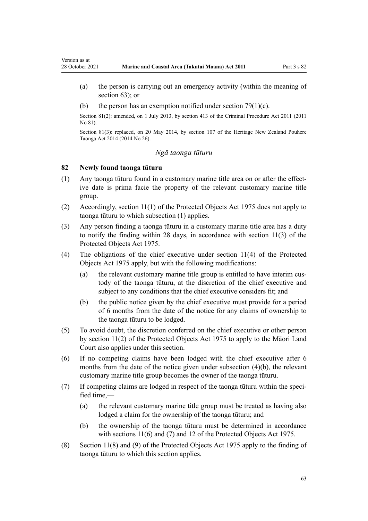- (a) the person is carrying out an emergency activity (within the meaning of [section 63](#page-48-0)); or
- (b) the person has an exemption notified under section  $79(1)(c)$ .

Section 81(2): amended, on 1 July 2013, by [section 413](http://legislation.govt.nz/pdflink.aspx?id=DLM3360714) of the Criminal Procedure Act 2011 (2011 No 81).

Section 81(3): replaced, on 20 May 2014, by [section 107](http://legislation.govt.nz/pdflink.aspx?id=DLM4005646) of the Heritage New Zealand Pouhere Taonga Act 2014 (2014 No 26).

### *Ngā taonga tūturu*

### **82 Newly found taonga tūturu**

<span id="page-62-0"></span>Version as at

- (1) Any taonga tūturu found in a customary marine title area on or after the effect‐ ive date is prima facie the property of the relevant customary marine title group.
- (2) Accordingly, [section 11\(1\)](http://legislation.govt.nz/pdflink.aspx?id=DLM432422) of the Protected Objects Act 1975 does not apply to taonga tūturu to which subsection (1) applies.
- (3) Any person finding a taonga tūturu in a customary marine title area has a duty to notify the finding within 28 days, in accordance with [section 11\(3\)](http://legislation.govt.nz/pdflink.aspx?id=DLM432422) of the Protected Objects Act 1975.
- (4) The obligations of the chief executive under [section 11\(4\)](http://legislation.govt.nz/pdflink.aspx?id=DLM432422) of the Protected Objects Act 1975 apply, but with the following modifications:
	- (a) the relevant customary marine title group is entitled to have interim custody of the taonga tūturu, at the discretion of the chief executive and subject to any conditions that the chief executive considers fit; and
	- (b) the public notice given by the chief executive must provide for a period of 6 months from the date of the notice for any claims of ownership to the taonga tūturu to be lodged.
- (5) To avoid doubt, the discretion conferred on the chief executive or other person by [section 11\(2\)](http://legislation.govt.nz/pdflink.aspx?id=DLM432422) of the Protected Objects Act 1975 to apply to the Māori Land Court also applies under this section.
- (6) If no competing claims have been lodged with the chief executive after 6 months from the date of the notice given under subsection (4)(b), the relevant customary marine title group becomes the owner of the taonga tūturu.
- (7) If competing claims are lodged in respect of the taonga tūturu within the speci‐ fied time,—
	- (a) the relevant customary marine title group must be treated as having also lodged a claim for the ownership of the taonga tūturu; and
	- (b) the ownership of the taonga tūturu must be determined in accordance with [sections 11\(6\) and \(7\)](http://legislation.govt.nz/pdflink.aspx?id=DLM432422) and [12](http://legislation.govt.nz/pdflink.aspx?id=DLM432435) of the Protected Objects Act 1975.
- (8) [Section 11\(8\) and \(9\)](http://legislation.govt.nz/pdflink.aspx?id=DLM432422) of the Protected Objects Act 1975 apply to the finding of taonga tūturu to which this section applies.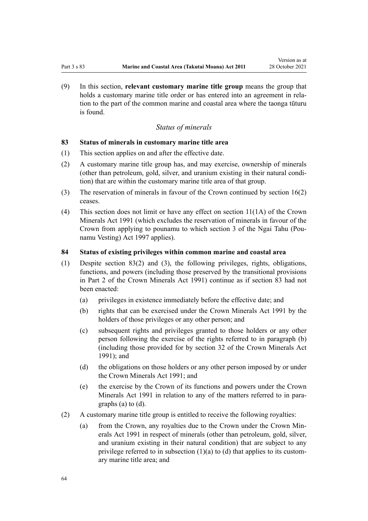<span id="page-63-0"></span>(9) In this section, **relevant customary marine title group** means the group that holds a customary marine title order or has entered into an agreement in relation to the part of the common marine and coastal area where the taonga tūturu is found.

# *Status of minerals*

#### **83 Status of minerals in customary marine title area**

- (1) This section applies on and after the effective date.
- (2) A customary marine title group has, and may exercise, ownership of minerals (other than petroleum, gold, silver, and uranium existing in their natural condi‐ tion) that are within the customary marine title area of that group.
- (3) The reservation of minerals in favour of the Crown continued by [section 16\(2\)](#page-19-0) ceases.
- (4) This section does not limit or have any effect on [section 11\(1A\)](http://legislation.govt.nz/pdflink.aspx?id=DLM246311) of the Crown Minerals Act 1991 (which excludes the reservation of minerals in favour of the Crown from applying to pounamu to which [section 3](http://legislation.govt.nz/pdflink.aspx?id=DLM413605) of the Ngai Tahu (Pou‐ namu Vesting) Act 1997 applies).

### **84 Status of existing privileges within common marine and coastal area**

- (1) Despite section 83(2) and (3), the following privileges, rights, obligations, functions, and powers (including those preserved by the transitional provisions in [Part 2](http://legislation.govt.nz/pdflink.aspx?id=DLM247305) of the Crown Minerals Act 1991) continue as if section 83 had not been enacted:
	- (a) privileges in existence immediately before the effective date; and
	- (b) rights that can be exercised under the [Crown Minerals Act 1991](http://legislation.govt.nz/pdflink.aspx?id=DLM242535) by the holders of those privileges or any other person; and
	- (c) subsequent rights and privileges granted to those holders or any other person following the exercise of the rights referred to in paragraph (b) (including those provided for by [section 32](http://legislation.govt.nz/pdflink.aspx?id=DLM246341) of the Crown Minerals Act 1991); and
	- (d) the obligations on those holders or any other person imposed by or under the [Crown Minerals Act 1991;](http://legislation.govt.nz/pdflink.aspx?id=DLM242535) and
	- (e) the exercise by the Crown of its functions and powers under the [Crown](http://legislation.govt.nz/pdflink.aspx?id=DLM242535) [Minerals Act 1991](http://legislation.govt.nz/pdflink.aspx?id=DLM242535) in relation to any of the matters referred to in paragraphs (a) to (d).
- (2) A customary marine title group is entitled to receive the following royalties:
	- (a) from the Crown, any royalties due to the Crown under the Crown Min[erals Act 1991](http://legislation.govt.nz/pdflink.aspx?id=DLM242535) in respect of minerals (other than petroleum, gold, silver, and uranium existing in their natural condition) that are subject to any privilege referred to in subsection  $(1)(a)$  to  $(d)$  that applies to its customary marine title area; and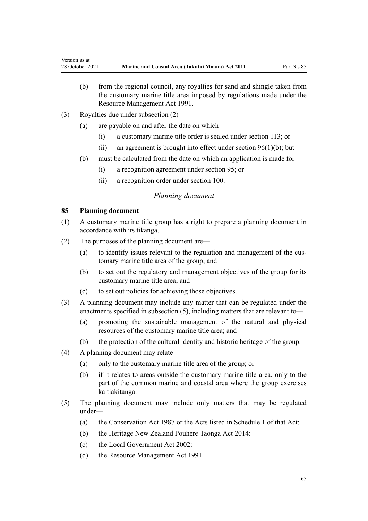- <span id="page-64-0"></span>(b) from the regional council, any royalties for sand and shingle taken from the customary marine title area imposed by regulations made under the [Resource Management Act 1991](http://legislation.govt.nz/pdflink.aspx?id=DLM230264).
- (3) Royalties due under subsection (2)—
	- (a) are payable on and after the date on which—
		- (i) a customary marine title order is sealed under [section 113](#page-77-0); or
		- (ii) an agreement is brought into effect under section  $96(1)(b)$ ; but
	- (b) must be calculated from the date on which an application is made for—
		- (i) a recognition agreement under [section 95](#page-69-0); or
		- (ii) a recognition order under [section 100](#page-71-0).

### *Planning document*

#### **85 Planning document**

- (1) A customary marine title group has a right to prepare a planning document in accordance with its tikanga.
- (2) The purposes of the planning document are—
	- (a) to identify issues relevant to the regulation and management of the customary marine title area of the group; and
	- (b) to set out the regulatory and management objectives of the group for its customary marine title area; and
	- (c) to set out policies for achieving those objectives.
- (3) A planning document may include any matter that can be regulated under the enactments specified in subsection (5), including matters that are relevant to—
	- (a) promoting the sustainable management of the natural and physical resources of the customary marine title area; and
	- (b) the protection of the cultural identity and historic heritage of the group.
- (4) A planning document may relate—
	- (a) only to the customary marine title area of the group; or
	- (b) if it relates to areas outside the customary marine title area, only to the part of the common marine and coastal area where the group exercises kaitiakitanga.
- (5) The planning document may include only matters that may be regulated under—
	- (a) the [Conservation Act 1987](http://legislation.govt.nz/pdflink.aspx?id=DLM103609) or the Acts listed in [Schedule 1](http://legislation.govt.nz/pdflink.aspx?id=DLM107200) of that Act:
	- (b) the [Heritage New Zealand Pouhere Taonga Act 2014:](http://legislation.govt.nz/pdflink.aspx?id=DLM4005402)
	- (c) the [Local Government Act 2002](http://legislation.govt.nz/pdflink.aspx?id=DLM170872):
	- (d) the [Resource Management Act 1991](http://legislation.govt.nz/pdflink.aspx?id=DLM230264).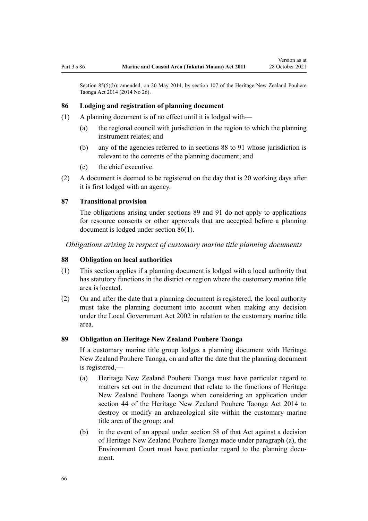<span id="page-65-0"></span>Section 85(5)(b): amended, on 20 May 2014, by [section 107](http://legislation.govt.nz/pdflink.aspx?id=DLM4005646) of the Heritage New Zealand Pouhere Taonga Act 2014 (2014 No 26).

#### **86 Lodging and registration of planning document**

- (1) A planning document is of no effect until it is lodged with—
	- (a) the regional council with jurisdiction in the region to which the planning instrument relates; and
	- (b) any of the agencies referred to in sections 88 to 91 whose jurisdiction is relevant to the contents of the planning document; and
	- (c) the chief executive.
- (2) A document is deemed to be registered on the day that is 20 working days after it is first lodged with an agency.

#### **87 Transitional provision**

The obligations arising under sections 89 and [91](#page-66-0) do not apply to applications for resource consents or other approvals that are accepted before a planning document is lodged under section 86(1).

*Obligations arising in respect of customary marine title planning documents*

#### **88 Obligation on local authorities**

- (1) This section applies if a planning document is lodged with a local authority that has statutory functions in the district or region where the customary marine title area is located.
- (2) On and after the date that a planning document is registered, the local authority must take the planning document into account when making any decision under the [Local Government Act 2002](http://legislation.govt.nz/pdflink.aspx?id=DLM170872) in relation to the customary marine title area.

#### **89 Obligation on Heritage New Zealand Pouhere Taonga**

If a customary marine title group lodges a planning document with Heritage New Zealand Pouhere Taonga, on and after the date that the planning document is registered,—

- (a) Heritage New Zealand Pouhere Taonga must have particular regard to matters set out in the document that relate to the functions of Heritage New Zealand Pouhere Taonga when considering an application under [section 44](http://legislation.govt.nz/pdflink.aspx?id=DLM4005562) of the Heritage New Zealand Pouhere Taonga Act 2014 to destroy or modify an archaeological site within the customary marine title area of the group; and
- (b) in the event of an appeal under [section 58](http://legislation.govt.nz/pdflink.aspx?id=DLM4005583) of that Act against a decision of Heritage New Zealand Pouhere Taonga made under paragraph (a), the Environment Court must have particular regard to the planning document.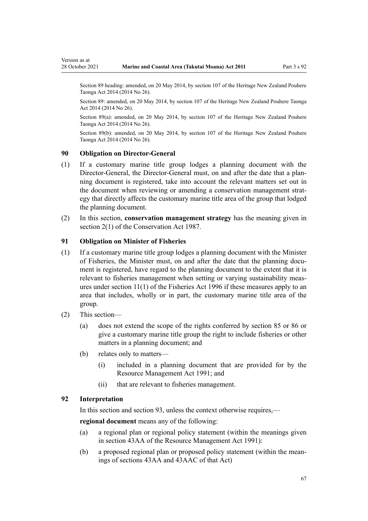Section 89 heading: amended, on 20 May 2014, by [section 107](http://legislation.govt.nz/pdflink.aspx?id=DLM4005646) of the Heritage New Zealand Pouhere Taonga Act 2014 (2014 No 26).

Section 89: amended, on 20 May 2014, by [section 107](http://legislation.govt.nz/pdflink.aspx?id=DLM4005646) of the Heritage New Zealand Pouhere Taonga Act 2014 (2014 No 26).

Section 89(a): amended, on 20 May 2014, by [section 107](http://legislation.govt.nz/pdflink.aspx?id=DLM4005646) of the Heritage New Zealand Pouhere Taonga Act 2014 (2014 No 26).

Section 89(b): amended, on 20 May 2014, by [section 107](http://legislation.govt.nz/pdflink.aspx?id=DLM4005646) of the Heritage New Zealand Pouhere Taonga Act 2014 (2014 No 26).

#### **90 Obligation on Director-General**

<span id="page-66-0"></span>Version as at

- (1) If a customary marine title group lodges a planning document with the Director-General, the Director-General must, on and after the date that a planning document is registered, take into account the relevant matters set out in the document when reviewing or amending a conservation management strategy that directly affects the customary marine title area of the group that lodged the planning document.
- (2) In this section, **conservation management strategy** has the meaning given in [section 2\(1\)](http://legislation.govt.nz/pdflink.aspx?id=DLM103616) of the Conservation Act 1987.

### **91 Obligation on Minister of Fisheries**

- (1) If a customary marine title group lodges a planning document with the Minister of Fisheries, the Minister must, on and after the date that the planning document is registered, have regard to the planning document to the extent that it is relevant to fisheries management when setting or varying sustainability meas‐ ures under [section 11\(1\)](http://legislation.govt.nz/pdflink.aspx?id=DLM395397) of the Fisheries Act 1996 if these measures apply to an area that includes, wholly or in part, the customary marine title area of the group.
- (2) This section—
	- (a) does not extend the scope of the rights conferred by [section 85](#page-64-0) or [86](#page-65-0) or give a customary marine title group the right to include fisheries or other matters in a planning document; and
	- (b) relates only to matters—
		- (i) included in a planning document that are provided for by the [Resource Management Act 1991](http://legislation.govt.nz/pdflink.aspx?id=DLM230264); and
		- (ii) that are relevant to fisheries management.

# **92 Interpretation**

In this section and [section 93](#page-67-0), unless the context otherwise requires,—

**regional document** means any of the following:

- (a) a regional plan or regional policy statement (within the meanings given in [section 43AA](http://legislation.govt.nz/pdflink.aspx?id=DLM2412743) of the Resource Management Act 1991):
- (b) a proposed regional plan or proposed policy statement (within the mean‐ ings of [sections 43AA](http://legislation.govt.nz/pdflink.aspx?id=DLM2412743) and [43AAC](http://legislation.govt.nz/pdflink.aspx?id=DLM2412769) of that Act)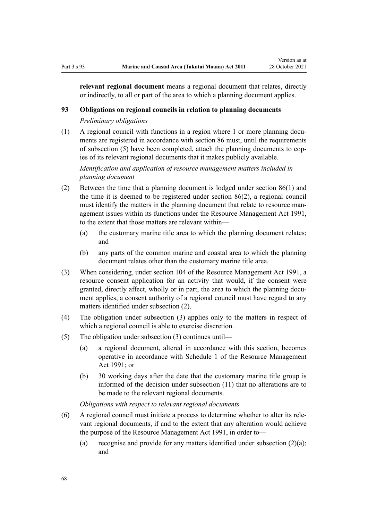<span id="page-67-0"></span>**relevant regional document** means a regional document that relates, directly or indirectly, to all or part of the area to which a planning document applies.

### **93 Obligations on regional councils in relation to planning documents**

*Preliminary obligations*

 $(1)$  A regional council with functions in a region where 1 or more planning documents are registered in accordance with [section 86](#page-65-0) must, until the requirements of subsection (5) have been completed, attach the planning documents to cop‐ ies of its relevant regional documents that it makes publicly available.

*Identification and application of resource management matters included in planning document*

- (2) Between the time that a planning document is lodged under [section 86\(1\)](#page-65-0) and the time it is deemed to be registered under section 86(2), a regional council must identify the matters in the planning document that relate to resource management issues within its functions under the [Resource Management Act 1991](http://legislation.govt.nz/pdflink.aspx?id=DLM230264), to the extent that those matters are relevant within—
	- (a) the customary marine title area to which the planning document relates; and
	- (b) any parts of the common marine and coastal area to which the planning document relates other than the customary marine title area.
- (3) When considering, under [section 104](http://legislation.govt.nz/pdflink.aspx?id=DLM234355) of the Resource Management Act 1991, a resource consent application for an activity that would, if the consent were granted, directly affect, wholly or in part, the area to which the planning document applies, a consent authority of a regional council must have regard to any matters identified under subsection (2).
- (4) The obligation under subsection (3) applies only to the matters in respect of which a regional council is able to exercise discretion.
- (5) The obligation under subsection (3) continues until—
	- (a) a regional document, altered in accordance with this section, becomes operative in accordance with [Schedule 1](http://legislation.govt.nz/pdflink.aspx?id=DLM240686) of the Resource Management Act 1991; or
	- (b) 30 working days after the date that the customary marine title group is informed of the decision under subsection (11) that no alterations are to be made to the relevant regional documents.

*Obligations with respect to relevant regional documents*

- (6) A regional council must initiate a process to determine whether to alter its rele‐ vant regional documents, if and to the extent that any alteration would achieve the purpose of the [Resource Management Act 1991,](http://legislation.govt.nz/pdflink.aspx?id=DLM230264) in order to—
	- (a) recognise and provide for any matters identified under subsection  $(2)(a)$ ; and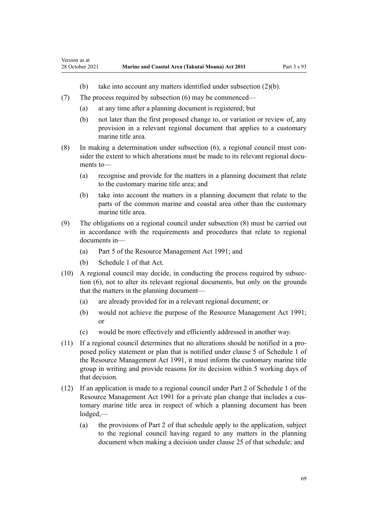- (b) take into account any matters identified under subsection (2)(b).
- (7) The process required by subsection (6) may be commenced—
	- (a) at any time after a planning document is registered; but
	- (b) not later than the first proposed change to, or variation or review of, any provision in a relevant regional document that applies to a customary marine title area.
- (8) In making a determination under subsection  $(6)$ , a regional council must consider the extent to which alterations must be made to its relevant regional documents to—
	- (a) recognise and provide for the matters in a planning document that relate to the customary marine title area; and
	- (b) take into account the matters in a planning document that relate to the parts of the common marine and coastal area other than the customary marine title area.
- (9) The obligations on a regional council under subsection (8) must be carried out in accordance with the requirements and procedures that relate to regional documents in—
	- (a) [Part 5](http://legislation.govt.nz/pdflink.aspx?id=DLM233301) of the Resource Management Act 1991; and
	- (b) [Schedule 1](http://legislation.govt.nz/pdflink.aspx?id=DLM240686) of that Act.

Version as at

- (10) A regional council may decide, in conducting the process required by subsec‐ tion (6), not to alter its relevant regional documents, but only on the grounds that the matters in the planning document—
	- (a) are already provided for in a relevant regional document; or
	- (b) would not achieve the purpose of the [Resource Management Act 1991;](http://legislation.govt.nz/pdflink.aspx?id=DLM230264) or
	- (c) would be more effectively and efficiently addressed in another way.
- (11) If a regional council determines that no alterations should be notified in a pro‐ posed policy statement or plan that is notified under [clause 5](http://legislation.govt.nz/pdflink.aspx?id=DLM241213) of Schedule 1 of the Resource Management Act 1991, it must inform the customary marine title group in writing and provide reasons for its decision within 5 working days of that decision.
- (12) If an application is made to a regional council under [Part 2](http://legislation.govt.nz/pdflink.aspx?id=DLM241513) of Schedule 1 of the Resource Management Act 1991 for a private plan change that includes a customary marine title area in respect of which a planning document has been lodged,—
	- (a) the provisions of [Part 2](http://legislation.govt.nz/pdflink.aspx?id=DLM241513) of that schedule apply to the application, subject to the regional council having regard to any matters in the planning document when making a decision under [clause 25](http://legislation.govt.nz/pdflink.aspx?id=DLM241526) of that schedule; and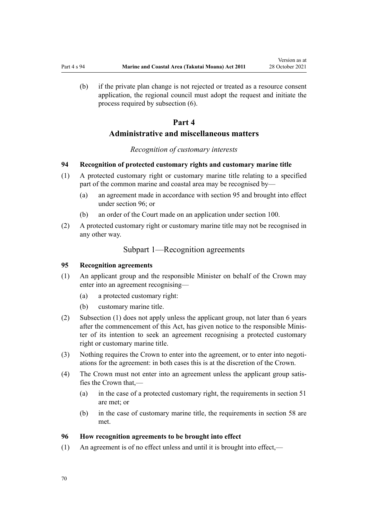<span id="page-69-0"></span>(b) if the private plan change is not rejected or treated as a resource consent application, the regional council must adopt the request and initiate the process required by subsection (6).

# **Part 4**

# **Administrative and miscellaneous matters**

#### *Recognition of customary interests*

#### **94 Recognition of protected customary rights and customary marine title**

- (1) A protected customary right or customary marine title relating to a specified part of the common marine and coastal area may be recognised by—
	- (a) an agreement made in accordance with section 95 and brought into effect under section 96; or
	- (b) an order of the Court made on an application under [section 100](#page-71-0).
- (2) A protected customary right or customary marine title may not be recognised in any other way.

# Subpart 1—Recognition agreements

#### **95 Recognition agreements**

- (1) An applicant group and the responsible Minister on behalf of the Crown may enter into an agreement recognising—
	- (a) a protected customary right:
	- (b) customary marine title.
- (2) Subsection (1) does not apply unless the applicant group, not later than 6 years after the commencement of this Act, has given notice to the responsible Minis‐ ter of its intention to seek an agreement recognising a protected customary right or customary marine title.
- (3) Nothing requires the Crown to enter into the agreement, or to enter into negotiations for the agreement: in both cases this is at the discretion of the Crown.
- (4) The Crown must not enter into an agreement unless the applicant group satis‐ fies the Crown that,—
	- (a) in the case of a protected customary right, the requirements in [section 51](#page-40-0) are met; or
	- (b) in the case of customary marine title, the requirements in [section 58](#page-44-0) are met.

#### **96 How recognition agreements to be brought into effect**

(1) An agreement is of no effect unless and until it is brought into effect,—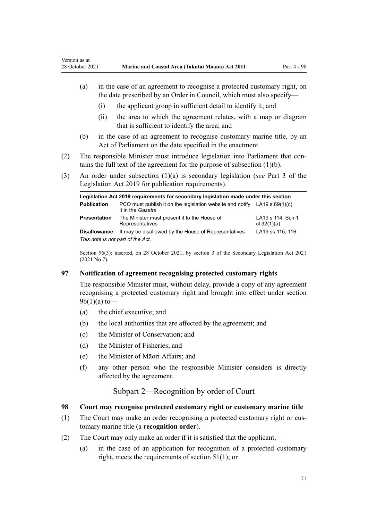- <span id="page-70-0"></span>(a) in the case of an agreement to recognise a protected customary right, on the date prescribed by an Order in Council, which must also specify—
	- (i) the applicant group in sufficient detail to identify it; and
	- (ii) the area to which the agreement relates, with a map or diagram that is sufficient to identify the area; and
- (b) in the case of an agreement to recognise customary marine title, by an Act of Parliament on the date specified in the enactment.
- (2) The responsible Minister must introduce legislation into Parliament that contains the full text of the agreement for the purpose of subsection (1)(b).
- (3) An order under subsection (1)(a) is secondary legislation (*see* [Part 3](http://legislation.govt.nz/pdflink.aspx?id=DLM7298343) of the Legislation Act 2019 for publication requirements).

| Legislation Act 2019 requirements for secondary legislation made under this section |                                                                                                  |                                    |
|-------------------------------------------------------------------------------------|--------------------------------------------------------------------------------------------------|------------------------------------|
| <b>Publication</b>                                                                  | PCO must publish it on the legislation website and notify LA19 s $69(1)(c)$<br>it in the Gazette |                                    |
| <b>Presentation</b>                                                                 | The Minister must present it to the House of<br>Representatives                                  | LA19 s 114, Sch 1<br>cl $32(1)(a)$ |
| <b>Disallowance</b>                                                                 | It may be disallowed by the House of Representatives                                             | LA19 ss 115, 116                   |
| This note is not part of the Act.                                                   |                                                                                                  |                                    |

Section 96(3): inserted, on 28 October 2021, by [section 3](http://legislation.govt.nz/pdflink.aspx?id=LMS268932) of the Secondary Legislation Act 2021 (2021 No 7).

#### **97 Notification of agreement recognising protected customary rights**

The responsible Minister must, without delay, provide a copy of any agreement recognising a protected customary right and brought into effect under [section](#page-69-0)  $96(1)(a)$  to —

- (a) the chief executive; and
- (b) the local authorities that are affected by the agreement; and
- (c) the Minister of Conservation; and
- (d) the Minister of Fisheries; and
- (e) the Minister of Māori Affairs; and
- (f) any other person who the responsible Minister considers is directly affected by the agreement.

# Subpart 2—Recognition by order of Court

### **98 Court may recognise protected customary right or customary marine title**

- (1) The Court may make an order recognising a protected customary right or cus‐ tomary marine title (a **recognition order**).
- (2) The Court may only make an order if it is satisfied that the applicant,—
	- (a) in the case of an application for recognition of a protected customary right, meets the requirements of [section 51\(1\)](#page-40-0); or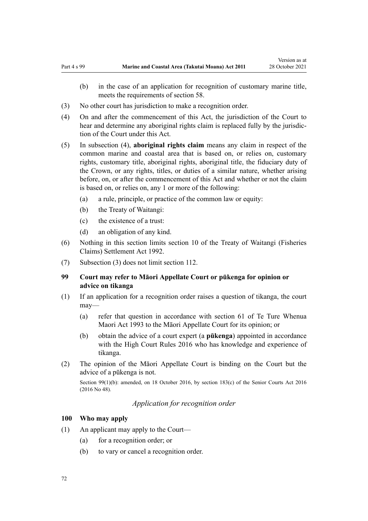- <span id="page-71-0"></span>(b) in the case of an application for recognition of customary marine title, meets the requirements of [section 58](#page-44-0).
- (3) No other court has jurisdiction to make a recognition order.
- (4) On and after the commencement of this Act, the jurisdiction of the Court to hear and determine any aboriginal rights claim is replaced fully by the jurisdiction of the Court under this Act.
- (5) In subsection (4), **aboriginal rights claim** means any claim in respect of the common marine and coastal area that is based on, or relies on, customary rights, customary title, aboriginal rights, aboriginal title, the fiduciary duty of the Crown, or any rights, titles, or duties of a similar nature, whether arising before, on, or after the commencement of this Act and whether or not the claim is based on, or relies on, any 1 or more of the following:
	- (a) a rule, principle, or practice of the common law or equity:
	- (b) the Treaty of Waitangi:
	- (c) the existence of a trust:
	- (d) an obligation of any kind.
- (6) Nothing in this section limits [section 10](http://legislation.govt.nz/pdflink.aspx?id=DLM281461) of the Treaty of Waitangi (Fisheries Claims) Settlement Act 1992.
- (7) Subsection (3) does not limit [section 112](#page-77-0).

# **99 Court may refer to Māori Appellate Court or pūkenga for opinion or advice on tikanga**

- (1) If an application for a recognition order raises a question of tikanga, the court may—
	- (a) refer that question in accordance with [section 61](http://legislation.govt.nz/pdflink.aspx?id=DLM290946) of Te Ture Whenua Maori Act 1993 to the Māori Appellate Court for its opinion; or
	- (b) obtain the advice of a court expert (a **pūkenga**) appointed in accordance with the [High Court Rules 2016](http://legislation.govt.nz/pdflink.aspx?id=DLM6959800) who has knowledge and experience of tikanga.
- (2) The opinion of the Māori Appellate Court is binding on the Court but the advice of a pūkenga is not.

Section 99(1)(b): amended, on 18 October 2016, by [section 183\(c\)](http://legislation.govt.nz/pdflink.aspx?id=DLM5759564) of the Senior Courts Act 2016 (2016 No 48).

*Application for recognition order*

#### **100 Who may apply**

- (1) An applicant may apply to the Court—
	- (a) for a recognition order; or
	- (b) to vary or cancel a recognition order.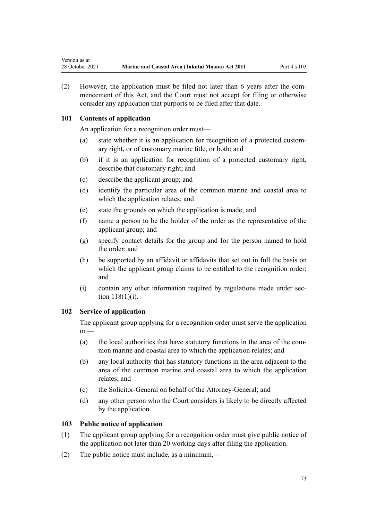<span id="page-72-0"></span>(2) However, the application must be filed not later than 6 years after the commencement of this Act, and the Court must not accept for filing or otherwise consider any application that purports to be filed after that date.

# **101 Contents of application**

An application for a recognition order must—

- (a) state whether it is an application for recognition of a protected custom‐ ary right, or of customary marine title, or both; and
- (b) if it is an application for recognition of a protected customary right, describe that customary right; and
- (c) describe the applicant group; and
- (d) identify the particular area of the common marine and coastal area to which the application relates; and
- (e) state the grounds on which the application is made; and
- (f) name a person to be the holder of the order as the representative of the applicant group; and
- (g) specify contact details for the group and for the person named to hold the order; and
- (h) be supported by an affidavit or affidavits that set out in full the basis on which the applicant group claims to be entitled to the recognition order; and
- (i) contain any other information required by regulations made under [sec‐](#page-78-0) [tion 118\(1\)\(i\)](#page-78-0).

# **102 Service of application**

The applicant group applying for a recognition order must serve the application on—

- (a) the local authorities that have statutory functions in the area of the common marine and coastal area to which the application relates; and
- (b) any local authority that has statutory functions in the area adjacent to the area of the common marine and coastal area to which the application relates; and
- (c) the Solicitor-General on behalf of the Attorney-General; and
- (d) any other person who the Court considers is likely to be directly affected by the application.

## **103 Public notice of application**

- (1) The applicant group applying for a recognition order must give public notice of the application not later than 20 working days after filing the application.
- (2) The public notice must include, as a minimum,—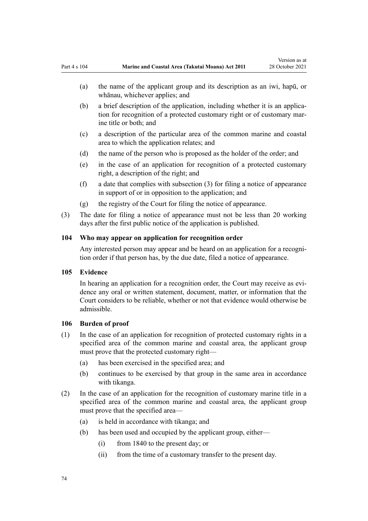- <span id="page-73-0"></span>(b) a brief description of the application, including whether it is an applica‐ tion for recognition of a protected customary right or of customary marine title or both; and
- (c) a description of the particular area of the common marine and coastal area to which the application relates; and
- (d) the name of the person who is proposed as the holder of the order; and
- (e) in the case of an application for recognition of a protected customary right, a description of the right; and
- (f) a date that complies with subsection (3) for filing a notice of appearance in support of or in opposition to the application; and
- (g) the registry of the Court for filing the notice of appearance.
- (3) The date for filing a notice of appearance must not be less than 20 working days after the first public notice of the application is published.

#### **104 Who may appear on application for recognition order**

Any interested person may appear and be heard on an application for a recognition order if that person has, by the due date, filed a notice of appearance.

#### **105 Evidence**

In hearing an application for a recognition order, the Court may receive as evidence any oral or written statement, document, matter, or information that the Court considers to be reliable, whether or not that evidence would otherwise be admissible.

#### **106 Burden of proof**

- (1) In the case of an application for recognition of protected customary rights in a specified area of the common marine and coastal area, the applicant group must prove that the protected customary right—
	- (a) has been exercised in the specified area; and
	- (b) continues to be exercised by that group in the same area in accordance with tikanga.
- (2) In the case of an application for the recognition of customary marine title in a specified area of the common marine and coastal area, the applicant group must prove that the specified area—
	- (a) is held in accordance with tikanga; and
	- (b) has been used and occupied by the applicant group, either—
		- (i) from 1840 to the present day; or
		- (ii) from the time of a customary transfer to the present day.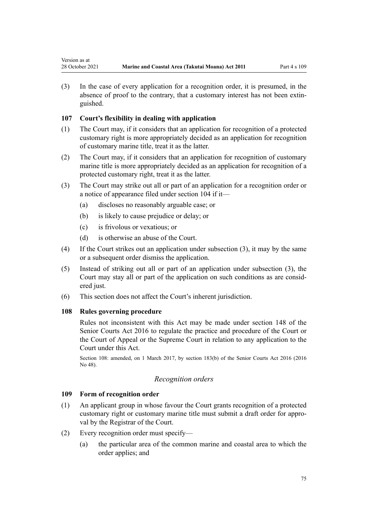<span id="page-74-0"></span>(3) In the case of every application for a recognition order, it is presumed, in the absence of proof to the contrary, that a customary interest has not been extin‐ guished.

# **107 Court's flexibility in dealing with application**

- (1) The Court may, if it considers that an application for recognition of a protected customary right is more appropriately decided as an application for recognition of customary marine title, treat it as the latter.
- (2) The Court may, if it considers that an application for recognition of customary marine title is more appropriately decided as an application for recognition of a protected customary right, treat it as the latter.
- (3) The Court may strike out all or part of an application for a recognition order or a notice of appearance filed under [section 104](#page-73-0) if it—
	- (a) discloses no reasonably arguable case; or
	- (b) is likely to cause prejudice or delay; or
	- (c) is frivolous or vexatious; or
	- (d) is otherwise an abuse of the Court.
- (4) If the Court strikes out an application under subsection (3), it may by the same or a subsequent order dismiss the application.
- (5) Instead of striking out all or part of an application under subsection (3), the Court may stay all or part of the application on such conditions as are consid‐ ered just.
- (6) This section does not affect the Court's inherent jurisdiction.

## **108 Rules governing procedure**

Rules not inconsistent with this Act may be made under [section 148](http://legislation.govt.nz/pdflink.aspx?id=DLM5759504) of the Senior Courts Act 2016 to regulate the practice and procedure of the Court or the Court of Appeal or the Supreme Court in relation to any application to the Court under this Act.

Section 108: amended, on 1 March 2017, by [section 183\(b\)](http://legislation.govt.nz/pdflink.aspx?id=DLM5759564) of the Senior Courts Act 2016 (2016  $N_0$  48).

## *Recognition orders*

## **109 Form of recognition order**

- (1) An applicant group in whose favour the Court grants recognition of a protected customary right or customary marine title must submit a draft order for appro‐ val by the Registrar of the Court.
- (2) Every recognition order must specify—
	- (a) the particular area of the common marine and coastal area to which the order applies; and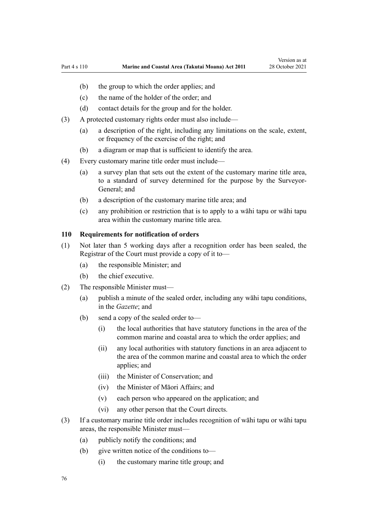- <span id="page-75-0"></span>(b) the group to which the order applies; and
- (c) the name of the holder of the order; and
- (d) contact details for the group and for the holder.
- (3) A protected customary rights order must also include—
	- (a) a description of the right, including any limitations on the scale, extent, or frequency of the exercise of the right; and
	- (b) a diagram or map that is sufficient to identify the area.
- (4) Every customary marine title order must include—
	- (a) a survey plan that sets out the extent of the customary marine title area, to a standard of survey determined for the purpose by the Surveyor-General; and
	- (b) a description of the customary marine title area; and
	- (c) any prohibition or restriction that is to apply to a wāhi tapu or wāhi tapu area within the customary marine title area.

#### **110 Requirements for notification of orders**

- (1) Not later than 5 working days after a recognition order has been sealed, the Registrar of the Court must provide a copy of it to—
	- (a) the responsible Minister; and
	- (b) the chief executive.
- (2) The responsible Minister must—
	- (a) publish a minute of the sealed order, including any wāhi tapu conditions, in the *Gazette*; and
	- (b) send a copy of the sealed order to—
		- (i) the local authorities that have statutory functions in the area of the common marine and coastal area to which the order applies; and
		- (ii) any local authorities with statutory functions in an area adjacent to the area of the common marine and coastal area to which the order applies; and
		- (iii) the Minister of Conservation; and
		- (iv) the Minister of Māori Affairs; and
		- (v) each person who appeared on the application; and
		- (vi) any other person that the Court directs.
- (3) If a customary marine title order includes recognition of wāhi tapu or wāhi tapu areas, the responsible Minister must—
	- (a) publicly notify the conditions; and
	- (b) give written notice of the conditions to—
		- (i) the customary marine title group; and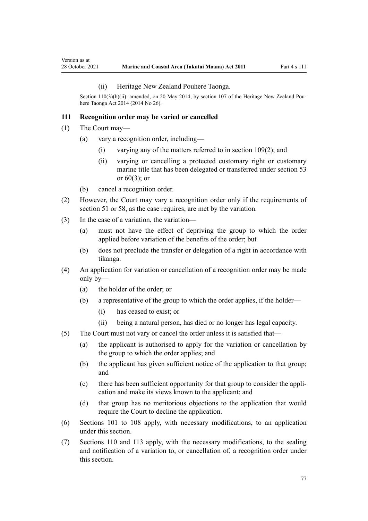#### (ii) Heritage New Zealand Pouhere Taonga.

<span id="page-76-0"></span>Section 110(3)(b)(ii): amended, on 20 May 2014, by [section 107](http://legislation.govt.nz/pdflink.aspx?id=DLM4005646) of the Heritage New Zealand Pouhere Taonga Act 2014 (2014 No 26).

#### **111 Recognition order may be varied or cancelled**

- (1) The Court may—
	- (a) vary a recognition order, including—
		- (i) varying any of the matters referred to in [section 109\(2\);](#page-74-0) and
		- (ii) varying or cancelling a protected customary right or customary marine title that has been delegated or transferred under [section 53](#page-41-0) or  $60(3)$ ; or
	- (b) cancel a recognition order.
- (2) However, the Court may vary a recognition order only if the requirements of [section 51](#page-40-0) or [58,](#page-44-0) as the case requires, are met by the variation.
- (3) In the case of a variation, the variation—
	- (a) must not have the effect of depriving the group to which the order applied before variation of the benefits of the order; but
	- (b) does not preclude the transfer or delegation of a right in accordance with tikanga.
- (4) An application for variation or cancellation of a recognition order may be made only by—
	- (a) the holder of the order; or
	- (b) a representative of the group to which the order applies, if the holder—
		- (i) has ceased to exist; or
		- (ii) being a natural person, has died or no longer has legal capacity.
- (5) The Court must not vary or cancel the order unless it is satisfied that—
	- (a) the applicant is authorised to apply for the variation or cancellation by the group to which the order applies; and
	- (b) the applicant has given sufficient notice of the application to that group; and
	- (c) there has been sufficient opportunity for that group to consider the appli‐ cation and make its views known to the applicant; and
	- (d) that group has no meritorious objections to the application that would require the Court to decline the application.
- (6) [Sections 101 to 108](#page-72-0) apply, with necessary modifications, to an application under this section.
- (7) [Sections 110](#page-75-0) and [113](#page-77-0) apply, with the necessary modifications, to the sealing and notification of a variation to, or cancellation of, a recognition order under this section.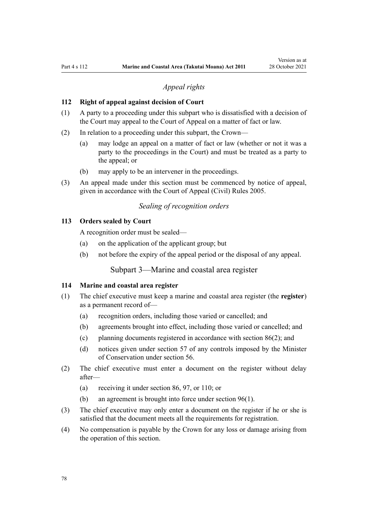## *Appeal rights*

#### <span id="page-77-0"></span>**112 Right of appeal against decision of Court**

- (1) A party to a proceeding under this subpart who is dissatisfied with a decision of the Court may appeal to the Court of Appeal on a matter of fact or law.
- (2) In relation to a proceeding under this subpart, the Crown—
	- (a) may lodge an appeal on a matter of fact or law (whether or not it was a party to the proceedings in the Court) and must be treated as a party to the appeal; or
	- (b) may apply to be an intervener in the proceedings.
- (3) An appeal made under this section must be commenced by notice of appeal, given in accordance with the [Court of Appeal \(Civil\) Rules 2005](http://legislation.govt.nz/pdflink.aspx?id=DLM319745).

# *Sealing of recognition orders*

## **113 Orders sealed by Court**

A recognition order must be sealed—

- (a) on the application of the applicant group; but
- (b) not before the expiry of the appeal period or the disposal of any appeal.

Subpart 3—Marine and coastal area register

#### **114 Marine and coastal area register**

- (1) The chief executive must keep a marine and coastal area register (the **register**) as a permanent record of—
	- (a) recognition orders, including those varied or cancelled; and
	- (b) agreements brought into effect, including those varied or cancelled; and
	- (c) planning documents registered in accordance with [section 86\(2\)](#page-65-0); and
	- (d) notices given under [section 57](#page-44-0) of any controls imposed by the Minister of Conservation under [section 56.](#page-43-0)
- (2) The chief executive must enter a document on the register without delay after—
	- (a) receiving it under [section 86](#page-65-0), [97](#page-70-0), or [110](#page-75-0); or
	- (b) an agreement is brought into force under [section 96\(1\).](#page-69-0)
- (3) The chief executive may only enter a document on the register if he or she is satisfied that the document meets all the requirements for registration.
- (4) No compensation is payable by the Crown for any loss or damage arising from the operation of this section.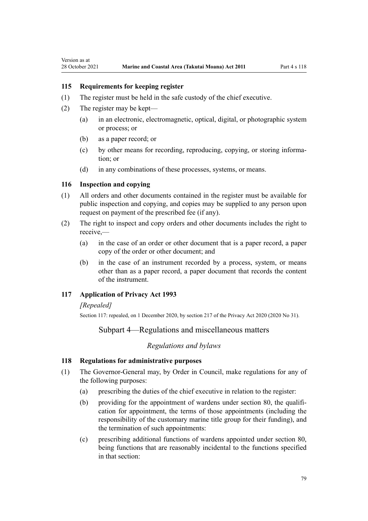## <span id="page-78-0"></span>**115 Requirements for keeping register**

- (1) The register must be held in the safe custody of the chief executive.
- (2) The register may be kept—
	- (a) in an electronic, electromagnetic, optical, digital, or photographic system or process; or
	- (b) as a paper record; or
	- (c) by other means for recording, reproducing, copying, or storing information; or
	- (d) in any combinations of these processes, systems, or means.

#### **116 Inspection and copying**

- (1) All orders and other documents contained in the register must be available for public inspection and copying, and copies may be supplied to any person upon request on payment of the prescribed fee (if any).
- (2) The right to inspect and copy orders and other documents includes the right to receive,—
	- (a) in the case of an order or other document that is a paper record, a paper copy of the order or other document; and
	- (b) in the case of an instrument recorded by a process, system, or means other than as a paper record, a paper document that records the content of the instrument.

#### **117 Application of Privacy Act 1993**

## *[Repealed]*

Section 117: repealed, on 1 December 2020, by [section 217](http://legislation.govt.nz/pdflink.aspx?id=LMS23706) of the Privacy Act 2020 (2020 No 31).

# Subpart 4—Regulations and miscellaneous matters

#### *Regulations and bylaws*

#### **118 Regulations for administrative purposes**

- (1) The Governor-General may, by Order in Council, make regulations for any of the following purposes:
	- (a) prescribing the duties of the chief executive in relation to the register:
	- (b) providing for the appointment of wardens under [section 80,](#page-60-0) the qualification for appointment, the terms of those appointments (including the responsibility of the customary marine title group for their funding), and the termination of such appointments:
	- (c) prescribing additional functions of wardens appointed under [section 80](#page-60-0), being functions that are reasonably incidental to the functions specified in that section: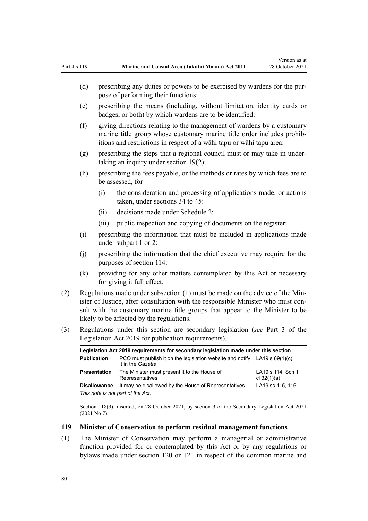- (d) prescribing any duties or powers to be exercised by wardens for the purpose of performing their functions:
- (e) prescribing the means (including, without limitation, identity cards or badges, or both) by which wardens are to be identified:
- (f) giving directions relating to the management of wardens by a customary marine title group whose customary marine title order includes prohibitions and restrictions in respect of a wāhi tapu or wāhi tapu area:
- (g) prescribing the steps that a regional council must or may take in under‐ taking an inquiry under [section 19\(2\)](#page-20-0):
- (h) prescribing the fees payable, or the methods or rates by which fees are to be assessed, for—
	- (i) the consideration and processing of applications made, or actions taken, under [sections 34 to 45:](#page-29-0)
	- (ii) decisions made under [Schedule 2:](#page-93-0)
	- (iii) public inspection and copying of documents on the register:
- (i) prescribing the information that must be included in applications made under [subpart 1](#page-69-0) or [2:](#page-70-0)
- (j) prescribing the information that the chief executive may require for the purposes of [section 114:](#page-77-0)
- (k) providing for any other matters contemplated by this Act or necessary for giving it full effect.
- (2) Regulations made under subsection (1) must be made on the advice of the Min‐ ister of Justice, after consultation with the responsible Minister who must consult with the customary marine title groups that appear to the Minister to be likely to be affected by the regulations.
- (3) Regulations under this section are secondary legislation (*see* [Part 3](http://legislation.govt.nz/pdflink.aspx?id=DLM7298343) of the Legislation Act 2019 for publication requirements).

| Legislation Act 2019 reguirements for secondary legislation made under this section |                                                                                                  |                                    |  |  |
|-------------------------------------------------------------------------------------|--------------------------------------------------------------------------------------------------|------------------------------------|--|--|
| <b>Publication</b>                                                                  | PCO must publish it on the legislation website and notify LA19 s $69(1)(c)$<br>it in the Gazette |                                    |  |  |
| Presentation                                                                        | The Minister must present it to the House of<br>Representatives                                  | LA19 s 114, Sch 1<br>cl $32(1)(a)$ |  |  |
| <b>Disallowance</b>                                                                 | It may be disallowed by the House of Representatives                                             | LA19 ss 115, 116                   |  |  |
| This note is not part of the Act.                                                   |                                                                                                  |                                    |  |  |

Section 118(3): inserted, on 28 October 2021, by [section 3](http://legislation.govt.nz/pdflink.aspx?id=LMS268932) of the Secondary Legislation Act 2021 (2021 No 7).

#### **119 Minister of Conservation to perform residual management functions**

(1) The Minister of Conservation may perform a managerial or administrative function provided for or contemplated by this Act or by any regulations or bylaws made under [section 120](#page-80-0) or [121](#page-81-0) in respect of the common marine and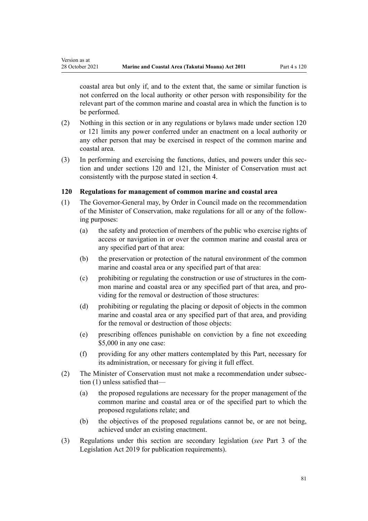<span id="page-80-0"></span>Version as at

coastal area but only if, and to the extent that, the same or similar function is not conferred on the local authority or other person with responsibility for the relevant part of the common marine and coastal area in which the function is to be performed.

- (2) Nothing in this section or in any regulations or bylaws made under section 120 or [121](#page-81-0) limits any power conferred under an enactment on a local authority or any other person that may be exercised in respect of the common marine and coastal area.
- (3) In performing and exercising the functions, duties, and powers under this section and under sections 120 and [121,](#page-81-0) the Minister of Conservation must act consistently with the purpose stated in [section 4](#page-8-0).

## **120 Regulations for management of common marine and coastal area**

- (1) The Governor-General may, by Order in Council made on the recommendation of the Minister of Conservation, make regulations for all or any of the follow‐ ing purposes:
	- (a) the safety and protection of members of the public who exercise rights of access or navigation in or over the common marine and coastal area or any specified part of that area:
	- (b) the preservation or protection of the natural environment of the common marine and coastal area or any specified part of that area:
	- (c) prohibiting or regulating the construction or use of structures in the com‐ mon marine and coastal area or any specified part of that area, and providing for the removal or destruction of those structures:
	- (d) prohibiting or regulating the placing or deposit of objects in the common marine and coastal area or any specified part of that area, and providing for the removal or destruction of those objects:
	- (e) prescribing offences punishable on conviction by a fine not exceeding \$5,000 in any one case:
	- (f) providing for any other matters contemplated by this Part, necessary for its administration, or necessary for giving it full effect.
- (2) The Minister of Conservation must not make a recommendation under subsec‐ tion (1) unless satisfied that—
	- (a) the proposed regulations are necessary for the proper management of the common marine and coastal area or of the specified part to which the proposed regulations relate; and
	- (b) the objectives of the proposed regulations cannot be, or are not being, achieved under an existing enactment.
- (3) Regulations under this section are secondary legislation (*see* [Part 3](http://legislation.govt.nz/pdflink.aspx?id=DLM7298343) of the Legislation Act 2019 for publication requirements).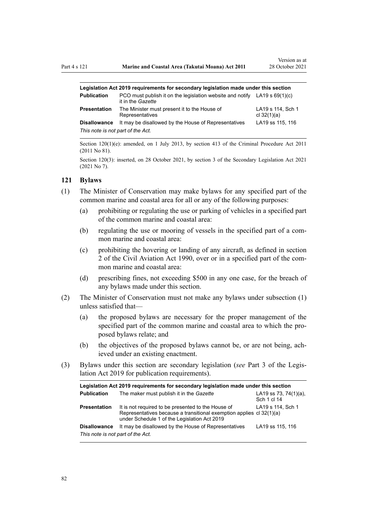<span id="page-81-0"></span>

| Legislation Act 2019 reguirements for secondary legislation made under this section |                                                                                                  |                                    |  |  |
|-------------------------------------------------------------------------------------|--------------------------------------------------------------------------------------------------|------------------------------------|--|--|
| <b>Publication</b>                                                                  | PCO must publish it on the legislation website and notify LA19 s $69(1)(c)$<br>it in the Gazette |                                    |  |  |
| Presentation                                                                        | The Minister must present it to the House of<br>Representatives                                  | LA19 s 114, Sch 1<br>cl $32(1)(a)$ |  |  |
| <b>Disallowance</b>                                                                 | It may be disallowed by the House of Representatives                                             | LA19 ss 115, 116                   |  |  |
| This note is not part of the Act.                                                   |                                                                                                  |                                    |  |  |

Section 120(1)(e): amended, on 1 July 2013, by [section 413](http://legislation.govt.nz/pdflink.aspx?id=DLM3360714) of the Criminal Procedure Act 2011 (2011 No 81).

Section 120(3): inserted, on 28 October 2021, by [section 3](http://legislation.govt.nz/pdflink.aspx?id=LMS268932) of the Secondary Legislation Act 2021 (2021 No 7).

#### **121 Bylaws**

- (1) The Minister of Conservation may make bylaws for any specified part of the common marine and coastal area for all or any of the following purposes:
	- (a) prohibiting or regulating the use or parking of vehicles in a specified part of the common marine and coastal area:
	- (b) regulating the use or mooring of vessels in the specified part of a common marine and coastal area:
	- (c) prohibiting the hovering or landing of any aircraft, as defined in [section](http://legislation.govt.nz/pdflink.aspx?id=DLM214692) [2](http://legislation.govt.nz/pdflink.aspx?id=DLM214692) of the Civil Aviation Act 1990, over or in a specified part of the com‐ mon marine and coastal area:
	- (d) prescribing fines, not exceeding \$500 in any one case, for the breach of any bylaws made under this section.
- (2) The Minister of Conservation must not make any bylaws under subsection (1) unless satisfied that—
	- (a) the proposed bylaws are necessary for the proper management of the specified part of the common marine and coastal area to which the proposed bylaws relate; and
	- (b) the objectives of the proposed bylaws cannot be, or are not being, achieved under an existing enactment.
- (3) Bylaws under this section are secondary legislation (*see* [Part 3](http://legislation.govt.nz/pdflink.aspx?id=DLM7298343) of the Legis‐ lation Act 2019 for publication requirements).

| Legislation Act 2019 requirements for secondary legislation made under this section |                                                                                                                                                                            |                                          |  |  |
|-------------------------------------------------------------------------------------|----------------------------------------------------------------------------------------------------------------------------------------------------------------------------|------------------------------------------|--|--|
| <b>Publication</b>                                                                  | The maker must publish it in the Gazette                                                                                                                                   | LA19 ss 73, 74 $(1)(a)$ ,<br>Sch 1 cl 14 |  |  |
| <b>Presentation</b>                                                                 | It is not required to be presented to the House of<br>Representatives because a transitional exemption applies cl 32(1)(a)<br>under Schedule 1 of the Legislation Act 2019 | LA19 s 114, Sch 1                        |  |  |
| <b>Disallowance</b><br>This note is not part of the Act.                            | It may be disallowed by the House of Representatives                                                                                                                       | LA19 ss 115, 116                         |  |  |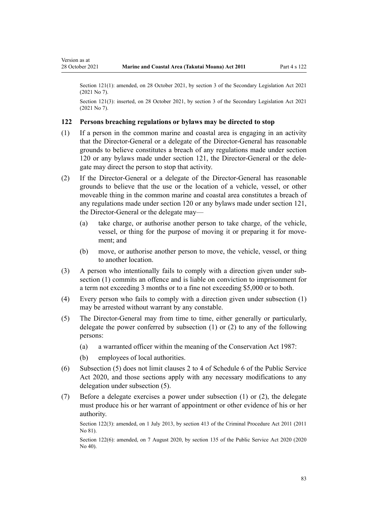Version as at

Section 121(1): amended, on 28 October 2021, by [section 3](http://legislation.govt.nz/pdflink.aspx?id=LMS268932) of the Secondary Legislation Act 2021 (2021 No 7).

Section 121(3): inserted, on 28 October 2021, by [section 3](http://legislation.govt.nz/pdflink.aspx?id=LMS268932) of the Secondary Legislation Act 2021 (2021 No 7).

#### **122 Persons breaching regulations or bylaws may be directed to stop**

- (1) If a person in the common marine and coastal area is engaging in an activity that the Director-General or a delegate of the Director-General has reasonable grounds to believe constitutes a breach of any regulations made under [section](#page-80-0) [120](#page-80-0) or any bylaws made under [section 121](#page-81-0), the Director-General or the dele‐ gate may direct the person to stop that activity.
- (2) If the Director-General or a delegate of the Director-General has reasonable grounds to believe that the use or the location of a vehicle, vessel, or other moveable thing in the common marine and coastal area constitutes a breach of any regulations made under [section 120](#page-80-0) or any bylaws made under [section 121](#page-81-0), the Director-General or the delegate may—
	- (a) take charge, or authorise another person to take charge, of the vehicle, vessel, or thing for the purpose of moving it or preparing it for movement; and
	- (b) move, or authorise another person to move, the vehicle, vessel, or thing to another location.
- (3) A person who intentionally fails to comply with a direction given under sub‐ section (1) commits an offence and is liable on conviction to imprisonment for a term not exceeding 3 months or to a fine not exceeding \$5,000 or to both.
- (4) Every person who fails to comply with a direction given under subsection (1) may be arrested without warrant by any constable.
- (5) The Director-General may from time to time, either generally or particularly, delegate the power conferred by subsection (1) or (2) to any of the following persons:
	- (a) a warranted officer within the meaning of the [Conservation Act 1987](http://legislation.govt.nz/pdflink.aspx?id=DLM103609):
	- (b) employees of local authorities.
- (6) Subsection (5) does not limit [clauses 2 to 4](http://legislation.govt.nz/pdflink.aspx?id=LMS356992) of Schedule 6 of the Public Service Act 2020, and those sections apply with any necessary modifications to any delegation under subsection (5).
- (7) Before a delegate exercises a power under subsection (1) or (2), the delegate must produce his or her warrant of appointment or other evidence of his or her authority.

Section 122(3): amended, on 1 July 2013, by [section 413](http://legislation.govt.nz/pdflink.aspx?id=DLM3360714) of the Criminal Procedure Act 2011 (2011 No 81).

Section 122(6): amended, on 7 August 2020, by [section 135](http://legislation.govt.nz/pdflink.aspx?id=LMS176959) of the Public Service Act 2020 (2020) No 40).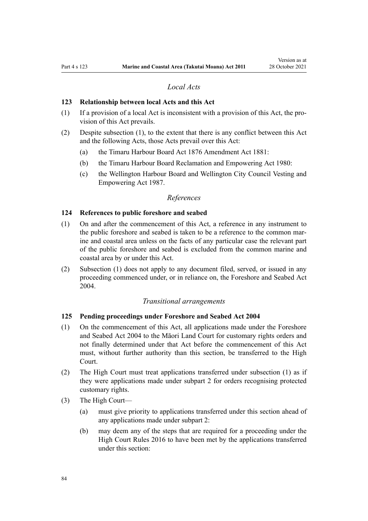# *Local Acts*

#### **123 Relationship between local Acts and this Act**

- $(1)$  If a provision of a local Act is inconsistent with a provision of this Act, the provision of this Act prevails.
- (2) Despite subsection (1), to the extent that there is any conflict between this Act and the following Acts, those Acts prevail over this Act:
	- (a) the [Timaru Harbour Board Act 1876 Amendment Act 1881](http://legislation.govt.nz/pdflink.aspx?id=DLM15371):
	- (b) the [Timaru Harbour Board Reclamation and Empowering Act 1980:](http://legislation.govt.nz/pdflink.aspx?id=DLM74774)
	- (c) the [Wellington Harbour Board and Wellington City Council Vesting and](http://legislation.govt.nz/pdflink.aspx?id=DLM78106) [Empowering Act 1987.](http://legislation.govt.nz/pdflink.aspx?id=DLM78106)

### *References*

#### **124 References to public foreshore and seabed**

- (1) On and after the commencement of this Act, a reference in any instrument to the public foreshore and seabed is taken to be a reference to the common mar‐ ine and coastal area unless on the facts of any particular case the relevant part of the public foreshore and seabed is excluded from the common marine and coastal area by or under this Act.
- (2) Subsection (1) does not apply to any document filed, served, or issued in any proceeding commenced under, or in reliance on, the [Foreshore and Seabed Act](http://legislation.govt.nz/pdflink.aspx?id=DLM319838) [2004](http://legislation.govt.nz/pdflink.aspx?id=DLM319838).

#### *Transitional arrangements*

## **125 Pending proceedings under Foreshore and Seabed Act 2004**

- (1) On the commencement of this Act, all applications made under the [Foreshore](http://legislation.govt.nz/pdflink.aspx?id=DLM319838) [and Seabed Act 2004](http://legislation.govt.nz/pdflink.aspx?id=DLM319838) to the Māori Land Court for customary rights orders and not finally determined under that Act before the commencement of this Act must, without further authority than this section, be transferred to the High Court.
- (2) The High Court must treat applications transferred under subsection (1) as if they were applications made under [subpart 2](#page-70-0) for orders recognising protected customary rights.
- (3) The High Court—
	- (a) must give priority to applications transferred under this section ahead of any applications made under [subpart 2](#page-70-0):
	- (b) may deem any of the steps that are required for a proceeding under the [High Court Rules 2016](http://legislation.govt.nz/pdflink.aspx?id=DLM6959800) to have been met by the applications transferred under this section: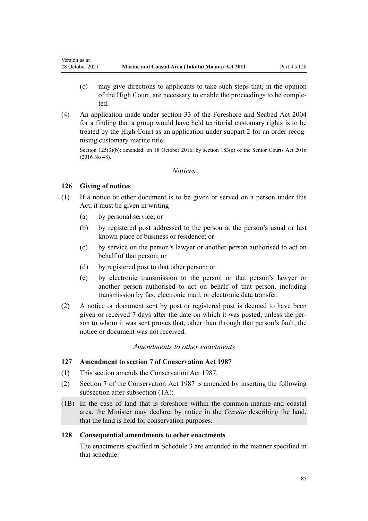- (c) may give directions to applicants to take such steps that, in the opinion of the High Court, are necessary to enable the proceedings to be comple‐ ted.
- (4) An application made under [section 33](http://legislation.govt.nz/pdflink.aspx?id=DLM320263) of the Foreshore and Seabed Act 2004 for a finding that a group would have held territorial customary rights is to be treated by the High Court as an application under [subpart 2](#page-70-0) for an order recognising customary marine title.

Section 125(3)(b): amended, on 18 October 2016, by [section 183\(c\)](http://legislation.govt.nz/pdflink.aspx?id=DLM5759564) of the Senior Courts Act 2016 (2016 No 48).

## *Notices*

## **126 Giving of notices**

<span id="page-84-0"></span>Version as at

- (1) If a notice or other document is to be given or served on a person under this Act, it must be given in writing—
	- (a) by personal service; or
	- (b) by registered post addressed to the person at the person's usual or last known place of business or residence; or
	- (c) by service on the person's lawyer or another person authorised to act on behalf of that person; or
	- (d) by registered post to that other person; or
	- (e) by electronic transmission to the person or that person's lawyer or another person authorised to act on behalf of that person, including transmission by fax, electronic mail, or electronic data transfer.
- (2) A notice or document sent by post or registered post is deemed to have been given or received 7 days after the date on which it was posted, unless the per‐ son to whom it was sent proves that, other than through that person's fault, the notice or document was not received.

## *Amendments to other enactments*

# **127 Amendment to section 7 of Conservation Act 1987**

- (1) This section amends the [Conservation Act 1987.](http://legislation.govt.nz/pdflink.aspx?id=DLM103609)
- (2) [Section 7](http://legislation.govt.nz/pdflink.aspx?id=DLM104251) of the Conservation Act 1987 is amended by inserting the following subsection after subsection (1A):
- (1B) In the case of land that is foreshore within the common marine and coastal area, the Minister may declare, by notice in the *Gazette* describing the land, that the land is held for conservation purposes.

## **128 Consequential amendments to other enactments**

The enactments specified in [Schedule 3 a](#page-99-0)re amended in the manner specified in that schedule.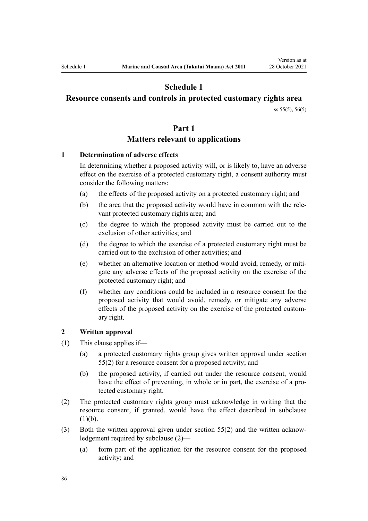# **Schedule 1**

# <span id="page-85-0"></span>**Resource consents and controls in protected customary rights area**

[ss 55\(5\)](#page-42-0), [56\(5\)](#page-43-0)

## **Part 1**

# **Matters relevant to applications**

## **1 Determination of adverse effects**

In determining whether a proposed activity will, or is likely to, have an adverse effect on the exercise of a protected customary right, a consent authority must consider the following matters:

- (a) the effects of the proposed activity on a protected customary right; and
- (b) the area that the proposed activity would have in common with the rele‐ vant protected customary rights area; and
- (c) the degree to which the proposed activity must be carried out to the exclusion of other activities; and
- (d) the degree to which the exercise of a protected customary right must be carried out to the exclusion of other activities; and
- (e) whether an alternative location or method would avoid, remedy, or miti‐ gate any adverse effects of the proposed activity on the exercise of the protected customary right; and
- (f) whether any conditions could be included in a resource consent for the proposed activity that would avoid, remedy, or mitigate any adverse effects of the proposed activity on the exercise of the protected custom‐ ary right.

#### **2 Written approval**

- (1) This clause applies if—
	- (a) a protected customary rights group gives written approval under [section](#page-42-0) [55\(2\)](#page-42-0) for a resource consent for a proposed activity; and
	- (b) the proposed activity, if carried out under the resource consent, would have the effect of preventing, in whole or in part, the exercise of a protected customary right.
- (2) The protected customary rights group must acknowledge in writing that the resource consent, if granted, would have the effect described in subclause  $(1)(b)$ .
- (3) Both the written approval given under [section 55\(2\)](#page-42-0) and the written acknow‐ ledgement required by subclause (2)—
	- (a) form part of the application for the resource consent for the proposed activity; and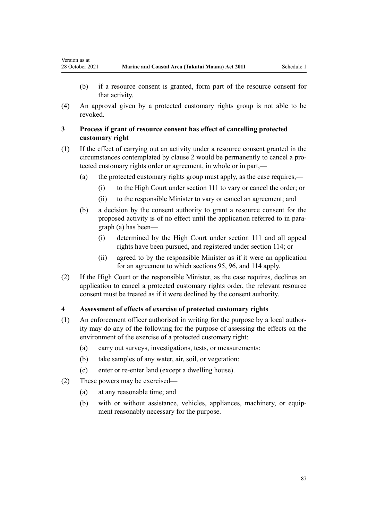Version as at

- (b) if a resource consent is granted, form part of the resource consent for that activity.
- (4) An approval given by a protected customary rights group is not able to be revoked.

## **3 Process if grant of resource consent has effect of cancelling protected customary right**

- (1) If the effect of carrying out an activity under a resource consent granted in the circumstances contemplated by [clause 2](#page-85-0) would be permanently to cancel a pro‐ tected customary rights order or agreement, in whole or in part,—
	- (a) the protected customary rights group must apply, as the case requires,—
		- (i) to the High Court under [section 111](#page-76-0) to vary or cancel the order; or
		- (ii) to the responsible Minister to vary or cancel an agreement; and
	- (b) a decision by the consent authority to grant a resource consent for the proposed activity is of no effect until the application referred to in para‐ graph (a) has been—
		- (i) determined by the High Court under [section 111](#page-76-0) and all appeal rights have been pursued, and registered under [section 114;](#page-77-0) or
		- (ii) agreed to by the responsible Minister as if it were an application for an agreement to which [sections 95](#page-69-0), [96](#page-69-0), and [114](#page-77-0) apply.
- (2) If the High Court or the responsible Minister, as the case requires, declines an application to cancel a protected customary rights order, the relevant resource consent must be treated as if it were declined by the consent authority.

#### **4 Assessment of effects of exercise of protected customary rights**

- (1) An enforcement officer authorised in writing for the purpose by a local author‐ ity may do any of the following for the purpose of assessing the effects on the environment of the exercise of a protected customary right:
	- (a) carry out surveys, investigations, tests, or measurements:
	- (b) take samples of any water, air, soil, or vegetation:
	- (c) enter or re-enter land (except a dwelling house).
- (2) These powers may be exercised—
	- (a) at any reasonable time; and
	- (b) with or without assistance, vehicles, appliances, machinery, or equipment reasonably necessary for the purpose.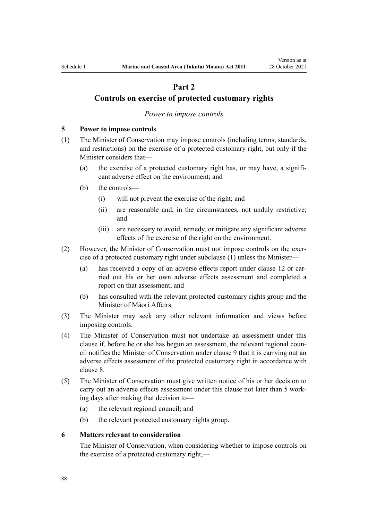# **Part 2**

# <span id="page-87-0"></span>**Controls on exercise of protected customary rights**

#### *Power to impose controls*

#### **5 Power to impose controls**

- (1) The Minister of Conservation may impose controls (including terms, standards, and restrictions) on the exercise of a protected customary right, but only if the Minister considers that—
	- (a) the exercise of a protected customary right has, or may have, a significant adverse effect on the environment; and
	- (b) the controls—
		- (i) will not prevent the exercise of the right; and
		- (ii) are reasonable and, in the circumstances, not unduly restrictive; and
		- (iii) are necessary to avoid, remedy, or mitigate any significant adverse effects of the exercise of the right on the environment.
- (2) However, the Minister of Conservation must not impose controls on the exer‐ cise of a protected customary right under subclause (1) unless the Minister
	- (a) has received a copy of an adverse effects report under [clause 12](#page-91-0) or carried out his or her own adverse effects assessment and completed a report on that assessment; and
	- (b) has consulted with the relevant protected customary rights group and the Minister of Māori Affairs.
- (3) The Minister may seek any other relevant information and views before imposing controls.
- (4) The Minister of Conservation must not undertake an assessment under this clause if, before he or she has begun an assessment, the relevant regional council notifies the Minister of Conservation under [clause 9](#page-89-0) that it is carrying out an adverse effects assessment of the protected customary right in accordance with [clause 8.](#page-88-0)
- (5) The Minister of Conservation must give written notice of his or her decision to carry out an adverse effects assessment under this clause not later than 5 work‐ ing days after making that decision to—
	- (a) the relevant regional council; and
	- (b) the relevant protected customary rights group.

#### **6 Matters relevant to consideration**

The Minister of Conservation, when considering whether to impose controls on the exercise of a protected customary right,—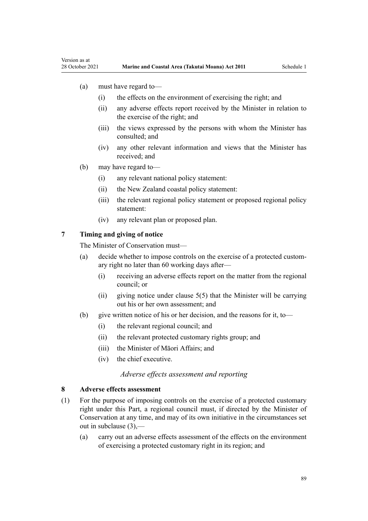(a) must have regard to—

<span id="page-88-0"></span>Version as at

- (i) the effects on the environment of exercising the right; and
- (ii) any adverse effects report received by the Minister in relation to the exercise of the right; and
- (iii) the views expressed by the persons with whom the Minister has consulted; and
- (iv) any other relevant information and views that the Minister has received; and
- (b) may have regard to—
	- (i) any relevant national policy statement:
	- (ii) the New Zealand coastal policy statement:
	- (iii) the relevant regional policy statement or proposed regional policy statement:
	- (iv) any relevant plan or proposed plan.

#### **7 Timing and giving of notice**

The Minister of Conservation must—

- (a) decide whether to impose controls on the exercise of a protected custom‐ ary right no later than 60 working days after—
	- (i) receiving an adverse effects report on the matter from the regional council; or
	- (ii) giving notice under [clause 5\(5\)](#page-87-0) that the Minister will be carrying out his or her own assessment; and
- (b) give written notice of his or her decision, and the reasons for it, to—
	- (i) the relevant regional council; and
	- (ii) the relevant protected customary rights group; and
	- (iii) the Minister of Māori Affairs; and
	- (iv) the chief executive.

## *Adverse effects assessment and reporting*

#### **8 Adverse effects assessment**

- (1) For the purpose of imposing controls on the exercise of a protected customary right under this Part, a regional council must, if directed by the Minister of Conservation at any time, and may of its own initiative in the circumstances set out in subclause (3),—
	- (a) carry out an adverse effects assessment of the effects on the environment of exercising a protected customary right in its region; and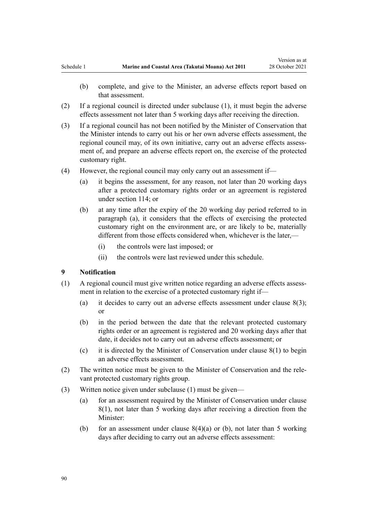- <span id="page-89-0"></span>(b) complete, and give to the Minister, an adverse effects report based on that assessment.
- (2) If a regional council is directed under subclause (1), it must begin the adverse effects assessment not later than 5 working days after receiving the direction.
- (3) If a regional council has not been notified by the Minister of Conservation that the Minister intends to carry out his or her own adverse effects assessment, the regional council may, of its own initiative, carry out an adverse effects assessment of, and prepare an adverse effects report on, the exercise of the protected customary right.
- (4) However, the regional council may only carry out an assessment if—
	- (a) it begins the assessment, for any reason, not later than 20 working days after a protected customary rights order or an agreement is registered under [section 114;](#page-77-0) or
	- (b) at any time after the expiry of the 20 working day period referred to in paragraph (a), it considers that the effects of exercising the protected customary right on the environment are, or are likely to be, materially different from those effects considered when, whichever is the later,—
		- (i) the controls were last imposed; or
		- (ii) the controls were last reviewed under this schedule.

#### **9 Notification**

- (1) A regional council must give written notice regarding an adverse effects assessment in relation to the exercise of a protected customary right if—
	- (a) it decides to carry out an adverse effects assessment under clause  $8(3)$ ; or
	- (b) in the period between the date that the relevant protected customary rights order or an agreement is registered and 20 working days after that date, it decides not to carry out an adverse effects assessment; or
	- (c) it is directed by the Minister of Conservation under [clause 8\(1\)](#page-88-0) to begin an adverse effects assessment.
- (2) The written notice must be given to the Minister of Conservation and the rele‐ vant protected customary rights group.
- (3) Written notice given under subclause (1) must be given—
	- (a) for an assessment required by the Minister of Conservation under [clause](#page-88-0) [8\(1\)](#page-88-0), not later than 5 working days after receiving a direction from the Minister:
	- (b) for an assessment under clause  $8(4)(a)$  or (b), not later than 5 working days after deciding to carry out an adverse effects assessment: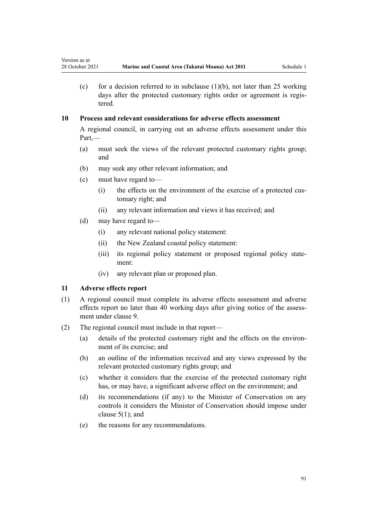(c) for a decision referred to in subclause  $(1)(b)$ , not later than 25 working days after the protected customary rights order or agreement is registered.

## **10 Process and relevant considerations for adverse effects assessment**

A regional council, in carrying out an adverse effects assessment under this Part,—

- (a) must seek the views of the relevant protected customary rights group; and
- (b) may seek any other relevant information; and
- (c) must have regard to—
	- (i) the effects on the environment of the exercise of a protected customary right; and
	- (ii) any relevant information and views it has received; and
- (d) may have regard to—
	- (i) any relevant national policy statement:
	- (ii) the New Zealand coastal policy statement:
	- (iii) its regional policy statement or proposed regional policy state– ment:
	- (iv) any relevant plan or proposed plan.

## **11 Adverse effects report**

- (1) A regional council must complete its adverse effects assessment and adverse effects report no later than 40 working days after giving notice of the assessment under [clause 9](#page-89-0).
- (2) The regional council must include in that report—
	- (a) details of the protected customary right and the effects on the environment of its exercise; and
	- (b) an outline of the information received and any views expressed by the relevant protected customary rights group; and
	- (c) whether it considers that the exercise of the protected customary right has, or may have, a significant adverse effect on the environment; and
	- (d) its recommendations (if any) to the Minister of Conservation on any controls it considers the Minister of Conservation should impose under [clause 5\(1\);](#page-87-0) and
	- (e) the reasons for any recommendations.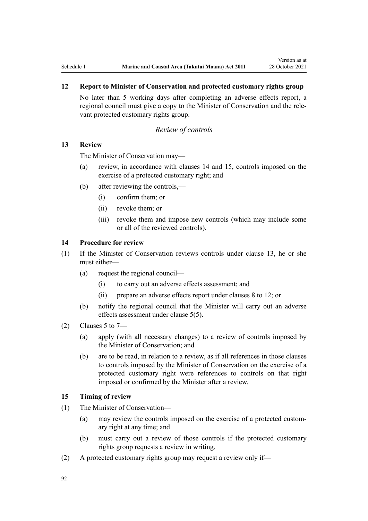# <span id="page-91-0"></span>**12 Report to Minister of Conservation and protected customary rights group**

No later than 5 working days after completing an adverse effects report, a regional council must give a copy to the Minister of Conservation and the rele‐ vant protected customary rights group.

## *Review of controls*

## **13 Review**

The Minister of Conservation may—

- (a) review, in accordance with clauses 14 and 15, controls imposed on the exercise of a protected customary right; and
- (b) after reviewing the controls,—
	- (i) confirm them; or
	- (ii) revoke them; or
	- (iii) revoke them and impose new controls (which may include some or all of the reviewed controls).

## **14 Procedure for review**

- (1) If the Minister of Conservation reviews controls under clause 13, he or she must either—
	- (a) request the regional council—
		- (i) to carry out an adverse effects assessment; and
		- (ii) prepare an adverse effects report under [clauses 8 to 12](#page-88-0); or
	- (b) notify the regional council that the Minister will carry out an adverse effects assessment under [clause 5\(5\)](#page-87-0).
- $(2)$  [Clauses 5 to 7](#page-87-0)
	- (a) apply (with all necessary changes) to a review of controls imposed by the Minister of Conservation; and
	- (b) are to be read, in relation to a review, as if all references in those clauses to controls imposed by the Minister of Conservation on the exercise of a protected customary right were references to controls on that right imposed or confirmed by the Minister after a review.

## **15 Timing of review**

- (1) The Minister of Conservation—
	- (a) may review the controls imposed on the exercise of a protected custom‐ ary right at any time; and
	- (b) must carry out a review of those controls if the protected customary rights group requests a review in writing.
- (2) A protected customary rights group may request a review only if—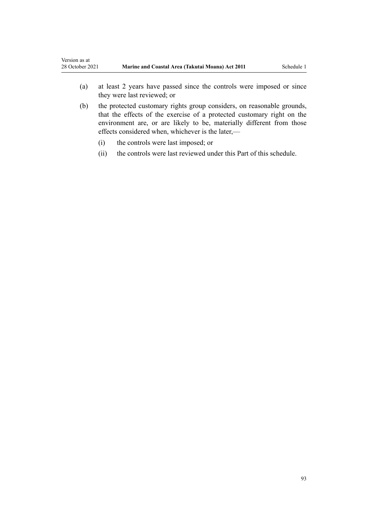- (a) at least 2 years have passed since the controls were imposed or since they were last reviewed; or
- (b) the protected customary rights group considers, on reasonable grounds, that the effects of the exercise of a protected customary right on the environment are, or are likely to be, materially different from those effects considered when, whichever is the later,—
	- (i) the controls were last imposed; or
	- (ii) the controls were last reviewed under this Part of this schedule.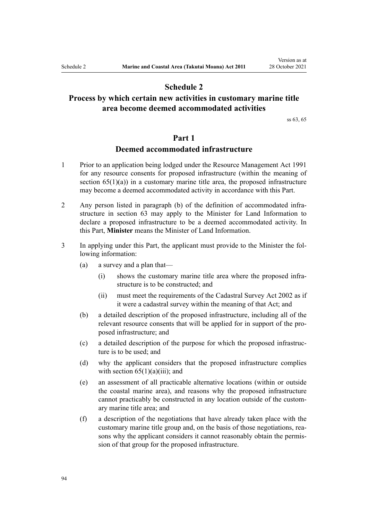# **Schedule 2**

# <span id="page-93-0"></span>**Process by which certain new activities in customary marine title area become deemed accommodated activities**

[ss 63,](#page-48-0) [65](#page-52-0)

# **Part 1**

## **Deemed accommodated infrastructure**

- 1 Prior to an application being lodged under the [Resource Management Act 1991](http://legislation.govt.nz/pdflink.aspx?id=DLM230264) for any resource consents for proposed infrastructure (within the meaning of section  $65(1)(a)$  in a customary marine title area, the proposed infrastructure may become a deemed accommodated activity in accordance with this Part.
- 2 Any person listed in paragraph (b) of the definition of accommodated infrastructure in [section 63](#page-48-0) may apply to the Minister for Land Information to declare a proposed infrastructure to be a deemed accommodated activity. In this Part, **Minister** means the Minister of Land Information.
- 3 In applying under this Part, the applicant must provide to the Minister the fol‐ lowing information:
	- (a) a survey and a plan that—
		- (i) shows the customary marine title area where the proposed infrastructure is to be constructed; and
		- (ii) must meet the requirements of the [Cadastral Survey Act 2002](http://legislation.govt.nz/pdflink.aspx?id=DLM141994) as if it were a cadastral survey within the meaning of that Act; and
	- (b) a detailed description of the proposed infrastructure, including all of the relevant resource consents that will be applied for in support of the pro‐ posed infrastructure; and
	- (c) a detailed description of the purpose for which the proposed infrastruc‐ ture is to be used; and
	- (d) why the applicant considers that the proposed infrastructure complies with section  $65(1)(a)(iii)$ ; and
	- (e) an assessment of all practicable alternative locations (within or outside the coastal marine area), and reasons why the proposed infrastructure cannot practicably be constructed in any location outside of the custom‐ ary marine title area; and
	- (f) a description of the negotiations that have already taken place with the customary marine title group and, on the basis of those negotiations, rea‐ sons why the applicant considers it cannot reasonably obtain the permission of that group for the proposed infrastructure.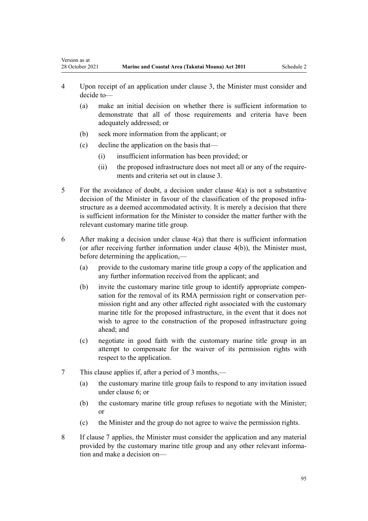- 4 Upon receipt of an application under [clause 3,](#page-93-0) the Minister must consider and decide to—
	- (a) make an initial decision on whether there is sufficient information to demonstrate that all of those requirements and criteria have been adequately addressed; or
	- (b) seek more information from the applicant; or
	- (c) decline the application on the basis that—

<span id="page-94-0"></span>Version as at

- (i) insufficient information has been provided; or
- (ii) the proposed infrastructure does not meet all or any of the requirements and criteria set out in [clause 3.](#page-93-0)
- 5 For the avoidance of doubt, a decision under clause 4(a) is not a substantive decision of the Minister in favour of the classification of the proposed infrastructure as a deemed accommodated activity. It is merely a decision that there is sufficient information for the Minister to consider the matter further with the relevant customary marine title group.
- 6 After making a decision under clause 4(a) that there is sufficient information (or after receiving further information under clause 4(b)), the Minister must, before determining the application,—
	- (a) provide to the customary marine title group a copy of the application and any further information received from the applicant; and
	- (b) invite the customary marine title group to identify appropriate compensation for the removal of its RMA permission right or conservation permission right and any other affected right associated with the customary marine title for the proposed infrastructure, in the event that it does not wish to agree to the construction of the proposed infrastructure going ahead; and
	- (c) negotiate in good faith with the customary marine title group in an attempt to compensate for the waiver of its permission rights with respect to the application.
- 7 This clause applies if, after a period of 3 months,—
	- (a) the customary marine title group fails to respond to any invitation issued under clause 6; or
	- (b) the customary marine title group refuses to negotiate with the Minister; or
	- (c) the Minister and the group do not agree to waive the permission rights.
- 8 If clause 7 applies, the Minister must consider the application and any material provided by the customary marine title group and any other relevant information and make a decision on—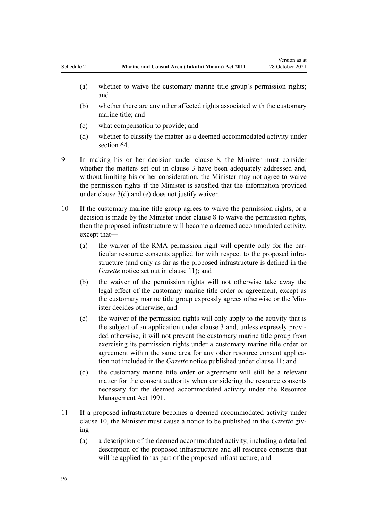- (a) whether to waive the customary marine title group's permission rights; and
- (b) whether there are any other affected rights associated with the customary marine title; and
- (c) what compensation to provide; and
- (d) whether to classify the matter as a deemed accommodated activity under [section 64](#page-50-0).
- 9 In making his or her decision under [clause 8,](#page-94-0) the Minister must consider whether the matters set out in [clause 3](#page-93-0) have been adequately addressed and, without limiting his or her consideration, the Minister may not agree to waive the permission rights if the Minister is satisfied that the information provided under [clause 3\(d\) and \(e\)](#page-93-0) does not justify waiver.
- 10 If the customary marine title group agrees to waive the permission rights, or a decision is made by the Minister under [clause 8](#page-94-0) to waive the permission rights, then the proposed infrastructure will become a deemed accommodated activity, except that—
	- (a) the waiver of the RMA permission right will operate only for the particular resource consents applied for with respect to the proposed infra‐ structure (and only as far as the proposed infrastructure is defined in the *Gazette* notice set out in clause 11); and
	- (b) the waiver of the permission rights will not otherwise take away the legal effect of the customary marine title order or agreement, except as the customary marine title group expressly agrees otherwise or the Min‐ ister decides otherwise; and
	- (c) the waiver of the permission rights will only apply to the activity that is the subject of an application under [clause 3](#page-93-0) and, unless expressly provi‐ ded otherwise, it will not prevent the customary marine title group from exercising its permission rights under a customary marine title order or agreement within the same area for any other resource consent application not included in the *Gazette* notice published under clause 11; and
	- (d) the customary marine title order or agreement will still be a relevant matter for the consent authority when considering the resource consents necessary for the deemed accommodated activity under the [Resource](http://legislation.govt.nz/pdflink.aspx?id=DLM230264) [Management Act 1991.](http://legislation.govt.nz/pdflink.aspx?id=DLM230264)
- 11 If a proposed infrastructure becomes a deemed accommodated activity under clause 10, the Minister must cause a notice to be published in the *Gazette* giving—
	- (a) a description of the deemed accommodated activity, including a detailed description of the proposed infrastructure and all resource consents that will be applied for as part of the proposed infrastructure; and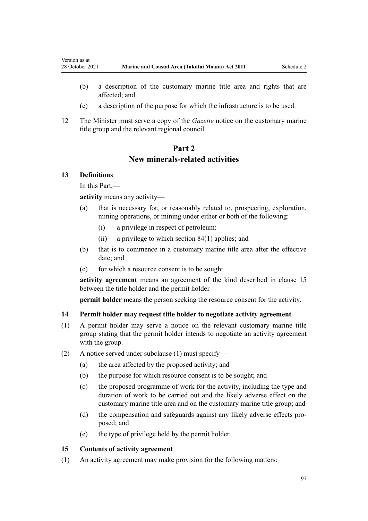- (b) a description of the customary marine title area and rights that are affected; and
- (c) a description of the purpose for which the infrastructure is to be used.
- 12 The Minister must serve a copy of the *Gazette* notice on the customary marine title group and the relevant regional council.

# **Part 2 New minerals-related activities**

## **13 Definitions**

<span id="page-96-0"></span>Version as at

In this Part,—

**activity** means any activity—

- (a) that is necessary for, or reasonably related to, prospecting, exploration, mining operations, or mining under either or both of the following:
	- (i) a privilege in respect of petroleum:
	- (ii) a privilege to which [section 84\(1\)](#page-63-0) applies; and
- (b) that is to commence in a customary marine title area after the effective date; and
- (c) for which a resource consent is to be sought

**activity agreement** means an agreement of the kind described in clause 15 between the title holder and the permit holder

**permit holder** means the person seeking the resource consent for the activity.

#### **14 Permit holder may request title holder to negotiate activity agreement**

- (1) A permit holder may serve a notice on the relevant customary marine title group stating that the permit holder intends to negotiate an activity agreement with the group.
- (2) A notice served under subclause (1) must specify—
	- (a) the area affected by the proposed activity; and
	- (b) the purpose for which resource consent is to be sought; and
	- (c) the proposed programme of work for the activity, including the type and duration of work to be carried out and the likely adverse effect on the customary marine title area and on the customary marine title group; and
	- (d) the compensation and safeguards against any likely adverse effects proposed; and
	- (e) the type of privilege held by the permit holder.

## **15 Contents of activity agreement**

(1) An activity agreement may make provision for the following matters: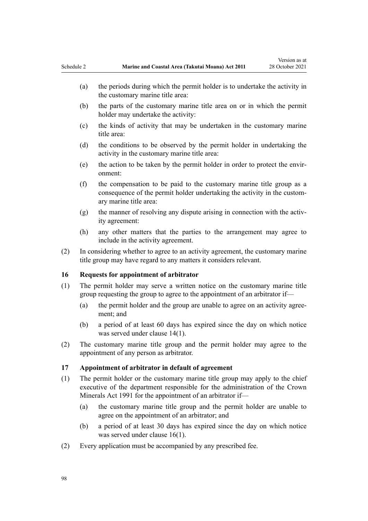- <span id="page-97-0"></span>(a) the periods during which the permit holder is to undertake the activity in the customary marine title area:
- (b) the parts of the customary marine title area on or in which the permit holder may undertake the activity:
- (c) the kinds of activity that may be undertaken in the customary marine title area:
- (d) the conditions to be observed by the permit holder in undertaking the activity in the customary marine title area:
- (e) the action to be taken by the permit holder in order to protect the envir‐ onment:
- (f) the compensation to be paid to the customary marine title group as a consequence of the permit holder undertaking the activity in the customary marine title area:
- (g) the manner of resolving any dispute arising in connection with the activity agreement:
- (h) any other matters that the parties to the arrangement may agree to include in the activity agreement.
- (2) In considering whether to agree to an activity agreement, the customary marine title group may have regard to any matters it considers relevant.

## **16 Requests for appointment of arbitrator**

- (1) The permit holder may serve a written notice on the customary marine title group requesting the group to agree to the appointment of an arbitrator if—
	- (a) the permit holder and the group are unable to agree on an activity agree‐ ment; and
	- (b) a period of at least 60 days has expired since the day on which notice was served under [clause 14\(1\)](#page-96-0).
- (2) The customary marine title group and the permit holder may agree to the appointment of any person as arbitrator.

#### **17 Appointment of arbitrator in default of agreement**

- (1) The permit holder or the customary marine title group may apply to the chief executive of the department responsible for the administration of the [Crown](http://legislation.govt.nz/pdflink.aspx?id=DLM242535) [Minerals Act 1991](http://legislation.govt.nz/pdflink.aspx?id=DLM242535) for the appointment of an arbitrator if—
	- (a) the customary marine title group and the permit holder are unable to agree on the appointment of an arbitrator; and
	- (b) a period of at least 30 days has expired since the day on which notice was served under clause 16(1).
- (2) Every application must be accompanied by any prescribed fee.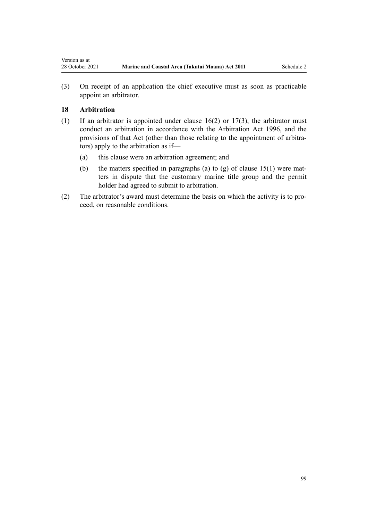(3) On receipt of an application the chief executive must as soon as practicable appoint an arbitrator.

# **18 Arbitration**

- (1) If an arbitrator is appointed under clause  $16(2)$  or  $17(3)$ , the arbitrator must conduct an arbitration in accordance with the [Arbitration Act 1996](http://legislation.govt.nz/pdflink.aspx?id=DLM403276), and the provisions of that Act (other than those relating to the appointment of arbitrators) apply to the arbitration as if—
	- (a) this clause were an arbitration agreement; and
	- (b) the matters specified in paragraphs (a) to (g) of clause  $15(1)$  were matters in dispute that the customary marine title group and the permit holder had agreed to submit to arbitration.
- (2) The arbitrator's award must determine the basis on which the activity is to pro‐ ceed, on reasonable conditions.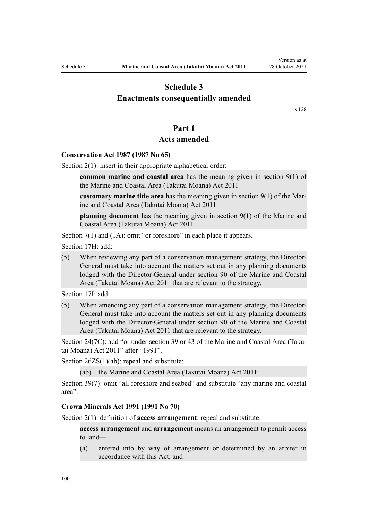# **Schedule 3**

# <span id="page-99-0"></span>**Enactments consequentially amended**

[s 128](#page-84-0)

# **Part 1**

# **Acts amended**

## **Conservation Act 1987 (1987 No 65)**

[Section 2\(1\):](http://legislation.govt.nz/pdflink.aspx?id=DLM103616) insert in their appropriate alphabetical order:

**common marine and coastal area** has the meaning given in section 9(1) of the Marine and Coastal Area (Takutai Moana) Act 2011

**customary marine title area** has the meaning given in section 9(1) of the Mar‐ ine and Coastal Area (Takutai Moana) Act 2011

**planning document** has the meaning given in section 9(1) of the Marine and Coastal Area (Takutai Moana) Act 2011

[Section 7\(1\) and \(1A\):](http://legislation.govt.nz/pdflink.aspx?id=DLM104251) omit "or foreshore" in each place it appears.

[Section 17H](http://legislation.govt.nz/pdflink.aspx?id=DLM104613): add:

(5) When reviewing any part of a conservation management strategy, the Director-General must take into account the matters set out in any planning documents lodged with the Director-General under section 90 of the Marine and Coastal Area (Takutai Moana) Act 2011 that are relevant to the strategy.

[Section 17I:](http://legislation.govt.nz/pdflink.aspx?id=DLM104615) add:

(5) When amending any part of a conservation management strategy, the Director-General must take into account the matters set out in any planning documents lodged with the Director-General under section 90 of the Marine and Coastal Area (Takutai Moana) Act 2011 that are relevant to the strategy.

[Section 24\(7C\)](http://legislation.govt.nz/pdflink.aspx?id=DLM104699): add "or under section 39 or 43 of the Marine and Coastal Area (Takutai Moana) Act 2011" after "1991".

[Section 26ZS\(1\)\(ab\)](http://legislation.govt.nz/pdflink.aspx?id=DLM106043): repeal and substitute:

(ab) the Marine and Coastal Area (Takutai Moana) Act 2011:

[Section 39\(7\):](http://legislation.govt.nz/pdflink.aspx?id=DLM106641) omit "all foreshore and seabed" and substitute "any marine and coastal area".

#### **Crown Minerals Act 1991 (1991 No 70)**

[Section 2\(1\):](http://legislation.govt.nz/pdflink.aspx?id=DLM242543) definition of **access arrangement**: repeal and substitute:

**access arrangement** and **arrangement** means an arrangement to permit access to land—

(a) entered into by way of arrangement or determined by an arbiter in accordance with this Act; and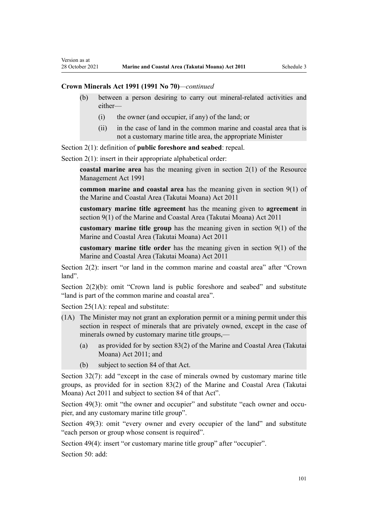Version as at

## **Crown Minerals Act 1991 (1991 No 70)***—continued*

- (b) between a person desiring to carry out mineral-related activities and either—
	- (i) the owner (and occupier, if any) of the land; or
	- (ii) in the case of land in the common marine and coastal area that is not a customary marine title area, the appropriate Minister

[Section 2\(1\):](http://legislation.govt.nz/pdflink.aspx?id=DLM242543) definition of **public foreshore and seabed**: repeal.

[Section 2\(1\):](http://legislation.govt.nz/pdflink.aspx?id=DLM242543) insert in their appropriate alphabetical order:

**coastal marine area** has the meaning given in section 2(1) of the Resource Management Act 1991

**common marine and coastal area** has the meaning given in section 9(1) of the Marine and Coastal Area (Takutai Moana) Act 2011

**customary marine title agreement** has the meaning given to **agreement** in section 9(1) of the Marine and Coastal Area (Takutai Moana) Act 2011

**customary marine title group** has the meaning given in section 9(1) of the Marine and Coastal Area (Takutai Moana) Act 2011

**customary marine title order** has the meaning given in section 9(1) of the Marine and Coastal Area (Takutai Moana) Act 2011

[Section 2\(2\)](http://legislation.govt.nz/pdflink.aspx?id=DLM242543): insert "or land in the common marine and coastal area" after "Crown land".

[Section 2\(2\)\(b\)](http://legislation.govt.nz/pdflink.aspx?id=DLM242543): omit "Crown land is public foreshore and seabed" and substitute "land is part of the common marine and coastal area".

[Section 25\(1A\):](http://legislation.govt.nz/pdflink.aspx?id=DLM246328) repeal and substitute:

- (1A) The Minister may not grant an exploration permit or a mining permit under this section in respect of minerals that are privately owned, except in the case of minerals owned by customary marine title groups,—
	- (a) as provided for by section 83(2) of the Marine and Coastal Area (Takutai Moana) Act 2011; and
	- (b) subject to section 84 of that Act.

[Section 32\(7\):](http://legislation.govt.nz/pdflink.aspx?id=DLM246341) add "except in the case of minerals owned by customary marine title groups, as provided for in section 83(2) of the Marine and Coastal Area (Takutai Moana) Act 2011 and subject to section 84 of that Act".

Section  $49(3)$ : omit "the owner and occupier" and substitute "each owner and occupier, and any customary marine title group".

[Section 49\(3\):](http://legislation.govt.nz/pdflink.aspx?id=DLM246396) omit "every owner and every occupier of the land" and substitute "each person or group whose consent is required".

[Section 49\(4\)](http://legislation.govt.nz/pdflink.aspx?id=DLM246396): insert "or customary marine title group" after "occupier".

[Section 50](http://legislation.govt.nz/pdflink.aspx?id=DLM246397): add: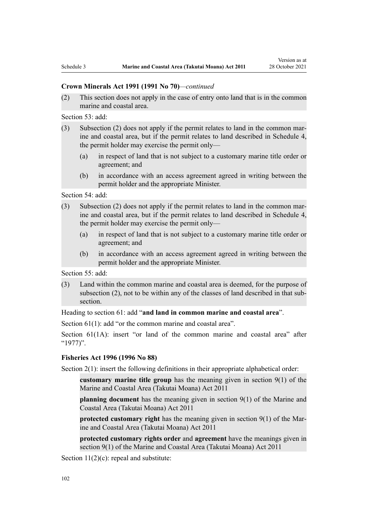#### **Crown Minerals Act 1991 (1991 No 70)***—continued*

(2) This section does not apply in the case of entry onto land that is in the common marine and coastal area.

[Section 53](http://legislation.govt.nz/pdflink.aspx?id=DLM246703): add:

- (3) Subsection (2) does not apply if the permit relates to land in the common marine and coastal area, but if the permit relates to land described in Schedule 4, the permit holder may exercise the permit only—
	- (a) in respect of land that is not subject to a customary marine title order or agreement; and
	- (b) in accordance with an access agreement agreed in writing between the permit holder and the appropriate Minister.

[Section 54](http://legislation.govt.nz/pdflink.aspx?id=DLM246704): add:

- (3) Subsection (2) does not apply if the permit relates to land in the common mar‐ ine and coastal area, but if the permit relates to land described in Schedule 4, the permit holder may exercise the permit only—
	- (a) in respect of land that is not subject to a customary marine title order or agreement; and
	- (b) in accordance with an access agreement agreed in writing between the permit holder and the appropriate Minister.

[Section 55](http://legislation.govt.nz/pdflink.aspx?id=DLM246706): add:

(3) Land within the common marine and coastal area is deemed, for the purpose of subsection (2), not to be within any of the classes of land described in that subsection.

Heading to [section 61:](http://legislation.govt.nz/pdflink.aspx?id=DLM246714) add "**and land in common marine and coastal area**".

[Section 61\(1\)](http://legislation.govt.nz/pdflink.aspx?id=DLM246714): add "or the common marine and coastal area".

[Section 61\(1A\)](http://legislation.govt.nz/pdflink.aspx?id=DLM246714): insert "or land of the common marine and coastal area" after "1977)".

## **Fisheries Act 1996 (1996 No 88)**

[Section 2\(1\):](http://legislation.govt.nz/pdflink.aspx?id=DLM394199) insert the following definitions in their appropriate alphabetical order:

**customary marine title group** has the meaning given in section 9(1) of the Marine and Coastal Area (Takutai Moana) Act 2011

**planning document** has the meaning given in section 9(1) of the Marine and Coastal Area (Takutai Moana) Act 2011

**protected customary right** has the meaning given in section 9(1) of the Marine and Coastal Area (Takutai Moana) Act 2011

**protected customary rights order** and **agreement** have the meanings given in section 9(1) of the Marine and Coastal Area (Takutai Moana) Act 2011

[Section 11\(2\)\(c\):](http://legislation.govt.nz/pdflink.aspx?id=DLM395397) repeal and substitute: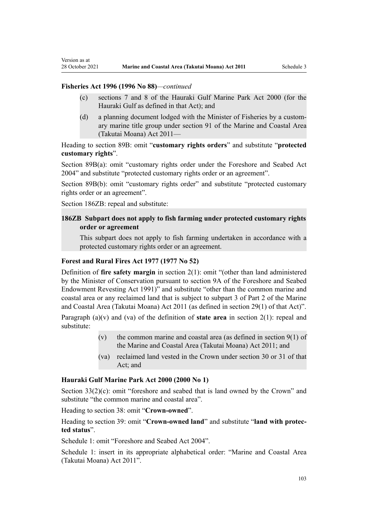## **Fisheries Act 1996 (1996 No 88)***—continued*

Version as at

- (c) sections 7 and 8 of the Hauraki Gulf Marine Park Act 2000 (for the Hauraki Gulf as defined in that Act); and
- (d) a planning document lodged with the Minister of Fisheries by a custom‐ ary marine title group under section 91 of the Marine and Coastal Area (Takutai Moana) Act 2011—

Heading to [section 89B](http://legislation.govt.nz/pdflink.aspx?id=DLM396920): omit "**customary rights orders**" and substitute "**protected customary rights**".

[Section 89B\(a\)](http://legislation.govt.nz/pdflink.aspx?id=DLM396920): omit "customary rights order under the Foreshore and Seabed Act 2004" and substitute "protected customary rights order or an agreement".

[Section 89B\(b\):](http://legislation.govt.nz/pdflink.aspx?id=DLM396920) omit "customary rights order" and substitute "protected customary rights order or an agreement".

[Section 186ZB:](http://legislation.govt.nz/pdflink.aspx?id=DLM398342) repeal and substitute:

## **186ZB Subpart does not apply to fish farming under protected customary rights order or agreement**

This subpart does not apply to fish farming undertaken in accordance with a protected customary rights order or an agreement.

## **Forest and Rural Fires Act 1977 (1977 No 52)**

Definition of **fire safety margin** in [section 2\(1\):](http://legislation.govt.nz/pdflink.aspx?id=DLM442952) omit "(other than land administered by the Minister of Conservation pursuant to section 9A of the Foreshore and Seabed Endowment Revesting Act 1991)" and substitute "other than the common marine and coastal area or any reclaimed land that is subject to subpart 3 of Part 2 of the Marine and Coastal Area (Takutai Moana) Act 2011 (as defined in section 29(1) of that Act)".

Paragraph (a)(v) and (va) of the definition of **state area** in [section 2\(1\):](http://legislation.govt.nz/pdflink.aspx?id=DLM442952) repeal and substitute:

- (v) the common marine and coastal area (as defined in section  $9(1)$  of the Marine and Coastal Area (Takutai Moana) Act 2011; and
- (va) reclaimed land vested in the Crown under section 30 or 31 of that Act; and

#### **Hauraki Gulf Marine Park Act 2000 (2000 No 1)**

[Section 33\(2\)\(c\)](http://legislation.govt.nz/pdflink.aspx?id=DLM53174): omit "foreshore and seabed that is land owned by the Crown" and substitute "the common marine and coastal area".

Heading to [section 38:](http://legislation.govt.nz/pdflink.aspx?id=DLM53180) omit "**Crown-owned**".

Heading to [section 39:](http://legislation.govt.nz/pdflink.aspx?id=DLM53181) omit "**Crown-owned land**" and substitute "**land with protec‐ ted status**".

[Schedule 1:](http://legislation.govt.nz/pdflink.aspx?id=DLM53199) omit "Foreshore and Seabed Act 2004".

[Schedule 1:](http://legislation.govt.nz/pdflink.aspx?id=DLM53199) insert in its appropriate alphabetical order: "Marine and Coastal Area (Takutai Moana) Act 2011".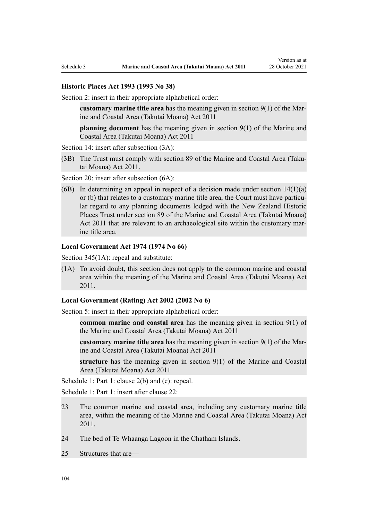#### **Historic Places Act 1993 (1993 No 38)**

[Section 2](http://legislation.govt.nz/pdflink.aspx?id=DLM300516): insert in their appropriate alphabetical order:

**customary marine title area** has the meaning given in section 9(1) of the Mar‐ ine and Coastal Area (Takutai Moana) Act 2011

**planning document** has the meaning given in section 9(1) of the Marine and Coastal Area (Takutai Moana) Act 2011

[Section 14](http://legislation.govt.nz/pdflink.aspx?id=DLM300610): insert after subsection (3A):

(3B) The Trust must comply with section 89 of the Marine and Coastal Area (Taku‐ tai Moana) Act 2011.

[Section 20](http://legislation.govt.nz/pdflink.aspx?id=DLM300622): insert after subsection (6A):

(6B) In determining an appeal in respect of a decision made under section  $14(1)(a)$ or (b) that relates to a customary marine title area, the Court must have particular regard to any planning documents lodged with the New Zealand Historic Places Trust under section 89 of the Marine and Coastal Area (Takutai Moana) Act 2011 that are relevant to an archaeological site within the customary marine title area.

#### **Local Government Act 1974 (1974 No 66)**

[Section 345\(1A\):](http://legislation.govt.nz/pdflink.aspx?id=DLM420626) repeal and substitute:

(1A) To avoid doubt, this section does not apply to the common marine and coastal area within the meaning of the Marine and Coastal Area (Takutai Moana) Act 2011.

#### **Local Government (Rating) Act 2002 (2002 No 6)**

[Section 5](http://legislation.govt.nz/pdflink.aspx?id=DLM132004): insert in their appropriate alphabetical order:

**common marine and coastal area** has the meaning given in section 9(1) of the Marine and Coastal Area (Takutai Moana) Act 2011

**customary marine title area** has the meaning given in section 9(1) of the Mar‐ ine and Coastal Area (Takutai Moana) Act 2011

**structure** has the meaning given in section 9(1) of the Marine and Coastal Area (Takutai Moana) Act 2011

[Schedule 1:](http://legislation.govt.nz/pdflink.aspx?id=DLM133512) Part 1: clause 2(b) and (c): repeal.

[Schedule 1:](http://legislation.govt.nz/pdflink.aspx?id=DLM133512) Part 1: insert after clause 22:

- 23 The common marine and coastal area, including any customary marine title area, within the meaning of the Marine and Coastal Area (Takutai Moana) Act 2011.
- 24 The bed of Te Whaanga Lagoon in the Chatham Islands.
- 25 Structures that are—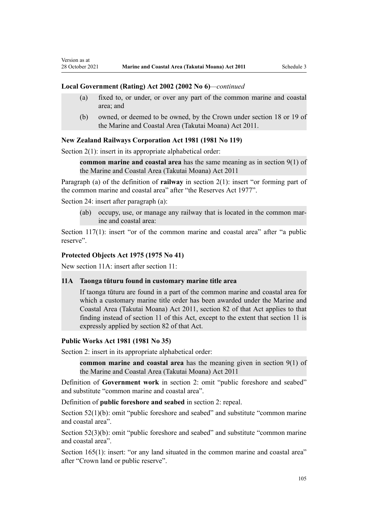#### **Local Government (Rating) Act 2002 (2002 No 6)***—continued*

- (a) fixed to, or under, or over any part of the common marine and coastal area; and
- (b) owned, or deemed to be owned, by the Crown under section 18 or 19 of the Marine and Coastal Area (Takutai Moana) Act 2011.

#### **New Zealand Railways Corporation Act 1981 (1981 No 119)**

[Section 2\(1\):](http://legislation.govt.nz/pdflink.aspx?id=DLM57011) insert in its appropriate alphabetical order:

**common marine and coastal area** has the same meaning as in section 9(1) of the Marine and Coastal Area (Takutai Moana) Act 2011

Paragraph (a) of the definition of **railway** in section 2(1): insert "or forming part of the common marine and coastal area" after "the Reserves Act 1977".

[Section 24](http://legislation.govt.nz/pdflink.aspx?id=DLM57642): insert after paragraph (a):

Version as at

(ab) occupy, use, or manage any railway that is located in the common marine and coastal area:

[Section 117\(1\):](http://legislation.govt.nz/pdflink.aspx?id=DLM58268) insert "or of the common marine and coastal area" after "a public reserve".

#### **Protected Objects Act 1975 (1975 No 41)**

New section 11A: insert after [section 11:](http://legislation.govt.nz/pdflink.aspx?id=DLM432422)

## **11A Taonga tūturu found in customary marine title area**

If taonga tūturu are found in a part of the common marine and coastal area for which a customary marine title order has been awarded under the Marine and Coastal Area (Takutai Moana) Act 2011, section 82 of that Act applies to that finding instead of section 11 of this Act, except to the extent that section 11 is expressly applied by section 82 of that Act.

#### **Public Works Act 1981 (1981 No 35)**

[Section 2](http://legislation.govt.nz/pdflink.aspx?id=DLM45433): insert in its appropriate alphabetical order:

**common marine and coastal area** has the meaning given in section 9(1) of the Marine and Coastal Area (Takutai Moana) Act 2011

Definition of **Government work** in section 2: omit "public foreshore and seabed" and substitute "common marine and coastal area".

Definition of **public foreshore and seabed** in section 2: repeal.

[Section 52\(1\)\(b\)](http://legislation.govt.nz/pdflink.aspx?id=DLM46307): omit "public foreshore and seabed" and substitute "common marine and coastal area".

[Section 52\(3\)\(b\)](http://legislation.govt.nz/pdflink.aspx?id=DLM46307): omit "public foreshore and seabed" and substitute "common marine and coastal area".

[Section 165\(1\):](http://legislation.govt.nz/pdflink.aspx?id=DLM47750) insert: "or any land situated in the common marine and coastal area" after "Crown land or public reserve".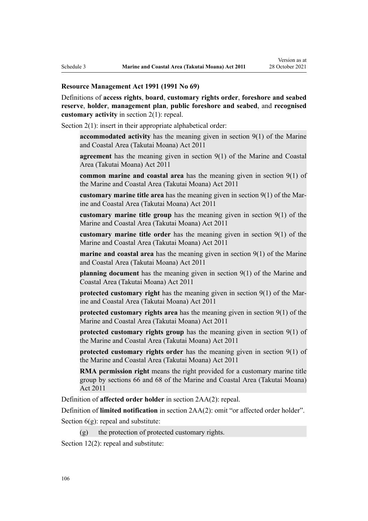#### **Resource Management Act 1991 (1991 No 69)**

Definitions of **access rights**, **board**, **customary rights order**, **foreshore and seabed reserve**, **holder**, **management plan**, **public foreshore and seabed**, and **recognised customary activity** in [section 2\(1\):](http://legislation.govt.nz/pdflink.aspx?id=DLM230272) repeal.

[Section 2\(1\):](http://legislation.govt.nz/pdflink.aspx?id=DLM230272) insert in their appropriate alphabetical order:

**accommodated activity** has the meaning given in section 9(1) of the Marine and Coastal Area (Takutai Moana) Act 2011

**agreement** has the meaning given in section 9(1) of the Marine and Coastal Area (Takutai Moana) Act 2011

**common marine and coastal area** has the meaning given in section 9(1) of the Marine and Coastal Area (Takutai Moana) Act 2011

**customary marine title area** has the meaning given in section 9(1) of the Mar‐ ine and Coastal Area (Takutai Moana) Act 2011

**customary marine title group** has the meaning given in section 9(1) of the Marine and Coastal Area (Takutai Moana) Act 2011

**customary marine title order** has the meaning given in section 9(1) of the Marine and Coastal Area (Takutai Moana) Act 2011

**marine and coastal area** has the meaning given in section 9(1) of the Marine and Coastal Area (Takutai Moana) Act 2011

**planning document** has the meaning given in section 9(1) of the Marine and Coastal Area (Takutai Moana) Act 2011

**protected customary right** has the meaning given in section 9(1) of the Marine and Coastal Area (Takutai Moana) Act 2011

**protected customary rights area** has the meaning given in section 9(1) of the Marine and Coastal Area (Takutai Moana) Act 2011

**protected customary rights group** has the meaning given in section 9(1) of the Marine and Coastal Area (Takutai Moana) Act 2011

**protected customary rights order** has the meaning given in section 9(1) of the Marine and Coastal Area (Takutai Moana) Act 2011

**RMA permission right** means the right provided for a customary marine title group by sections 66 and 68 of the Marine and Coastal Area (Takutai Moana) Act 2011

Definition of **affected order holder** in [section 2AA\(2\):](http://legislation.govt.nz/pdflink.aspx?id=DLM2408220) repeal.

Definition of **limited notification** in [section 2AA\(2\)](http://legislation.govt.nz/pdflink.aspx?id=DLM2408220): omit "or affected order holder".

Section  $6(g)$ : repeal and substitute:

 $(g)$  the protection of protected customary rights.

[Section 12\(2\)](http://legislation.govt.nz/pdflink.aspx?id=DLM231949): repeal and substitute: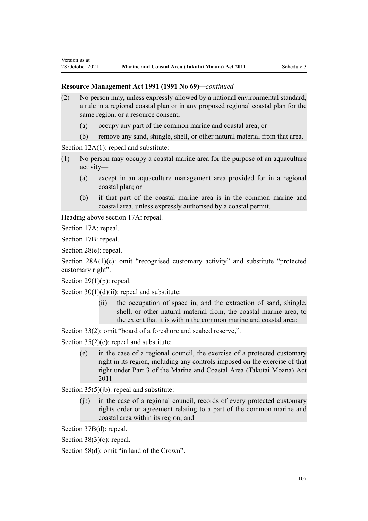#### **Resource Management Act 1991 (1991 No 69)***—continued*

- (2) No person may, unless expressly allowed by a national environmental standard, a rule in a regional coastal plan or in any proposed regional coastal plan for the same region, or a resource consent,—
	- (a) occupy any part of the common marine and coastal area; or
	- (b) remove any sand, shingle, shell, or other natural material from that area.

[Section 12A\(1\):](http://legislation.govt.nz/pdflink.aspx?id=DLM231965) repeal and substitute:

- (1) No person may occupy a coastal marine area for the purpose of an aquaculture activity—
	- (a) except in an aquaculture management area provided for in a regional coastal plan; or
	- (b) if that part of the coastal marine area is in the common marine and coastal area, unless expressly authorised by a coastal permit.

Heading above [section 17A:](http://legislation.govt.nz/pdflink.aspx?id=DLM232508) repeal.

[Section 17A](http://legislation.govt.nz/pdflink.aspx?id=DLM232508): repeal.

Version as at

[Section 17B:](http://legislation.govt.nz/pdflink.aspx?id=DLM232510) repeal.

[Section 28\(e\):](http://legislation.govt.nz/pdflink.aspx?id=DLM232548) repeal.

[Section 28A\(1\)\(c\):](http://legislation.govt.nz/pdflink.aspx?id=DLM232552) omit "recognised customary activity" and substitute "protected customary right".

Section  $29(1)(p)$ : repeal.

Section  $30(1)(d)(ii)$ : repeal and substitute:

(ii) the occupation of space in, and the extraction of sand, shingle, shell, or other natural material from, the coastal marine area, to the extent that it is within the common marine and coastal area:

[Section 33\(2\)](http://legislation.govt.nz/pdflink.aspx?id=DLM232593): omit "board of a foreshore and seabed reserve,".

[Section 35\(2\)\(e\)](http://legislation.govt.nz/pdflink.aspx?id=DLM233009): repeal and substitute:

(e) in the case of a regional council, the exercise of a protected customary right in its region, including any controls imposed on the exercise of that right under Part 3 of the Marine and Coastal Area (Takutai Moana) Act 2011—

[Section 35\(5\)\(jb\)](http://legislation.govt.nz/pdflink.aspx?id=DLM233009): repeal and substitute:

(jb) in the case of a regional council, records of every protected customary rights order or agreement relating to a part of the common marine and coastal area within its region; and

[Section 37B\(d\)](http://legislation.govt.nz/pdflink.aspx?id=DLM233052): repeal.

[Section 38\(3\)\(c\)](http://legislation.govt.nz/pdflink.aspx?id=DLM233057): repeal.

[Section 58\(d\)](http://legislation.govt.nz/pdflink.aspx?id=DLM233381): omit "in land of the Crown".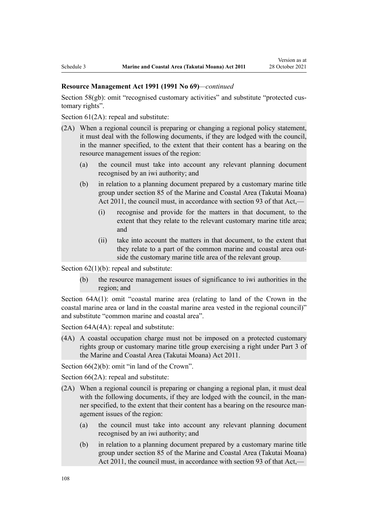## **Resource Management Act 1991 (1991 No 69)***—continued*

[Section 58\(gb\):](http://legislation.govt.nz/pdflink.aspx?id=DLM233381) omit "recognised customary activities" and substitute "protected customary rights".

[Section 61\(2A\):](http://legislation.govt.nz/pdflink.aspx?id=DLM233389) repeal and substitute:

- (2A) When a regional council is preparing or changing a regional policy statement, it must deal with the following documents, if they are lodged with the council, in the manner specified, to the extent that their content has a bearing on the resource management issues of the region:
	- (a) the council must take into account any relevant planning document recognised by an iwi authority; and
	- (b) in relation to a planning document prepared by a customary marine title group under section 85 of the Marine and Coastal Area (Takutai Moana) Act 2011, the council must, in accordance with section 93 of that Act,—
		- (i) recognise and provide for the matters in that document, to the extent that they relate to the relevant customary marine title area; and
		- (ii) take into account the matters in that document, to the extent that they relate to a part of the common marine and coastal area out‐ side the customary marine title area of the relevant group.

Section  $62(1)(b)$ : repeal and substitute:

(b) the resource management issues of significance to iwi authorities in the region; and

[Section 64A\(1\)](http://legislation.govt.nz/pdflink.aspx?id=DLM233610): omit "coastal marine area (relating to land of the Crown in the coastal marine area or land in the coastal marine area vested in the regional council)" and substitute "common marine and coastal area".

Section  $64A(4A)$ : repeal and substitute:

(4A) A coastal occupation charge must not be imposed on a protected customary rights group or customary marine title group exercising a right under Part 3 of the Marine and Coastal Area (Takutai Moana) Act 2011.

[Section 66\(2\)\(b\):](http://legislation.govt.nz/pdflink.aspx?id=DLM233620) omit "in land of the Crown".

[Section 66\(2A\):](http://legislation.govt.nz/pdflink.aspx?id=DLM233620) repeal and substitute:

- (2A) When a regional council is preparing or changing a regional plan, it must deal with the following documents, if they are lodged with the council, in the manner specified, to the extent that their content has a bearing on the resource management issues of the region:
	- (a) the council must take into account any relevant planning document recognised by an iwi authority; and
	- (b) in relation to a planning document prepared by a customary marine title group under section 85 of the Marine and Coastal Area (Takutai Moana) Act 2011, the council must, in accordance with section 93 of that Act,—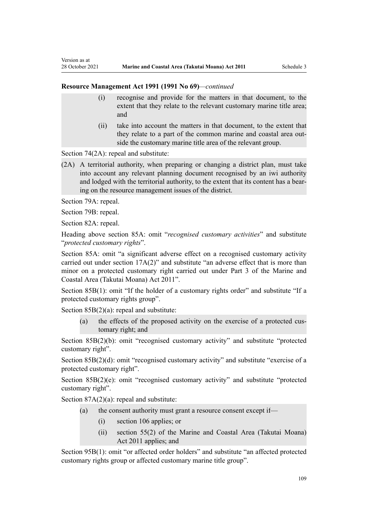- (i) recognise and provide for the matters in that document, to the extent that they relate to the relevant customary marine title area; and
- (ii) take into account the matters in that document, to the extent that they relate to a part of the common marine and coastal area out‐ side the customary marine title area of the relevant group.

[Section 74\(2A\):](http://legislation.govt.nz/pdflink.aspx?id=DLM233671) repeal and substitute:

(2A) A territorial authority, when preparing or changing a district plan, must take into account any relevant planning document recognised by an iwi authority and lodged with the territorial authority, to the extent that its content has a bearing on the resource management issues of the district.

[Section 79A](http://legislation.govt.nz/pdflink.aspx?id=DLM233815): repeal.

Version as at

[Section 79B:](http://legislation.govt.nz/pdflink.aspx?id=DLM233818) repeal.

[Section 82A](http://legislation.govt.nz/pdflink.aspx?id=DLM233827): repeal.

Heading above [section 85A](http://legislation.govt.nz/pdflink.aspx?id=DLM233840): omit "*recognised customary activities*" and substitute "*protected customary rights*".

[Section 85A](http://legislation.govt.nz/pdflink.aspx?id=DLM233840): omit "a significant adverse effect on a recognised customary activity carried out under section 17A(2)" and substitute "an adverse effect that is more than minor on a protected customary right carried out under Part 3 of the Marine and Coastal Area (Takutai Moana) Act 2011".

[Section 85B\(1\)](http://legislation.govt.nz/pdflink.aspx?id=DLM233842): omit "If the holder of a customary rights order" and substitute "If a protected customary rights group".

Section  $85B(2)(a)$ : repeal and substitute:

(a) the effects of the proposed activity on the exercise of a protected cus‐ tomary right; and

[Section 85B\(2\)\(b\):](http://legislation.govt.nz/pdflink.aspx?id=DLM233842) omit "recognised customary activity" and substitute "protected customary right".

[Section 85B\(2\)\(d\):](http://legislation.govt.nz/pdflink.aspx?id=DLM233842) omit "recognised customary activity" and substitute "exercise of a protected customary right".

[Section 85B\(2\)\(e\)](http://legislation.govt.nz/pdflink.aspx?id=DLM233842): omit "recognised customary activity" and substitute "protected customary right".

[Section 87A\(2\)\(a\):](http://legislation.govt.nz/pdflink.aspx?id=DLM2414711) repeal and substitute:

- (a) the consent authority must grant a resource consent except if—
	- (i) section 106 applies; or
	- (ii) section 55(2) of the Marine and Coastal Area (Takutai Moana) Act 2011 applies; and

[Section 95B\(1\)](http://legislation.govt.nz/pdflink.aspx?id=DLM2416410): omit "or affected order holders" and substitute "an affected protected customary rights group or affected customary marine title group".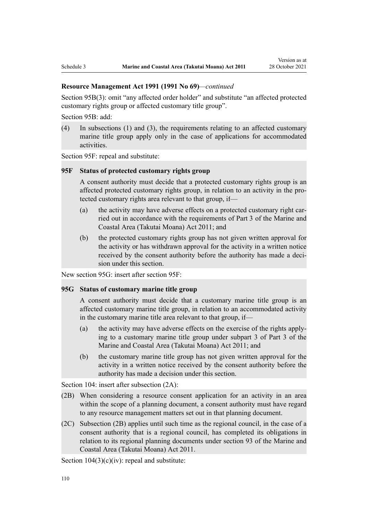[Section 95B\(3\)](http://legislation.govt.nz/pdflink.aspx?id=DLM2416410): omit "any affected order holder" and substitute "an affected protected customary rights group or affected customary title group".

[Section 95B:](http://legislation.govt.nz/pdflink.aspx?id=DLM2416410) add:

(4) In subsections (1) and (3), the requirements relating to an affected customary marine title group apply only in the case of applications for accommodated activities.

[Section 95F](http://legislation.govt.nz/pdflink.aspx?id=DLM2416414): repeal and substitute:

### **95F Status of protected customary rights group**

A consent authority must decide that a protected customary rights group is an affected protected customary rights group, in relation to an activity in the pro‐ tected customary rights area relevant to that group, if—

- (a) the activity may have adverse effects on a protected customary right carried out in accordance with the requirements of Part 3 of the Marine and Coastal Area (Takutai Moana) Act 2011; and
- (b) the protected customary rights group has not given written approval for the activity or has withdrawn approval for the activity in a written notice received by the consent authority before the authority has made a decision under this section.

New section 95G: insert after [section 95F:](http://legislation.govt.nz/pdflink.aspx?id=DLM2416414)

## **95G Status of customary marine title group**

A consent authority must decide that a customary marine title group is an affected customary marine title group, in relation to an accommodated activity in the customary marine title area relevant to that group, if—

- (a) the activity may have adverse effects on the exercise of the rights apply‐ ing to a customary marine title group under subpart 3 of Part 3 of the Marine and Coastal Area (Takutai Moana) Act 2011; and
- (b) the customary marine title group has not given written approval for the activity in a written notice received by the consent authority before the authority has made a decision under this section.

[Section 104:](http://legislation.govt.nz/pdflink.aspx?id=DLM234355) insert after subsection (2A):

- (2B) When considering a resource consent application for an activity in an area within the scope of a planning document, a consent authority must have regard to any resource management matters set out in that planning document.
- (2C) Subsection (2B) applies until such time as the regional council, in the case of a consent authority that is a regional council, has completed its obligations in relation to its regional planning documents under section 93 of the Marine and Coastal Area (Takutai Moana) Act 2011.

Section  $104(3)(c)(iv)$ : repeal and substitute: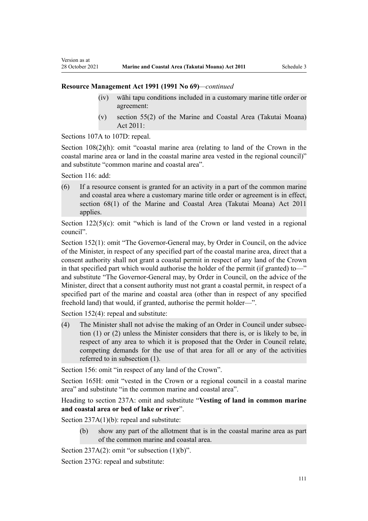- (iv) wāhi tapu conditions included in a customary marine title order or agreement:
- (v) section 55(2) of the Marine and Coastal Area (Takutai Moana) Act 2011:

[Sections 107A to 107D:](http://legislation.govt.nz/pdflink.aspx?id=DLM234801) repeal.

[Section 108\(2\)\(h\)](http://legislation.govt.nz/pdflink.aspx?id=DLM234810): omit "coastal marine area (relating to land of the Crown in the coastal marine area or land in the coastal marine area vested in the regional council)" and substitute "common marine and coastal area".

[Section 116](http://legislation.govt.nz/pdflink.aspx?id=DLM234865): add:

Version as at

(6) If a resource consent is granted for an activity in a part of the common marine and coastal area where a customary marine title order or agreement is in effect, section 68(1) of the Marine and Coastal Area (Takutai Moana) Act 2011 applies.

Section  $122(5)(c)$ : omit "which is land of the Crown or land vested in a regional council".

[Section 152\(1\)](http://legislation.govt.nz/pdflink.aspx?id=DLM235468): omit "The Governor-General may, by Order in Council, on the advice of the Minister, in respect of any specified part of the coastal marine area, direct that a consent authority shall not grant a coastal permit in respect of any land of the Crown in that specified part which would authorise the holder of the permit (if granted) to—" and substitute "The Governor-General may, by Order in Council, on the advice of the Minister, direct that a consent authority must not grant a coastal permit, in respect of a specified part of the marine and coastal area (other than in respect of any specified freehold land) that would, if granted, authorise the permit holder—".

[Section 152\(4\)](http://legislation.govt.nz/pdflink.aspx?id=DLM235468): repeal and substitute:

(4) The Minister shall not advise the making of an Order in Council under subsec‐ tion (1) or (2) unless the Minister considers that there is, or is likely to be, in respect of any area to which it is proposed that the Order in Council relate, competing demands for the use of that area for all or any of the activities referred to in subsection (1).

[Section 156:](http://legislation.govt.nz/pdflink.aspx?id=DLM235484) omit "in respect of any land of the Crown".

[Section 165H:](http://legislation.govt.nz/pdflink.aspx?id=DLM236036) omit "vested in the Crown or a regional council in a coastal marine area" and substitute "in the common marine and coastal area".

Heading to section 237A: omit and substitute "**Vesting of land in common marine and coastal area or bed of lake or river**".

[Section 237A\(1\)\(b\):](http://legislation.govt.nz/pdflink.aspx?id=DLM237276) repeal and substitute:

(b) show any part of the allotment that is in the coastal marine area as part of the common marine and coastal area.

Section  $237A(2)$ : omit "or subsection  $(1)(b)$ ".

[Section 237G](http://legislation.govt.nz/pdflink.aspx?id=DLM237291): repeal and substitute: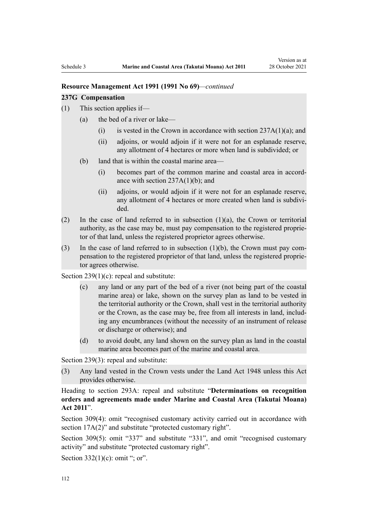#### **237G Compensation**

- (1) This section applies if—
	- (a) the bed of a river or lake—
		- (i) is vested in the Crown in accordance with section  $237A(1)(a)$ ; and
		- (ii) adjoins, or would adjoin if it were not for an esplanade reserve, any allotment of 4 hectares or more when land is subdivided; or
	- (b) land that is within the coastal marine area—
		- (i) becomes part of the common marine and coastal area in accord‐ ance with section 237A(1)(b); and
		- (ii) adjoins, or would adjoin if it were not for an esplanade reserve, any allotment of 4 hectares or more created when land is subdivided.
- (2) In the case of land referred to in subsection  $(1)(a)$ , the Crown or territorial authority, as the case may be, must pay compensation to the registered proprie‐ tor of that land, unless the registered proprietor agrees otherwise.
- (3) In the case of land referred to in subsection  $(1)(b)$ , the Crown must pay compensation to the registered proprietor of that land, unless the registered proprie‐ tor agrees otherwise.

Section  $239(1)(c)$ : repeal and substitute:

- (c) any land or any part of the bed of a river (not being part of the coastal marine area) or lake, shown on the survey plan as land to be vested in the territorial authority or the Crown, shall vest in the territorial authority or the Crown, as the case may be, free from all interests in land, includ‐ ing any encumbrances (without the necessity of an instrument of release or discharge or otherwise); and
- (d) to avoid doubt, any land shown on the survey plan as land in the coastal marine area becomes part of the marine and coastal area.

[Section 239\(3\)](http://legislation.govt.nz/pdflink.aspx?id=DLM237600): repeal and substitute:

(3) Any land vested in the Crown vests under the Land Act 1948 unless this Act provides otherwise.

Heading to [section 293A:](http://legislation.govt.nz/pdflink.aspx?id=DLM238254) repeal and substitute "**Determinations on recognition orders and agreements made under Marine and Coastal Area (Takutai Moana) Act 2011**".

[Section 309\(4\):](http://legislation.govt.nz/pdflink.aspx?id=DLM238505) omit "recognised customary activity carried out in accordance with section 17A(2)" and substitute "protected customary right".

[Section 309\(5\)](http://legislation.govt.nz/pdflink.aspx?id=DLM238505): omit "337" and substitute "331", and omit "recognised customary activity" and substitute "protected customary right".

[Section 332\(1\)\(c\)](http://legislation.govt.nz/pdflink.aspx?id=DLM239020): omit "; or".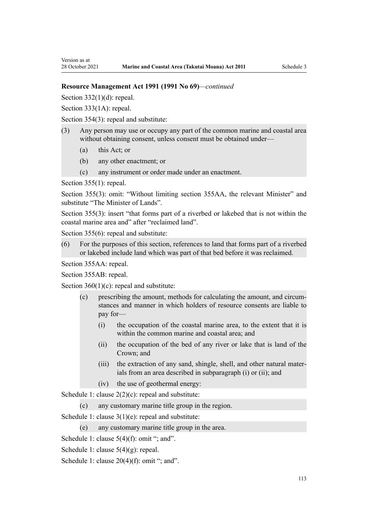[Section 332\(1\)\(d\):](http://legislation.govt.nz/pdflink.aspx?id=DLM239020) repeal.

[Section 333\(1A\):](http://legislation.govt.nz/pdflink.aspx?id=DLM239027) repeal.

[Section 354\(3\)](http://legislation.govt.nz/pdflink.aspx?id=DLM239318): repeal and substitute:

- (3) Any person may use or occupy any part of the common marine and coastal area without obtaining consent, unless consent must be obtained under—
	- (a) this Act; or
	- (b) any other enactment; or
	- (c) any instrument or order made under an enactment.

[Section 355\(1\)](http://legislation.govt.nz/pdflink.aspx?id=DLM239322): repeal.

[Section 355\(3\):](http://legislation.govt.nz/pdflink.aspx?id=DLM239322) omit: "Without limiting section 355AA, the relevant Minister" and substitute "The Minister of Lands".

[Section 355\(3\)](http://legislation.govt.nz/pdflink.aspx?id=DLM239322): insert "that forms part of a riverbed or lakebed that is not within the coastal marine area and" after "reclaimed land".

[Section 355\(6\)](http://legislation.govt.nz/pdflink.aspx?id=DLM239322): repeal and substitute:

(6) For the purposes of this section, references to land that forms part of a riverbed or lakebed include land which was part of that bed before it was reclaimed.

[Section 355AA](http://legislation.govt.nz/pdflink.aspx?id=DLM239326): repeal.

[Section 355AB:](http://legislation.govt.nz/pdflink.aspx?id=DLM239328) repeal.

[Section 360\(1\)\(c\)](http://legislation.govt.nz/pdflink.aspx?id=DLM239372): repeal and substitute:

- (c) prescribing the amount, methods for calculating the amount, and circum‐ stances and manner in which holders of resource consents are liable to pay for—
	- (i) the occupation of the coastal marine area, to the extent that it is within the common marine and coastal area; and
	- (ii) the occupation of the bed of any river or lake that is land of the Crown; and
	- (iii) the extraction of any sand, shingle, shell, and other natural mater‐ ials from an area described in subparagraph (i) or (ii); and
	- (iv) the use of geothermal energy:

[Schedule 1:](http://legislation.govt.nz/pdflink.aspx?id=DLM240686) clause  $2(2)(c)$ : repeal and substitute:

(c) any customary marine title group in the region.

[Schedule 1:](http://legislation.govt.nz/pdflink.aspx?id=DLM240686) clause 3(1)(e): repeal and substitute:

(e) any customary marine title group in the area.

[Schedule 1:](http://legislation.govt.nz/pdflink.aspx?id=DLM240686) clause 5(4)(f): omit "; and".

[Schedule 1:](http://legislation.govt.nz/pdflink.aspx?id=DLM240686) clause 5(4)(g): repeal.

[Schedule 1:](http://legislation.govt.nz/pdflink.aspx?id=DLM240686) clause 20(4)(f): omit "; and".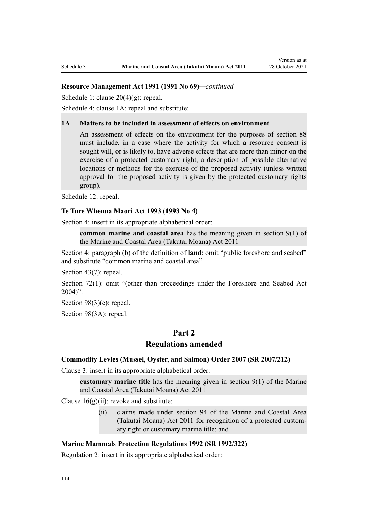[Schedule 1:](http://legislation.govt.nz/pdflink.aspx?id=DLM240686) clause 20(4)(g): repeal.

[Schedule 4:](http://legislation.govt.nz/pdflink.aspx?id=DLM242008) clause 1A: repeal and substitute:

#### **1A Matters to be included in assessment of effects on environment**

An assessment of effects on the environment for the purposes of section 88 must include, in a case where the activity for which a resource consent is sought will, or is likely to, have adverse effects that are more than minor on the exercise of a protected customary right, a description of possible alternative locations or methods for the exercise of the proposed activity (unless written approval for the proposed activity is given by the protected customary rights group).

[Schedule 12:](http://legislation.govt.nz/pdflink.aspx?id=DLM242515) repeal.

#### **Te Ture Whenua Maori Act 1993 (1993 No 4)**

[Section 4](http://legislation.govt.nz/pdflink.aspx?id=DLM289897): insert in its appropriate alphabetical order:

**common marine and coastal area** has the meaning given in section 9(1) of the Marine and Coastal Area (Takutai Moana) Act 2011

[Section 4:](http://legislation.govt.nz/pdflink.aspx?id=DLM289897) paragraph (b) of the definition of **land**: omit "public foreshore and seabed" and substitute "common marine and coastal area".

[Section 43\(7\)](http://legislation.govt.nz/pdflink.aspx?id=DLM290907): repeal.

[Section 72\(1\)](http://legislation.govt.nz/pdflink.aspx?id=DLM290961): omit "(other than proceedings under the Foreshore and Seabed Act 2004)".

[Section 98\(3\)\(c\)](http://legislation.govt.nz/pdflink.aspx?id=DLM291203): repeal.

[Section 98\(3A\):](http://legislation.govt.nz/pdflink.aspx?id=DLM291203) repeal.

# **Part 2**

# **Regulations amended**

### **Commodity Levies (Mussel, Oyster, and Salmon) Order 2007 (SR 2007/212)**

[Clause 3](http://legislation.govt.nz/pdflink.aspx?id=DLM443990): insert in its appropriate alphabetical order:

**customary marine title** has the meaning given in section 9(1) of the Marine and Coastal Area (Takutai Moana) Act 2011

Clause  $16(g)(ii)$ : revoke and substitute:

(ii) claims made under section 94 of the Marine and Coastal Area (Takutai Moana) Act 2011 for recognition of a protected custom‐ ary right or customary marine title; and

## **Marine Mammals Protection Regulations 1992 (SR 1992/322)**

[Regulation 2](http://legislation.govt.nz/pdflink.aspx?id=DLM168290): insert in its appropriate alphabetical order: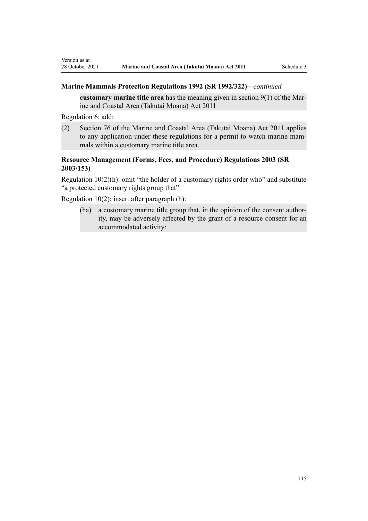## **Marine Mammals Protection Regulations 1992 (SR 1992/322)***—continued*

**customary marine title area** has the meaning given in section 9(1) of the Mar‐ ine and Coastal Area (Takutai Moana) Act 2011

[Regulation 6](http://legislation.govt.nz/pdflink.aspx?id=DLM168824): add:

Version as at

(2) Section 76 of the Marine and Coastal Area (Takutai Moana) Act 2011 applies to any application under these regulations for a permit to watch marine mammals within a customary marine title area.

# **Resource Management (Forms, Fees, and Procedure) Regulations 2003 (SR 2003/153)**

[Regulation 10\(2\)\(h\)](http://legislation.govt.nz/pdflink.aspx?id=DLM168828): omit "the holder of a customary rights order who" and substitute "a protected customary rights group that".

[Regulation 10\(2\)](http://legislation.govt.nz/pdflink.aspx?id=DLM168828): insert after paragraph (h):

(ha) a customary marine title group that, in the opinion of the consent authority, may be adversely affected by the grant of a resource consent for an accommodated activity: